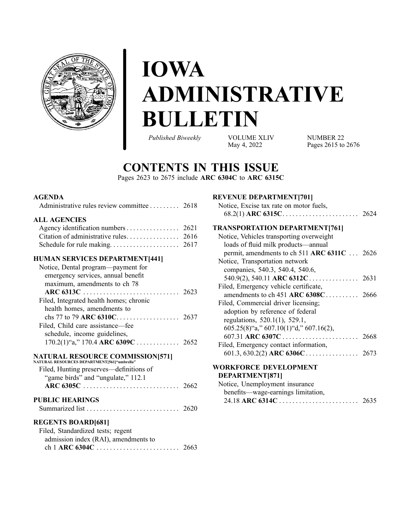

# **IOWA ADMINISTRATIVE BULLETIN**

*Published Biweekly* VOLUME XLIV

May 4, <sup>2022</sup>

NUMBER 22 Pages 2615 to [267](#page-60-0)6

# **CONTENTS IN THIS ISSUE**

Pages [2623](#page-8-0) to [2675](#page-60-0) include **ARC 6304C** to **ARC 6315C**

### **AGENDA**

| Administrative rules review committee 2618 |  |
|--------------------------------------------|--|
|                                            |  |

#### **ALL AGENCIES**

| Agency identification numbers 2621 |  |
|------------------------------------|--|
|                                    |  |
|                                    |  |

### **HUMAN SERVICES DEPARTMENT[441]**

| Notice, Dental program—payment for      |  |
|-----------------------------------------|--|
| emergency services, annual benefit      |  |
| maximum, amendments to ch 78            |  |
|                                         |  |
| Filed, Integrated health homes; chronic |  |
| health homes, amendments to             |  |
|                                         |  |
| Filed, Child care assistance—fee        |  |
| schedule, income guidelines,            |  |
|                                         |  |
|                                         |  |

### **NATURAL RESOURCE COMMISSION[571]**

| NATURAL RESOURCES DEPARTMENT15611"umbrella" |  |
|---------------------------------------------|--|
| Filed, Hunting preserves—definitions of     |  |
| "game birds" and "ungulate," 112.1          |  |
|                                             |  |
| <b>PUBLIC HEARINGS</b>                      |  |
| <b>REGENTS BOARD[681]</b>                   |  |
| Filed, Standardized tests; regent           |  |

| Filed, Standardized tests; regent    |  |
|--------------------------------------|--|
| admission index (RAI), amendments to |  |
|                                      |  |

### **REVENUE DEPARTMENT[701]**

| Notice, Excise tax rate on motor fuels, |  |
|-----------------------------------------|--|
|                                         |  |

#### **TRANSPORTATION DEPARTMENT[761]**

| Notice, Vehicles transporting overweight              |  |
|-------------------------------------------------------|--|
|                                                       |  |
| loads of fluid milk products—annual                   |  |
| permit, amendments to ch 511 ARC 6311C  2626          |  |
| Notice, Transportation network                        |  |
| companies, 540.3, 540.4, 540.6,                       |  |
| $540.9(2)$ , $540.11$ ARC $6312$ C 2631               |  |
| Filed, Emergency vehicle certificate,                 |  |
|                                                       |  |
| Filed, Commercial driver licensing;                   |  |
| adoption by reference of federal                      |  |
| regulations, 520.1(1), 529.1,                         |  |
| $605.25(8)^{4}a$ ," $607.10(1)^{4}d$ ," $607.16(2)$ , |  |
|                                                       |  |
| Filed, Emergency contact information,                 |  |
|                                                       |  |
|                                                       |  |

#### **WORKFORCE DEVELOPMENT DEPARTMENT[871]**

| Notice, Unemployment insurance     |  |
|------------------------------------|--|
| benefits—wage-earnings limitation, |  |
|                                    |  |
|                                    |  |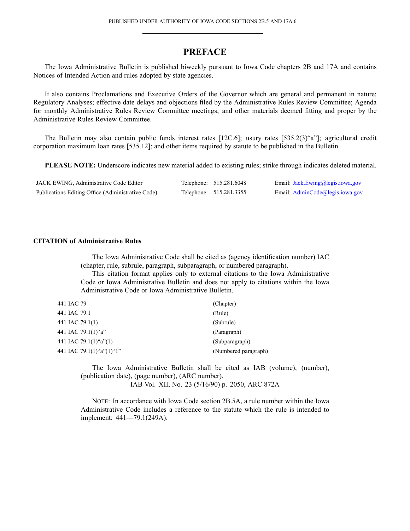# **PREFACE**

<span id="page-1-0"></span>The Iowa Administrative Bulletin is published biweekly pursuan<sup>t</sup> to Iowa Code chapters 2B and 17A and contains Notices of Intended Action and rules adopted by state agencies.

It also contains Proclamations and Executive Orders of the Governor which are general and permanen<sup>t</sup> in nature; Regulatory Analyses; effective date delays and objections filed by the Administrative Rules Review Committee; Agenda for monthly Administrative Rules Review Committee meetings; and other materials deemed fitting and proper by the Administrative Rules Review Committee.

The Bulletin may also contain public funds interest rates [12C.6]; usury rates [535.2(3)"a"]; agricultural credit corporation maximum loan rates [535.12]; and other items required by statute to be published in the Bulletin.

**PLEASE NOTE:** Underscore indicates new material added to existing rules; strike through indicates deleted material.

| JACK EWING, Administrative Code Editor            | Telephone: 515.281.6048 | Email: Jack.Ewing@legis.iowa.gov |
|---------------------------------------------------|-------------------------|----------------------------------|
| Publications Editing Office (Administrative Code) | Telephone: 515.281.3355 | Email: AdminCode@legis.iowa.gov  |

#### **CITATION of Administrative Rules**

The Iowa Administrative Code shall be cited as (agency identification number) IAC (chapter, rule, subrule, paragraph, subparagraph, or numbered paragraph).

This citation format applies only to external citations to the Iowa Administrative Code or Iowa Administrative Bulletin and does not apply to citations within the Iowa Administrative Code or Iowa Administrative Bulletin.

| 441 IAC 79               | (Chapter)            |
|--------------------------|----------------------|
| 441 IAC 79.1             | (Rule)               |
| 441 IAC 79.1(1)          | (Subrule)            |
| 441 IAC 79.1(1)"a"       | (Paragraph)          |
| 441 IAC 79.1(1)"a"(1)    | (Subparagraph)       |
| 441 IAC 79.1(1)"a"(1)"1" | (Numbered paragraph) |

The Iowa Administrative Bulletin shall be cited as IAB (volume), (number), (publication date), (page number), (ARC number). IAB Vol. XII, No. 23 (5/16/90) p. 2050, ARC 872A

NOTE: In accordance with Iowa Code section 2B.5A, <sup>a</sup> rule number within the Iowa Administrative Code includes <sup>a</sup> reference to the statute which the rule is intended to implement: 441—79.1(249A).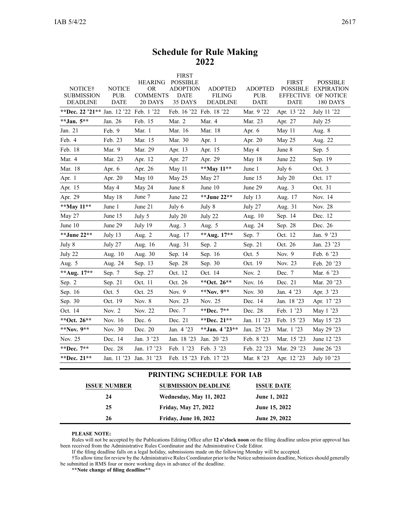# **Schedule for Rule Making 2022**

<span id="page-2-0"></span>

|                                        |                       | <b>HEARING</b>               | <b>FIRST</b><br><b>POSSIBLE</b> |                                 |                        | <b>FIRST</b>                        | <b>POSSIBLE</b>                |
|----------------------------------------|-----------------------|------------------------------|---------------------------------|---------------------------------|------------------------|-------------------------------------|--------------------------------|
| NOTICE†<br><b>SUBMISSION</b>           | <b>NOTICE</b><br>PUB. | <b>OR</b><br><b>COMMENTS</b> | <b>ADOPTION</b><br><b>DATE</b>  | <b>ADOPTED</b><br><b>FILING</b> | <b>ADOPTED</b><br>PUB. | <b>POSSIBLE</b><br><b>EFFECTIVE</b> | <b>EXPIRATION</b><br>OF NOTICE |
| <b>DEADLINE</b>                        | <b>DATE</b>           | 20 DAYS                      | 35 DAYS                         | <b>DEADLINE</b>                 | <b>DATE</b>            | <b>DATE</b>                         | 180 DAYS                       |
| **Dec. 22 '21** Jan. 12 '22 Feb. 1 '22 |                       |                              |                                 | Feb. 16 '22 Feb. 18 '22         | Mar. 9 '22             | Apr. 13 '22                         | July 11 '22                    |
| **Jan. 5**                             | Jan. 26               | Feb. 15                      | Mar. 2                          | Mar. 4                          | Mar. 23                | Apr. 27                             | July 25                        |
| Jan. 21                                | Feb. 9                | Mar. 1                       | Mar. 16                         | Mar. 18                         | Apr. 6                 | May 11                              | Aug. 8                         |
| Feb. 4                                 | Feb. 23               | Mar. 15                      | Mar. 30                         | Apr. 1                          | Apr. 20                | May 25                              | Aug. 22                        |
| Feb. 18                                | Mar. 9                | Mar. 29                      | Apr. 13                         | Apr. 15                         | May 4                  | June 8                              | Sep. 5                         |
| Mar. 4                                 | Mar. 23               | Apr. 12                      | Apr. 27                         | Apr. 29                         | May 18                 | June 22                             | Sep. 19                        |
| Mar. 18                                | Apr. 6                | Apr. 26                      | May 11                          | **May 11**                      | June 1                 | July 6                              | Oct. 3                         |
| Apr. 1                                 | Apr. 20               | May $10$                     | May 25                          | May 27                          | June 15                | July 20                             | Oct. 17                        |
| Apr. 15                                | May 4                 | May 24                       | June 8                          | June 10                         | June 29                | Aug. $3$                            | Oct. 31                        |
| Apr. 29                                | May $18$              | June 7                       | June 22                         | **June 22**                     | July 13                | Aug. 17                             | Nov. 14                        |
| **May 11**                             | June 1                | June 21                      | July 6                          | July 8                          | July 27                | Aug. 31                             | Nov. 28                        |
| May 27                                 | June 15               | July 5                       | July 20                         | July 22                         | Aug. 10                | Sep. 14                             | Dec. 12                        |
| June 10                                | June 29               | July 19                      | Aug. 3                          | Aug. 5                          | Aug. 24                | Sep. 28                             | Dec. 26                        |
| **June 22**                            | July 13               | Aug. 2                       | Aug. 17                         | **Aug. 17**                     | Sep. 7                 | Oct. 12                             | Jan. 9 '23                     |
| July 8                                 | July 27               | Aug. 16                      | Aug. 31                         | Sep. 2                          | Sep. 21                | Oct. 26                             | Jan. 23 '23                    |
| July 22                                | Aug. 10               | Aug. 30                      | Sep. 14                         | Sep. 16                         | Oct. 5                 | Nov. $9$                            | Feb. 6 '23                     |
| Aug. 5                                 | Aug. 24               | Sep. 13                      | Sep. 28                         | Sep. 30                         | Oct. 19                | Nov. 23                             | Feb. 20 '23                    |
| ** Aug. 17**                           | Sep. 7                | Sep. 27                      | Oct. 12                         | Oct. 14                         | Nov. 2                 | Dec. 7                              | Mar. 6 '23                     |
| Sep. 2                                 | Sep. 21               | Oct. 11                      | Oct. 26                         | **Oct. $26**$                   | Nov. 16                | Dec. 21                             | Mar. 20 '23                    |
| Sep. 16                                | Oct. 5                | Oct. 25                      | Nov. $9$                        | **Nov. $9**$                    | Nov. 30                | Jan. 4 '23                          | Apr. 3 '23                     |
| Sep. 30                                | Oct. 19               | Nov. 8                       | Nov. 23                         | Nov. 25                         | Dec. 14                | Jan. 18 '23                         | Apr. 17 '23                    |
| Oct. 14                                | Nov. 2                | Nov. 22                      | Dec. 7                          | **Dec. 7**                      | Dec. 28                | Feb. 1 '23                          | May 1 '23                      |
| **Oct. 26**                            | Nov. 16               | Dec. 6                       | Dec. 21                         | **Dec. 21**                     | Jan. 11 '23            | Feb. 15 '23                         | May 15 '23                     |
| **Nov. $9**$                           | Nov. 30               | Dec. 20                      | Jan. 4 '23                      | **Jan. 4 '23**                  | Jan. 25 '23            | Mar. 1 '23                          | May 29 '23                     |
| Nov. 25                                | Dec. 14               | Jan. 3 '23                   | Jan. 18 '23                     | Jan. 20 '23                     | Feb. 8 '23             | Mar. 15 '23                         | June 12 '23                    |
| **Dec. 7**                             | Dec. 28               | Jan. 17 '23                  | Feb. 1 '23                      | Feb. 3 '23                      | Feb. 22 '23            | Mar. 29 '23                         | June 26 '23                    |
| **Dec. $21**$                          |                       | Jan. 11 '23 Jan. 31 '23      |                                 | Feb. 15 '23 Feb. 17 '23         | Mar. 8 '23             | Apr. 12 '23                         | July 10 '23                    |
|                                        |                       |                              |                                 |                                 |                        |                                     |                                |

# **PRINTING SCHEDULE FOR IAB**

| <b>ISSUE NUMBER</b> | <b>SUBMISSION DEADLINE</b>   | <b>ISSUE DATE</b>   |
|---------------------|------------------------------|---------------------|
| 24                  | Wednesday, May 11, 2022      | <b>June 1, 2022</b> |
| 25                  | <b>Friday, May 27, 2022</b>  | June 15, 2022       |
| 26                  | <b>Friday, June 10, 2022</b> | June 29, 2022       |

**PLEASE NOTE:**

Rules will not be accepted by the Publications Editing Office after **12 <sup>o</sup>'clock noon** on the filing deadline unless prior approval has been received from the Administrative Rules Coordinator and the Administrative Code Editor.

If the filing deadline falls on <sup>a</sup> legal holiday, submissions made on the following Monday will be accepted.

†To allow time for review by the Administrative Rules Coordinator prior to the Notice submission deadline, Noticesshould generally be submitted in RMS four or more working days in advance of the deadline.

**\*\*Note change of filing deadline\*\***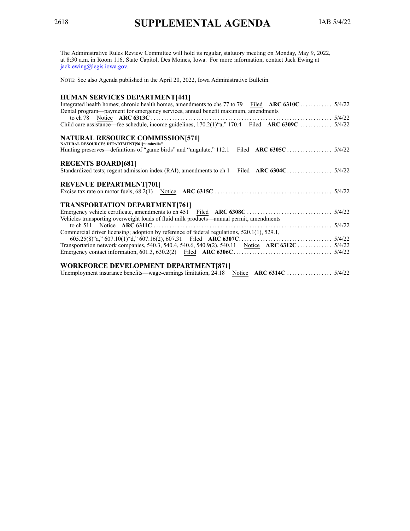<span id="page-3-0"></span>The Administrative Rules Review Committee will hold its regular, statutory meeting on Monday, May 9, 2022, at 8:30 a.m. in Room 116, State Capitol, Des Moines, Iowa. For more information, contact Jack Ewing at [jack.ewing@legis.iowa.gov](mailto:jack.ewing@legis.iowa.gov).

NOTE: See also Agenda published in the April 20, 2022, Iowa Administrative Bulletin.

# **HUMAN SERVICES DEPARTMENT[441]**

| HUMAN SERVICES DELARIMENTITTI                                                                     |  |
|---------------------------------------------------------------------------------------------------|--|
| Integrated health homes; chronic health homes, amendments to chs 77 to 79 Filed ARC 6310C  5/4/22 |  |
| Dental program—payment for emergency services, annual benefit maximum, amendments                 |  |
|                                                                                                   |  |
| Child care assistance—fee schedule, income guidelines, 170.2(1)"a," 170.4 Filed ARC 6309C  5/4/22 |  |
|                                                                                                   |  |
| NATURAL RESOURCE COMMISSION[571]<br>NATURAL RESOURCES DEPARTMENT[561]"umbrella"                   |  |
|                                                                                                   |  |
|                                                                                                   |  |
| <b>REGENTS BOARD[681]</b>                                                                         |  |
|                                                                                                   |  |
|                                                                                                   |  |
| <b>REVENUE DEPARTMENT[701]</b>                                                                    |  |
|                                                                                                   |  |
|                                                                                                   |  |
| <b>TRANSPORTATION DEPARTMENT[761]</b>                                                             |  |
|                                                                                                   |  |
| Vehicles transporting overweight loads of fluid milk products—annual permit, amendments           |  |
|                                                                                                   |  |
| Commercial driver licensing; adoption by reference of federal regulations, 520.1(1), 529.1,       |  |
|                                                                                                   |  |
|                                                                                                   |  |
|                                                                                                   |  |
|                                                                                                   |  |
| <b>WORKFORCE DEVELOPMENT DEPARTMENT[871]</b>                                                      |  |
|                                                                                                   |  |
|                                                                                                   |  |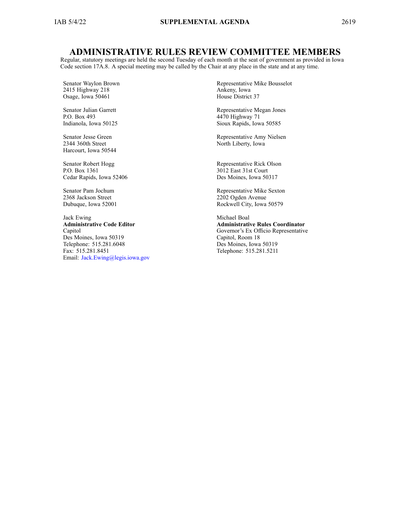# **ADMINISTRATIVE RULES REVIEW COMMITTEE MEMBERS**

Regular, statutory meetings are held the second Tuesday of each month at the seat of governmen<sup>t</sup> as provided in Iowa Code section [17A.8](https://www.legis.iowa.gov/docs/ico/section/17A.8.pdf). A special meeting may be called by the Chair at any place in the state and at any time.

Senator Waylon Brown 2415 Highway 218 Osage, Iowa 50461

Senator Julian Garrett P.O. Box 493 Indianola, Iowa 50125

Senator Jesse Green 2344 360th Street Harcourt, Iowa 50544

Senator Robert Hogg P.O. Box 1361 Cedar Rapids, Iowa 52406

Senator Pam Jochum 2368 Jackson Street Dubuque, Iowa 52001

Jack Ewing **Administrative Code Editor** Capitol Des Moines, Iowa 50319 Telephone: 515.281.6048 Fax: 515.281.8451 Email: [Jack.Ewing@legis.iowa.gov](mailto:Jack.Ewing@legis.iowa.gov) Representative Mike Bousselot Ankeny, Iowa House District 37

Representative Megan Jones 4470 Highway 71 Sioux Rapids, Iowa 50585

Representative Amy Nielsen North Liberty, Iowa

Representative Rick Olson 3012 East 31st Court Des Moines, Iowa 50317

Representative Mike Sexton 2202 Ogden Avenue Rockwell City, Iowa 50579

Michael Boal **Administrative Rules Coordinator** Governor's Ex Officio Representative Capitol, Room 18 Des Moines, Iowa 50319 Telephone: 515.281.5211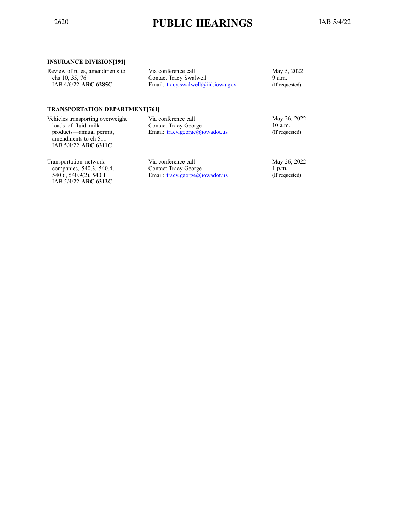# <span id="page-5-0"></span><sup>2620</sup> **PUBLIC HEARINGS** IAB 5/4/22

#### **INSURANCE DIVISION[191]**

| Review of rules, amendments to | Via conference call                | May 5, 2022    |
|--------------------------------|------------------------------------|----------------|
| chs 10, 35, 76                 | Contact Tracy Swalwell             | 9 a.m.         |
| IAB 4/6/22 ARC 6285C           | Email: tracy.swalwell@iid.iowa.gov | (If requested) |
|                                |                                    |                |
|                                |                                    |                |

#### **TRANSPORTATION DEPARTMENT[761]**

| Vehicles transporting overweight<br>loads of fluid milk | Via conference call<br><b>Contact Tracy George</b> | May 26, 2022<br>$10$ a.m.                       |
|---------------------------------------------------------|----------------------------------------------------|-------------------------------------------------|
| products—annual permit,<br>amendments to ch 511         | Email: $tracy. george@iowadot.us$                  | (If requested)                                  |
| IAB 5/4/22 ARC 6311C                                    |                                                    |                                                 |
| $\mathbf{T}$ , $\mathbf{I}$ , $\mathbf{I}$              | $\mathbf{v}^*$ $\mathbf{v}$ 11                     | $\overline{11}$ $\overline{12}$ $\overline{12}$ |

Transportation network companies, 540.3, 540.4, 540.6, 540.9(2), 540.11 IAB 5/4/22 **ARC 6312C**

Via conference call Contact Tracy George Email: [tracy.george@iowadot.us](mailto:tracy.george@iowadot.us) May 26, 2022 1 p.m. (If requested)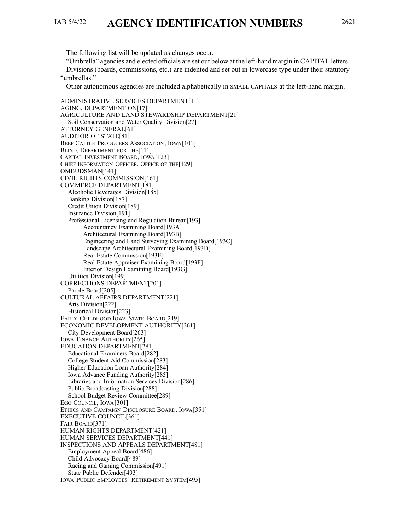# <span id="page-6-0"></span>IAB 5/4/22 **AGENCY IDENTIFICATION NUMBERS** <sup>2621</sup>

"Umbrella" agencies and elected officials are set out below at the left-hand margin in CAPITAL letters.

Divisions (boards, commissions, etc.) are indented and set out in lowercase type under their statutory "umbrellas."

Other autonomous agencies are included alphabetically in SMALL CAPITALS at the left-hand margin.

ADMINISTRATIVE SERVICES DEPARTMENT[11] AGING, DEPARTMENT ON[17] AGRICULTURE AND LAND STEWARDSHIP DEPARTMENT[21] Soil Conservation and Water Quality Division[27] ATTORNEY GENERAL[61] AUDITOR OF STATE[81] BEEF CATTLE PRODUCERS ASSOCIATION, IOWA[101] BLIND, DEPARTMENT FOR THE<sup>[111]</sup> CAPITAL INVESTMENT BOARD, IOWA[123] CHIEF INFORMATION OFFICER, OFFICE OF THE[129] OMBUDSMAN[141] CIVIL RIGHTS COMMISSION[161] COMMERCE DEPARTMENT[181] Alcoholic Beverages Division[185] Banking Division[187] Credit Union Division[189] Insurance Division[191] Professional Licensing and Regulation Bureau[193] Accountancy Examining Board[193A] Architectural Examining Board[193B] Engineering and Land Surveying Examining Board[193C] Landscape Architectural Examining Board[193D] Real Estate Commission[193E] Real Estate Appraiser Examining Board[193F] Interior Design Examining Board[193G] Utilities Division[199] CORRECTIONS DEPARTMENT[201] Parole Board[205] CULTURAL AFFAIRS DEPARTMENT[221] Arts Division[222] Historical Division[223] EARLY CHILDHOOD IOWA STATE BOARD[249] ECONOMIC DEVELOPMENT AUTHORITY[261] City Development Board[263] IOWA FINANCE AUTHORITY[265] EDUCATION DEPARTMENT[281] Educational Examiners Board[282] College Student Aid Commission[283] Higher Education Loan Authority[284] Iowa Advance Funding Authority[285] Libraries and Information Services Division[286] Public Broadcasting Division[288] School Budget Review Committee[289] EGG COUNCIL, IOWA[301] ETHICS AND CAMPAIGN DISCLOSURE BOARD, IOWA[351] EXECUTIVE COUNCIL[361] FAIR BOARD[371] HUMAN RIGHTS DEPARTMENT[421] HUMAN SERVICES DEPARTMENT[441] INSPECTIONS AND APPEALS DEPARTMENT[481] Employment Appeal Board[486] Child Advocacy Board[489] Racing and Gaming Commission[491] State Public Defender[493] IOWA PUBLIC EMPLOYEES' RETIREMENT SYSTEM[495]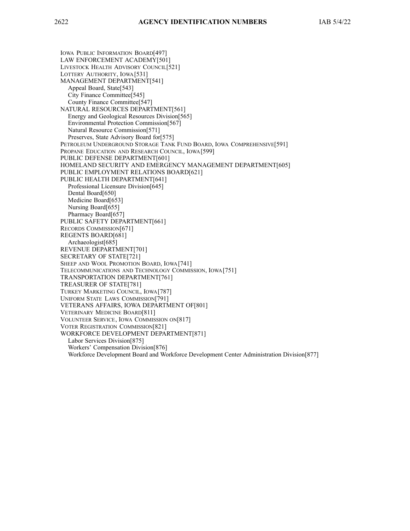IOWA PUBLIC INFORMATION BOARD[497] LAW ENFORCEMENT ACADEMY[501] LIVESTOCK HEALTH ADVISORY COUNCIL[521] LOTTERY AUTHORITY, IOWA[531] MANAGEMENT DEPARTMENT[541] Appeal Board, State[543] City Finance Committee[545] County Finance Committee[547] NATURAL RESOURCES DEPARTMENT[561] Energy and Geological Resources Division[565] Environmental Protection Commission[567] Natural Resource Commission[571] Preserves, State Advisory Board for[575] PETROLEUM UNDERGROUND STORAGE TANK FUND BOARD, IOWA COMPREHENSIVE[591] PROPANE EDUCATION AND RESEARCH COUNCIL, IOWA[599] PUBLIC DEFENSE DEPARTMENT[601] HOMELAND SECURITY AND EMERGENCY MANAGEMENT DEPARTMENT[605] PUBLIC EMPLOYMENT RELATIONS BOARD[621] PUBLIC HEALTH DEPARTMENT[641] Professional Licensure Division[645] Dental Board[650] Medicine Board[653] Nursing Board[655] Pharmacy Board[657] PUBLIC SAFETY DEPARTMENT[661] RECORDS COMMISSION[671] REGENTS BOARD[681] Archaeologist[685] REVENUE DEPARTMENT[701] SECRETARY OF STATE[721] SHEEP AND WOOL PROMOTION BOARD, IOWA[741] TELECOMMUNICATIONS AND TECHNOLOGY COMMISSION, IOWA[751] TRANSPORTATION DEPARTMENT[761] TREASURER OF STATE[781] TURKEY MARKETING COUNCIL, IOWA[787] UNIFORM STATE LAWS COMMISSION[791] VETERANS AFFAIRS, IOWA DEPARTMENT OF[801] VETERINARY MEDICINE BOARD[811] VOLUNTEER SERVICE, IOWA COMMISSION ON[817] VOTER REGISTRATION COMMISSION[821] WORKFORCE DEVELOPMENT DEPARTMENT[871] Labor Services Division[875] Workers' Compensation Division[876] Workforce Development Board and Workforce Development Center Administration Division[877]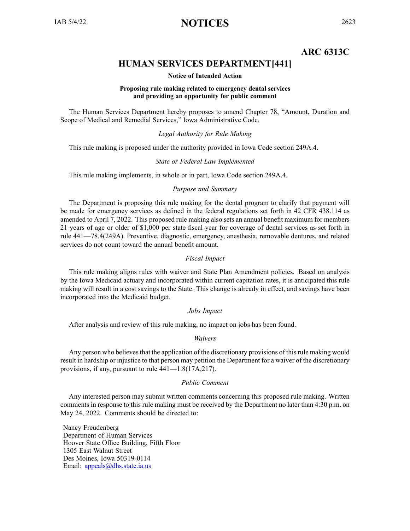# **ARC 6313C**

# **HUMAN SERVICES DEPARTMENT[441]**

#### **Notice of Intended Action**

#### **Proposing rule making related to emergency dental services and providing an opportunity for public comment**

<span id="page-8-0"></span>The Human Services Department hereby proposes to amend Chapter 78, "Amount, Duration and Scope of Medical and Remedial Services," Iowa Administrative Code.

#### *Legal Authority for Rule Making*

This rule making is proposed under the authority provided in Iowa Code section 249A.4.

#### *State or Federal Law Implemented*

This rule making implements, in whole or in part, Iowa Code section 249A.4.

#### *Purpose and Summary*

The Department is proposing this rule making for the dental program to clarify that paymen<sup>t</sup> will be made for emergency services as defined in the federal regulations set forth in 42 CFR 438.114 as amended to April 7, 2022. This proposed rule making also sets an annual benefit maximum for members 21 years of age or older of \$1,000 per state fiscal year for coverage of dental services as set forth in rule 441—78.4(249A). Preventive, diagnostic, emergency, anesthesia, removable dentures, and related services do not count toward the annual benefit amount.

#### *Fiscal Impact*

This rule making aligns rules with waiver and State Plan Amendment policies. Based on analysis by the Iowa Medicaid actuary and incorporated within current capitation rates, it is anticipated this rule making will result in <sup>a</sup> cost savings to the State. This change is already in effect, and savings have been incorporated into the Medicaid budget.

#### *Jobs Impact*

After analysis and review of this rule making, no impact on jobs has been found.

#### *Waivers*

Any person who believes that the application of the discretionary provisions of this rule making would result in hardship or injustice to that person may petition the Department for <sup>a</sup> waiver of the discretionary provisions, if any, pursuan<sup>t</sup> to rule 441—1.8(17A,217).

#### *Public Comment*

Any interested person may submit written comments concerning this proposed rule making. Written comments in response to this rule making must be received by the Department no later than 4:30 p.m. on May 24, 2022. Comments should be directed to:

Nancy Freudenberg Department of Human Services Hoover State Office Building, Fifth Floor 1305 East Walnut Street Des Moines, Iowa 50319-0114 Email: appea[ls@dhs.state.ia.us](mailto:appeals@dhs.state.ia.us)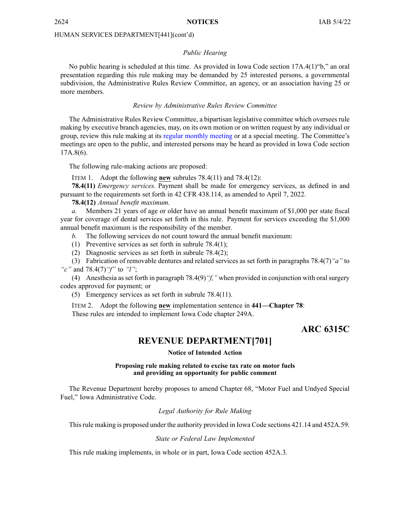#### *Public Hearing*

<span id="page-9-0"></span>No public hearing is scheduled at this time. As provided in Iowa Code section 17A.4(1)"b," an oral presentation regarding this rule making may be demanded by 25 interested persons, <sup>a</sup> governmental subdivision, the Administrative Rules Review Committee, an agency, or an association having 25 or more members.

#### *Review by Administrative Rules Review Committee*

The Administrative Rules Review Committee, <sup>a</sup> bipartisan legislative committee which oversees rule making by executive branch agencies, may, on its own motion or on written reques<sup>t</sup> by any individual or group, review this rule making at its regular [monthly](https://www.legis.iowa.gov/committees/meetings/meetingsListComm?groupID=705&ga=89) meeting or at <sup>a</sup> special meeting. The Committee's meetings are open to the public, and interested persons may be heard as provided in Iowa Code section 17A.8(6).

The following rule-making actions are proposed:

ITEM 1. Adopt the following **new** subrules 78.4(11) and 78.4(12):

**78.4(11)** *Emergency services.* Payment shall be made for emergency services, as defined in and pursuan<sup>t</sup> to the requirements set forth in 42 CFR 438.114, as amended to April 7, 2022.

**78.4(12)** *Annual benefit maximum.*

*a.* Members 21 years of age or older have an annual benefit maximum of \$1,000 per state fiscal year for coverage of dental services set forth in this rule. Payment for services exceeding the \$1,000 annual benefit maximum is the responsibility of the member.

*b.* The following services do not count toward the annual benefit maximum:

(1) Preventive services as set forth in subrule 78.4(1);

(2) Diagnostic services as set forth in subrule 78.4(2);

(3) Fabrication of removable dentures and related services as set forth in paragraphs 78.4(7)*"a"* to *"c"* and 78.4(7)*"f"* to *"l"*;

(4) Anesthesia asset forth in paragraph 78.4(9)*"f,"* when provided in conjunction with oralsurgery codes approved for payment; or

(5) Emergency services as set forth in subrule 78.4(11).

ITEM 2. Adopt the following **new** implementation sentence in **441—Chapter 78**: These rules are intended to implement Iowa Code chapter [249A](https://www.legis.iowa.gov/docs/ico/chapter/249A.pdf).

# **ARC 6315C**

### **REVENUE DEPARTMENT[701]**

#### **Notice of Intended Action**

#### **Proposing rule making related to excise tax rate on motor fuels and providing an opportunity for public comment**

The Revenue Department hereby proposes to amend Chapter 68, "Motor Fuel and Undyed Special Fuel," Iowa Administrative Code.

*Legal Authority for Rule Making*

Thisrule making is proposed under the authority provided in Iowa Code sections 421.14 and 452A.59.

#### *State or Federal Law Implemented*

This rule making implements, in whole or in part, Iowa Code section 452A.3.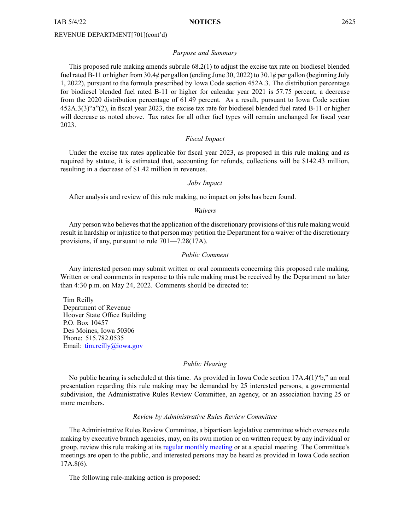IAB 5/4/22 **NOTICES** 2625

#### REVENUE DEPARTMENT[701](cont'd)

#### *Purpose and Summary*

This proposed rule making amends subrule 68.2(1) to adjust the excise tax rate on biodiesel blended fuel rated B-11 or higher from 30.4¢ per gallon (ending June 30, 2022) to 30.1¢ per gallon (beginning July 1, 2022), pursuan<sup>t</sup> to the formula prescribed by Iowa Code section 452A.3. The distribution percentage for biodiesel blended fuel rated B-11 or higher for calendar year 2021 is 57.75 percent, <sup>a</sup> decrease from the 2020 distribution percentage of 61.49 percent. As <sup>a</sup> result, pursuan<sup>t</sup> to Iowa Code section 452A.3(3)"a"(2), in fiscal year 2023, the excise tax rate for biodiesel blended fuel rated B-11 or higher will decrease as noted above. Tax rates for all other fuel types will remain unchanged for fiscal year 2023.

#### *Fiscal Impact*

Under the excise tax rates applicable for fiscal year 2023, as proposed in this rule making and as required by statute, it is estimated that, accounting for refunds, collections will be \$142.43 million, resulting in <sup>a</sup> decrease of \$1.42 million in revenues.

#### *Jobs Impact*

After analysis and review of this rule making, no impact on jobs has been found.

#### *Waivers*

Any person who believes that the application of the discretionary provisions of this rule making would result in hardship or injustice to that person may petition the Department for <sup>a</sup> waiver of the discretionary provisions, if any, pursuan<sup>t</sup> to rule 701—7.28(17A).

#### *Public Comment*

Any interested person may submit written or oral comments concerning this proposed rule making. Written or oral comments in response to this rule making must be received by the Department no later than 4:30 p.m. on May 24, 2022. Comments should be directed to:

Tim Reilly Department of Revenue Hoover State Office Building P.O. Box 10457 Des Moines, Iowa 50306 Phone: 515.782.0535 Email: [tim.reilly@iowa.gov](mailto:tim.reilly@iowa.gov)

#### *Public Hearing*

No public hearing is scheduled at this time. As provided in Iowa Code section 17A.4(1)"b," an oral presentation regarding this rule making may be demanded by 25 interested persons, <sup>a</sup> governmental subdivision, the Administrative Rules Review Committee, an agency, or an association having 25 or more members.

#### *Review by Administrative Rules Review Committee*

The Administrative Rules Review Committee, <sup>a</sup> bipartisan legislative committee which oversees rule making by executive branch agencies, may, on its own motion or on written reques<sup>t</sup> by any individual or group, review this rule making at its regular [monthly](https://www.legis.iowa.gov/committees/meetings/meetingsListComm?groupID=705&ga=89) meeting or at <sup>a</sup> special meeting. The Committee's meetings are open to the public, and interested persons may be heard as provided in Iowa Code section 17A.8(6).

The following rule-making action is proposed: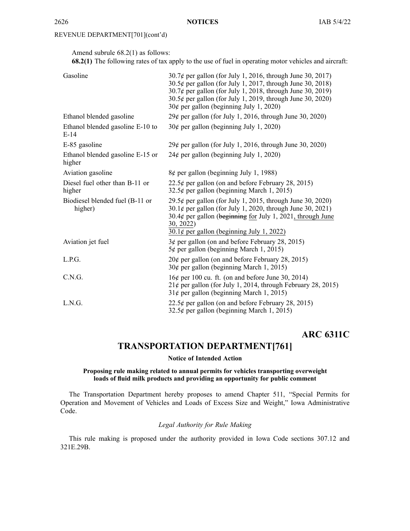# <span id="page-11-0"></span>REVENUE DEPARTMENT[701](cont'd)

Amend subrule 68.2(1) as follows:

**68.2(1)** The following rates of tax apply to the use of fuel in operating motor vehicles and aircraft:

| Gasoline                                   | $30.7\phi$ per gallon (for July 1, 2016, through June 30, 2017)<br>30.5¢ per gallon (for July 1, 2017, through June 30, 2018)<br>$30.7\phi$ per gallon (for July 1, 2018, through June 30, 2019)<br>$30.5\phi$ per gallon (for July 1, 2019, through June 30, 2020)<br>$30¢$ per gallon (beginning July 1, 2020) |
|--------------------------------------------|------------------------------------------------------------------------------------------------------------------------------------------------------------------------------------------------------------------------------------------------------------------------------------------------------------------|
| Ethanol blended gasoline                   | $29¢$ per gallon (for July 1, 2016, through June 30, 2020)                                                                                                                                                                                                                                                       |
| Ethanol blended gasoline E-10 to<br>$E-14$ | $30¢$ per gallon (beginning July 1, 2020)                                                                                                                                                                                                                                                                        |
| E-85 gasoline                              | $29¢$ per gallon (for July 1, 2016, through June 30, 2020)                                                                                                                                                                                                                                                       |
| Ethanol blended gasoline E-15 or<br>higher | $24¢$ per gallon (beginning July 1, 2020)                                                                                                                                                                                                                                                                        |
| Aviation gasoline                          | $8¢$ per gallon (beginning July 1, 1988)                                                                                                                                                                                                                                                                         |
| Diesel fuel other than B-11 or<br>higher   | 22.5¢ per gallon (on and before February 28, 2015)<br>$32.5\ell$ per gallon (beginning March 1, 2015)                                                                                                                                                                                                            |
| Biodiesel blended fuel (B-11 or<br>higher) | 29.5¢ per gallon (for July 1, 2015, through June 30, 2020)<br>$30.1\phi$ per gallon (for July 1, 2020, through June 30, 2021)<br>30.4¢ per gallon (beginning for July 1, 2021, through June<br>30, 2022)<br>$30.1\ell$ per gallon (beginning July 1, 2022)                                                       |
| Aviation jet fuel                          | $3¢$ per gallon (on and before February 28, 2015)<br>$5¢$ per gallon (beginning March 1, 2015)                                                                                                                                                                                                                   |
| L.P.G.                                     | $20¢$ per gallon (on and before February 28, 2015)<br>30¢ per gallon (beginning March 1, 2015)                                                                                                                                                                                                                   |
| C.N.G.                                     | $16¢$ per 100 cu. ft. (on and before June 30, 2014)<br>$21¢$ per gallon (for July 1, 2014, through February 28, 2015)<br>$31¢$ per gallon (beginning March 1, 2015)                                                                                                                                              |
| L.N.G.                                     | 22.5¢ per gallon (on and before February 28, 2015)<br>$32.5\phi$ per gallon (beginning March 1, 2015)                                                                                                                                                                                                            |

**ARC 6311C**

# **TRANSPORTATION DEPARTMENT[761]**

#### **Notice of Intended Action**

#### **Proposing rule making related to annual permits for vehicles transporting overweight loads of fluid milk products and providing an opportunity for public comment**

The Transportation Department hereby proposes to amend Chapter 511, "Special Permits for Operation and Movement of Vehicles and Loads of Excess Size and Weight," Iowa Administrative Code.

# *Legal Authority for Rule Making*

This rule making is proposed under the authority provided in Iowa Code sections 307.12 and 321E.29B.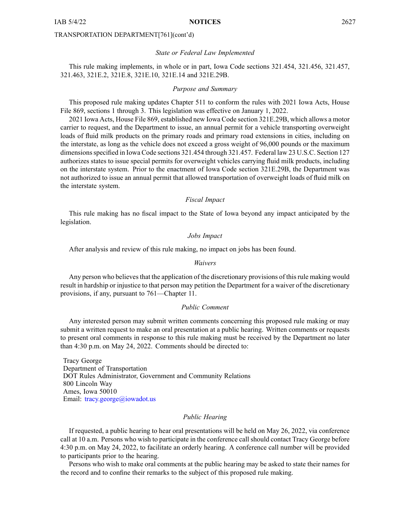#### *State or Federal Law Implemented*

This rule making implements, in whole or in part, Iowa Code sections 321.454, 321.456, 321.457, 321.463, 321E.2, 321E.8, 321E.10, 321E.14 and 321E.29B.

#### *Purpose and Summary*

This proposed rule making updates Chapter 511 to conform the rules with 2021 Iowa Acts, House File 869, sections 1 through 3. This legislation was effective on January 1, 2022.

2021 Iowa Acts, House File 869, established new Iowa Code section 321E.29B, which allows <sup>a</sup> motor carrier to request, and the Department to issue, an annual permit for <sup>a</sup> vehicle transporting overweight loads of fluid milk products on the primary roads and primary road extensions in cities, including on the interstate, as long as the vehicle does not exceed <sup>a</sup> gross weight of 96,000 pounds or the maximum dimensionsspecified in Iowa Code sections 321.454 through 321.457. Federal law 23 U.S.C. Section 127 authorizes states to issue special permits for overweight vehicles carrying fluid milk products, including on the interstate system. Prior to the enactment of Iowa Code section 321E.29B, the Department was not authorized to issue an annual permit that allowed transportation of overweight loads of fluid milk on the interstate system.

#### *Fiscal Impact*

This rule making has no fiscal impact to the State of Iowa beyond any impact anticipated by the legislation.

#### *Jobs Impact*

After analysis and review of this rule making, no impact on jobs has been found.

#### *Waivers*

Any person who believes that the application of the discretionary provisions of this rule making would result in hardship or injustice to that person may petition the Department for <sup>a</sup> waiver of the discretionary provisions, if any, pursuan<sup>t</sup> to 761—Chapter 11.

#### *Public Comment*

Any interested person may submit written comments concerning this proposed rule making or may submit <sup>a</sup> written reques<sup>t</sup> to make an oral presentation at <sup>a</sup> public hearing. Written comments or requests to presen<sup>t</sup> oral comments in response to this rule making must be received by the Department no later than 4:30 p.m. on May 24, 2022. Comments should be directed to:

Tracy George Department of Transportation DOT Rules Administrator, Government and Community Relations 800 Lincoln Way Ames, Iowa 50010 Email: [tracy.george@iowadot.us](mailto:tracy.george@iowadot.us)

#### *Public Hearing*

If requested, <sup>a</sup> public hearing to hear oral presentations will be held on May 26, 2022, via conference call at 10 a.m. Persons who wish to participate in the conference call should contact Tracy George before 4:30 p.m. on May 24, 2022, to facilitate an orderly hearing. A conference call number will be provided to participants prior to the hearing.

Persons who wish to make oral comments at the public hearing may be asked to state their names for the record and to confine their remarks to the subject of this proposed rule making.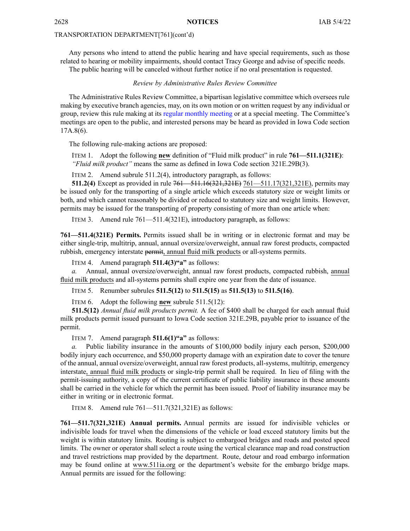Any persons who intend to attend the public hearing and have special requirements, such as those related to hearing or mobility impairments, should contact Tracy George and advise of specific needs. The public hearing will be canceled without further notice if no oral presentation is requested.

#### *Review by Administrative Rules Review Committee*

The Administrative Rules Review Committee, <sup>a</sup> bipartisan legislative committee which oversees rule making by executive branch agencies, may, on its own motion or on written reques<sup>t</sup> by any individual or group, review this rule making at its regular [monthly](https://www.legis.iowa.gov/committees/meetings/meetingsListComm?groupID=705&ga=89) meeting or at <sup>a</sup> special meeting. The Committee's meetings are open to the public, and interested persons may be heard as provided in Iowa Code section 17A.8(6).

The following rule-making actions are proposed:

ITEM 1. Adopt the following **new** definition of "Fluid milk product" in rule **761—511.1(321E)**: *"Fluid milk product"* means the same as defined in Iowa Code section [321E.29B\(3\)](https://www.legis.iowa.gov/docs/ico/section/321E.29B.pdf).

ITEM 2. Amend subrule 511.2(4), introductory paragraph, as follows:

**511.2(4)** Except as provided in rule 761—511.16(321,321E) 761—511.17(321,321E), permits may be issued only for the transporting of <sup>a</sup> single article which exceeds statutory size or weight limits or both, and which cannot reasonably be divided or reduced to statutory size and weight limits. However, permits may be issued for the transporting of property consisting of more than one article when:

ITEM 3. Amend rule 761—511.4(321E), introductory paragraph, as follows:

**761—511.4(321E) Permits.** Permits issued shall be in writing or in electronic format and may be either single-trip, multitrip, annual, annual oversize/overweight, annual raw forest products, compacted rubbish, emergency interstate permit, annual fluid milk products or all-systems permits.

ITEM 4. Amend paragraph **511.4(3)"a"** as follows:

*a.* Annual, annual oversize/overweight, annual raw forest products, compacted rubbish, annual fluid milk products and all-systems permits shall expire one year from the date of issuance.

ITEM 5. Renumber subrules **511.5(12)** to **511.5(15)** as **511.5(13)** to **511.5(16)**.

ITEM 6. Adopt the following **new** subrule 511.5(12):

**511.5(12)** *Annual fluid milk products permit.* A fee of \$400 shall be charged for each annual fluid milk products permit issued pursuan<sup>t</sup> to Iowa Code section [321E.29B](https://www.legis.iowa.gov/docs/ico/section/321E.29B.pdf), payable prior to issuance of the permit.

ITEM 7. Amend paragraph **511.6(1)"a"** as follows:

*a.* Public liability insurance in the amounts of \$100,000 bodily injury each person, \$200,000 bodily injury each occurrence, and \$50,000 property damage with an expiration date to cover the tenure of the annual, annual oversize/overweight, annual raw forest products, all-systems, multitrip, emergency interstate, annual fluid milk products or single-trip permit shall be required. In lieu of filing with the permit-issuing authority, <sup>a</sup> copy of the current certificate of public liability insurance in these amounts shall be carried in the vehicle for which the permit has been issued. Proof of liability insurance may be either in writing or in electronic format.

ITEM 8. Amend rule 761—511.7(321,321E) as follows:

**761—511.7(321,321E) Annual permits.** Annual permits are issued for indivisible vehicles or indivisible loads for travel when the dimensions of the vehicle or load exceed statutory limits but the weight is within statutory limits. Routing is subject to embargoed bridges and roads and posted speed limits. The owner or operator shall select <sup>a</sup> route using the vertical clearance map and road construction and travel restrictions map provided by the department. Route, detour and road embargo information may be found online at [www.511ia.org](http://www.511ia.org) or the department's website for the embargo bridge maps. Annual permits are issued for the following: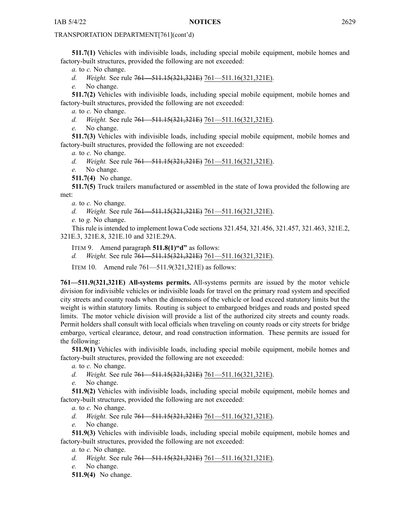**511.7(1)** Vehicles with indivisible loads, including special mobile equipment, mobile homes and factory-built structures, provided the following are not exceeded:

*a.* to *c.* No change.

*d. Weight.* See rule 761—511.15(321,321E) 761—511.16(321,321E).

*e.* No change.

**511.7(2)** Vehicles with indivisible loads, including special mobile equipment, mobile homes and factory-built structures, provided the following are not exceeded:

*a.* to *c.* No change.

*d. Weight.* See rule 761—511.15(321,321E) 761—511.16(321,321E).

*e.* No change.

**511.7(3)** Vehicles with indivisible loads, including special mobile equipment, mobile homes and factory-built structures, provided the following are not exceeded:

*a.* to *c.* No change.

*d. Weight.* See rule 761—511.15(321,321E) 761—511.16(321,321E).

*e.* No change.

**511.7(4)** No change.

**511.7(5)** Truck trailers manufactured or assembled in the state of Iowa provided the following are met:

*a.* to *c.* No change.

*d. Weight.* See rule 761—511.15(321,321E) 761—511.16(321,321E).

*e.* to *g.* No change.

This rule is intended to implement Iowa Code sections [321.454](https://www.legis.iowa.gov/docs/ico/section/321.454.pdf), [321.456](https://www.legis.iowa.gov/docs/ico/section/321.456.pdf), [321.457](https://www.legis.iowa.gov/docs/ico/section/321.457.pdf), [321.463](https://www.legis.iowa.gov/docs/ico/section/321.463.pdf), [321E.2](https://www.legis.iowa.gov/docs/ico/section/321E.2.pdf), [321E.3](https://www.legis.iowa.gov/docs/ico/section/2017/321E.3.pdf), [321E.8](https://www.legis.iowa.gov/docs/ico/section/2017/321E.8.pdf), [321E.10](https://www.legis.iowa.gov/docs/ico/section/321E.10.pdf) and [321E.29A](https://www.legis.iowa.gov/docs/ico/section/321E.29A.pdf).

ITEM 9. Amend paragraph **511.8(1)"d"** as follows:

*d. Weight.* See rule 761—511.15(321,321E) 761—511.16(321,321E).

ITEM 10. Amend rule 761—511.9(321,321E) as follows:

**761—511.9(321,321E) All-systems permits.** All-systems permits are issued by the motor vehicle division for indivisible vehicles or indivisible loads for travel on the primary road system and specified city streets and county roads when the dimensions of the vehicle or load exceed statutory limits but the weight is within statutory limits. Routing is subject to embargoed bridges and roads and posted speed limits. The motor vehicle division will provide <sup>a</sup> list of the authorized city streets and county roads. Permit holders shall consult with local officials when traveling on county roads or city streets for bridge embargo, vertical clearance, detour, and road construction information. These permits are issued for the following:

**511.9(1)** Vehicles with indivisible loads, including special mobile equipment, mobile homes and factory-built structures, provided the following are not exceeded:

*a.* to *c.* No change.

*d. Weight.* See rule 761—511.15(321,321E) 761—511.16(321,321E).

*e.* No change.

**511.9(2)** Vehicles with indivisible loads, including special mobile equipment, mobile homes and factory-built structures, provided the following are not exceeded:

*a.* to *c.* No change.

*d. Weight.* See rule 761—511.15(321,321E) 761—511.16(321,321E).

*e.* No change.

**511.9(3)** Vehicles with indivisible loads, including special mobile equipment, mobile homes and factory-built structures, provided the following are not exceeded:

*a.* to *c.* No change.

*d. Weight.* See rule 761—511.15(321,321E) 761—511.16(321,321E).

*e.* No change.

**511.9(4)** No change.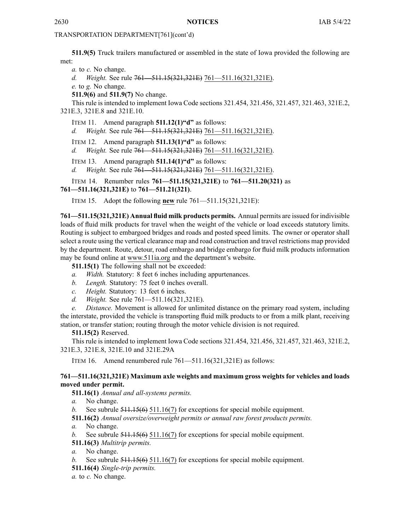**511.9(5)** Truck trailers manufactured or assembled in the state of Iowa provided the following are met:

*a.* to *c.* No change.

*d. Weight.* See rule 761—511.15(321,321E) 761—511.16(321,321E).

*e.* to *g.* No change.

**511.9(6)** and **511.9(7)** No change.

This rule is intended to implement Iowa Code sections [321.454](https://www.legis.iowa.gov/docs/ico/section/321.454.pdf), [321.456](https://www.legis.iowa.gov/docs/ico/section/321.456.pdf), [321.457](https://www.legis.iowa.gov/docs/ico/section/321.457.pdf), [321.463](https://www.legis.iowa.gov/docs/ico/section/321.463.pdf), [321E.2](https://www.legis.iowa.gov/docs/ico/section/321E.2.pdf),

[321E.3](https://www.legis.iowa.gov/docs/ico/section/2017/321E.3.pdf), [321E.8](https://www.legis.iowa.gov/docs/ico/section/2017/321E.8.pdf) and [321E.10](https://www.legis.iowa.gov/docs/ico/section/321E.10.pdf).

ITEM 11. Amend paragraph **511.12(1)"d"** as follows:

*d. Weight.* See rule 761—511.15(321,321E) 761—511.16(321,321E).

ITEM 12. Amend paragraph **511.13(1)"d"** as follows:

*d. Weight.* See rule 761—511.15(321,321E) 761—511.16(321,321E).

ITEM 13. Amend paragraph **511.14(1)"d"** as follows:

*d. Weight.* See rule 761—511.15(321,321E) 761—511.16(321,321E).

ITEM 14. Renumber rules **761—511.15(321,321E)** to **761—511.20(321)** as **761—511.16(321,321E)** to **761—511.21(321)**.

ITEM 15. Adopt the following **new** rule 761—511.15(321,321E):

**761—511.15(321,321E) Annual fluid milk products permits.** Annual permits are issued for indivisible loads of fluid milk products for travel when the weight of the vehicle or load exceeds statutory limits. Routing is subject to embargoed bridges and roads and posted speed limits. The owner or operator shall select <sup>a</sup> route using the vertical clearance map and road construction and travel restrictions map provided by the department. Route, detour, road embargo and bridge embargo for fluid milk products information may be found online at [www.511ia.org](https://www.511ia.org/@-97.89914,42.96908,5?show=iowaAppIncident,winterDriving,towingProhibitedReports,weatherRadar) and the department's website.

**511.15(1)** The following shall not be exceeded:

- *a. Width.* Statutory: 8 feet 6 inches including appurtenances.
- *b. Length.* Statutory: 75 feet 0 inches overall.
- *c. Height.* Statutory: 13 feet 6 inches.
- *d. Weight.* See rule 761—511.16(321,321E).

*e. Distance.* Movement is allowed for unlimited distance on the primary road system, including the interstate, provided the vehicle is transporting fluid milk products to or from <sup>a</sup> milk plant, receiving station, or transfer station; routing through the motor vehicle division is not required.

#### **511.15(2)** Reserved.

This rule is intended to implement Iowa Code sections [321.454](https://www.legis.iowa.gov/docs/ico/section/321.454.pdf), [321.456](https://www.legis.iowa.gov/docs/ico/section/321.456.pdf), [321.457](https://www.legis.iowa.gov/docs/ico/section/321.457.pdf), [321.463](https://www.legis.iowa.gov/docs/ico/section/321.463.pdf), [321E.2](https://www.legis.iowa.gov/docs/ico/section/321E.2.pdf), [321E.3](https://www.legis.iowa.gov/docs/ico/section/321E.3.pdf), [321E.8](https://www.legis.iowa.gov/docs/ico/section/321E.8.pdf), [321E.10](https://www.legis.iowa.gov/docs/ico/section/321E.10.pdf) and [321E.29A](https://www.legis.iowa.gov/docs/ico/section/321E.29A.pdf)

ITEM 16. Amend renumbered rule 761—511.16(321,321E) as follows:

#### **761—511.16(321,321E) Maximum axle weights and maximum gross weights for vehicles and loads moved under permit.**

**511.16(1)** *Annual and all-systems permits.*

*a.* No change.

*b.* See subrule 511.15(6) 511.16(7) for exceptions for special mobile equipment.

**511.16(2)** *Annual oversize/overweight permits or annual raw forest products permits.*

*a.* No change.

*b.* See subrule 511.15(6) 511.16(7) for exceptions for special mobile equipment.

**511.16(3)** *Multitrip permits.*

*a.* No change.

*b.* See subrule 511.15(6) 511.16(7) for exceptions for special mobile equipment.

**511.16(4)** *Single-trip permits.*

*a.* to *c.* No change.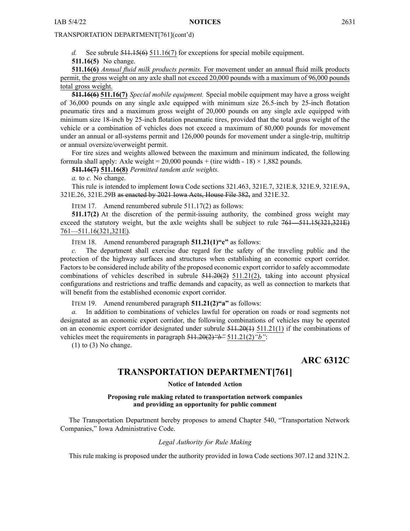<span id="page-16-0"></span>*d.* See subrule 511.15(6) 511.16(7) for exceptions for special mobile equipment.

**511.16(5)** No change.

**511.16(6)** *Annual fluid milk products permits.* For movement under an annual fluid milk products permit, the gross weight on any axle shall not exceed 20,000 pounds with <sup>a</sup> maximum of 96,000 pounds total gross weight.

**511.16(6) 511.16(7)** *Special mobile equipment.* Special mobile equipment may have <sup>a</sup> gross weight of 36,000 pounds on any single axle equipped with minimum size 26.5-inch by 25-inch flotation pneumatic tires and <sup>a</sup> maximum gross weight of 20,000 pounds on any single axle equipped with minimum size 18-inch by 25-inch flotation pneumatic tires, provided that the total gross weight of the vehicle or <sup>a</sup> combination of vehicles does not exceed <sup>a</sup> maximum of 80,000 pounds for movement under an annual or all-systems permit and 126,000 pounds for movement under <sup>a</sup> single-trip, multitrip or annual oversize/overweight permit.

For tire sizes and weights allowed between the maximum and minimum indicated, the following formula shall apply: Axle weight = 20,000 pounds + (tire width - 18)  $\times$  1,882 pounds.

**511.16(7) 511.16(8)** *Permitted tandem axle weights.*

*a.* to *c.* No change.

This rule is intended to implement Iowa Code sections [321.463](https://www.legis.iowa.gov/docs/ico/section/321.463.pdf), [321E.7](https://www.legis.iowa.gov/docs/ico/section/321E.7.pdf), [321E.8](https://www.legis.iowa.gov/docs/ico/section/2017/321E.8.pdf), [321E.9](https://www.legis.iowa.gov/docs/ico/section/321E.9.pdf), [321E.9A](https://www.legis.iowa.gov/docs/ico/section/321E.9A.pdf), [321E.26](https://www.legis.iowa.gov/docs/ico/section/321E.26.pdf), [321E.29B](https://www.legis.iowa.gov/docs/ico/section/321E.29B.pdf) as enacted by 2021 Iowa Acts, House File 382, and [321E.32](https://www.legis.iowa.gov/docs/ico/section/321E.32.pdf).

ITEM 17. Amend renumbered subrule 511.17(2) as follows:

**511.17(2)** At the discretion of the permit-issuing authority, the combined gross weight may exceed the statutory weight, but the axle weights shall be subject to rule  $761 - 511.15(321,321E)$ 761—511.16(321,321E).

ITEM 18. Amend renumbered paragraph **511.21(1)"c"** as follows:

*c.* The department shall exercise due regard for the safety of the traveling public and the protection of the highway surfaces and structures when establishing an economic expor<sup>t</sup> corridor. Factors to be considered include ability of the proposed economic export corridor to safely accommodate combinations of vehicles described in subrule  $511.20(2)$ ,  $511.21(2)$ , taking into account physical configurations and restrictions and traffic demands and capacity, as well as connection to markets that will benefit from the established economic expor<sup>t</sup> corridor.

ITEM 19. Amend renumbered paragraph **511.21(2)"a"** as follows:

*a.* In addition to combinations of vehicles lawful for operation on roads or road segments not designated as an economic expor<sup>t</sup> corridor, the following combinations of vehicles may be operated on an economic export corridor designated under subrule  $511.20(1)$  511.21(1) if the combinations of vehicles meet the requirements in paragraph 511.20(2)*"b"* 511.21(2)*"b"*:

 $(1)$  to  $(3)$  No change.

**ARC 6312C**

# **TRANSPORTATION DEPARTMENT[761]**

**Notice of Intended Action**

#### **Proposing rule making related to transportation network companies and providing an opportunity for public comment**

The Transportation Department hereby proposes to amend Chapter 540, "Transportation Network Companies," Iowa Administrative Code.

#### *Legal Authority for Rule Making*

This rule making is proposed under the authority provided in Iowa Code sections 307.12 and 321N.2.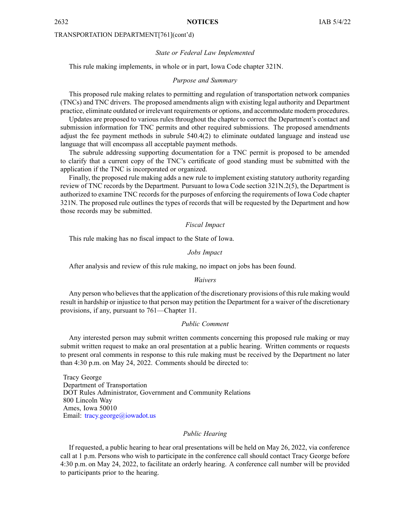2632 **NOTICES** IAB 5/4/22

#### TRANSPORTATION DEPARTMENT[761](cont'd)

#### *State or Federal Law Implemented*

This rule making implements, in whole or in part, Iowa Code chapter 321N.

#### *Purpose and Summary*

This proposed rule making relates to permitting and regulation of transportation network companies (TNCs) and TNC drivers. The proposed amendments align with existing legal authority and Department practice, eliminate outdated or irrelevant requirements or options, and accommodate modern procedures.

Updates are proposed to various rules throughout the chapter to correct the Department's contact and submission information for TNC permits and other required submissions. The proposed amendments adjust the fee paymen<sup>t</sup> methods in subrule 540.4(2) to eliminate outdated language and instead use language that will encompass all acceptable paymen<sup>t</sup> methods.

The subrule addressing supporting documentation for <sup>a</sup> TNC permit is proposed to be amended to clarify that <sup>a</sup> current copy of the TNC's certificate of good standing must be submitted with the application if the TNC is incorporated or organized.

Finally, the proposed rule making adds <sup>a</sup> new rule to implement existing statutory authority regarding review of TNC records by the Department. Pursuant to Iowa Code section 321N.2(5), the Department is authorized to examine TNC records for the purposes of enforcing the requirements of Iowa Code chapter 321N. The proposed rule outlines the types of records that will be requested by the Department and how those records may be submitted.

#### *Fiscal Impact*

This rule making has no fiscal impact to the State of Iowa.

#### *Jobs Impact*

After analysis and review of this rule making, no impact on jobs has been found.

#### *Waivers*

Any person who believes that the application of the discretionary provisions of this rule making would result in hardship or injustice to that person may petition the Department for <sup>a</sup> waiver of the discretionary provisions, if any, pursuan<sup>t</sup> to 761—Chapter 11.

#### *Public Comment*

Any interested person may submit written comments concerning this proposed rule making or may submit written reques<sup>t</sup> to make an oral presentation at <sup>a</sup> public hearing. Written comments or requests to presen<sup>t</sup> oral comments in response to this rule making must be received by the Department no later than 4:30 p.m. on May 24, 2022. Comments should be directed to:

Tracy George Department of Transportation DOT Rules Administrator, Government and Community Relations 800 Lincoln Way Ames, Iowa 50010 Email: [tracy.george@iowadot.us](mailto:tracy.george@iowadot.us)

#### *Public Hearing*

If requested, <sup>a</sup> public hearing to hear oral presentations will be held on May 26, 2022, via conference call at 1 p.m. Persons who wish to participate in the conference call should contact Tracy George before 4:30 p.m. on May 24, 2022, to facilitate an orderly hearing. A conference call number will be provided to participants prior to the hearing.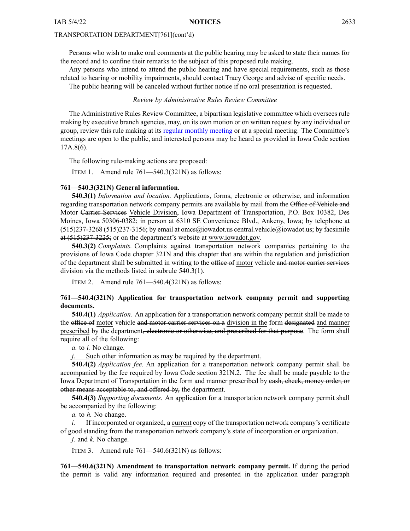Persons who wish to make oral comments at the public hearing may be asked to state their names for the record and to confine their remarks to the subject of this proposed rule making.

Any persons who intend to attend the public hearing and have special requirements, such as those related to hearing or mobility impairments, should contact Tracy George and advise of specific needs. The public hearing will be canceled without further notice if no oral presentation is requested.

#### *Review by Administrative Rules Review Committee*

The Administrative Rules Review Committee, <sup>a</sup> bipartisan legislative committee which oversees rule making by executive branch agencies, may, on its own motion or on written reques<sup>t</sup> by any individual or group, review this rule making at its regular [monthly](https://www.legis.iowa.gov/committees/meetings/meetingsListComm?groupID=705&ga=89) meeting or at <sup>a</sup> special meeting. The Committee's meetings are open to the public, and interested persons may be heard as provided in Iowa Code section 17A.8(6).

The following rule-making actions are proposed:

ITEM 1. Amend rule 761—540.3(321N) as follows:

#### **761—540.3(321N) General information.**

**540.3(1)** *Information and location.* Applications, forms, electronic or otherwise, and information regarding transportation network company permits are available by mail from the Office of Vehicle and Motor Carrier Services Vehicle Division, Iowa Department of Transportation, P.O. Box 10382, Des Moines, Iowa 50306-0382; in person at 6310 SE Convenience Blvd., Ankeny, Iowa; by telephone at  $(515)237-3268$  (515)237-3156; by email at omes $@i$ owadot.us central.vehicle@iowadot.us; by facsimile at (515)237-3225; or on the department's website at [www.iowadot.gov](http://www.iowadot.gov).

**540.3(2)** *Complaints.* Complaints against transportation network companies pertaining to the provisions of Iowa Code chapter [321N](https://www.legis.iowa.gov/docs/ico/chapter/2017/321N.pdf) and this chapter that are within the regulation and jurisdiction of the department shall be submitted in writing to the office of motor vehicle and motor carrier services division via the methods listed in subrule 540.3(1).

ITEM 2. Amend rule 761—540.4(321N) as follows:

#### **761—540.4(321N) Application for transportation network company permit and supporting documents.**

**540.4(1)** *Application.* An application for <sup>a</sup> transportation network company permit shall be made to the office of motor vehicle and motor carrier services on a division in the form designated and manner prescribed by the department<del>, electronic or otherwise, and prescribed for that purpose</del>. The form shall require all of the following:

*a.* to *i.* No change.

*j.* Such other information as may be required by the department.

**540.4(2)** *Application fee.* An application for <sup>a</sup> transportation network company permit shall be accompanied by the fee required by Iowa Code section [321N.2](https://www.legis.iowa.gov/docs/ico/section/2017/321N.2.pdf). The fee shall be made payable to the Iowa Department of Transportation in the form and manner prescribed by eash, check, money order, or other means acceptable to, and offered by, the department.

**540.4(3)** *Supporting documents.* An application for <sup>a</sup> transportation network company permit shall be accompanied by the following:

*a.* to *h.* No change.

*i.* If incorporated or organized, <sup>a</sup> current copy of the transportation network company's certificate of good standing from the transportation network company's state of incorporation or organization.

*j.* and *k.* No change.

ITEM 3. Amend rule  $761 - 540.6(321)$  as follows:

**761—540.6(321N) Amendment to transportation network company permit.** If during the period the permit is valid any information required and presented in the application under paragraph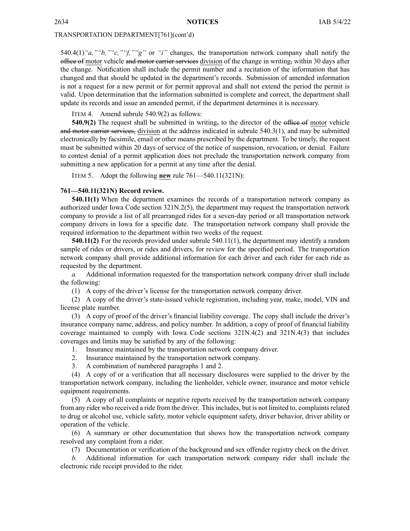540.4(1)*"a,""b,""c,""f,""g"* or *"i"* changes, the transportation network company shall notify the office of motor vehicle and motor carrier services division of the change in writing, within 30 days after the change. Notification shall include the permit number and <sup>a</sup> recitation of the information that has changed and that should be updated in the department's records. Submission of amended information is not <sup>a</sup> reques<sup>t</sup> for <sup>a</sup> new permit or for permit approval and shall not extend the period the permit is valid. Upon determination that the information submitted is complete and correct, the department shall update its records and issue an amended permit, if the department determines it is necessary.

ITEM 4. Amend subrule 540.9(2) as follows:

**540.9(2)** The request shall be submitted in writing, to the director of the office of motor vehicle and motor carrier services, division at the address indicated in subrule 540.3(1), and may be submitted electronically by facsimile, email or other means prescribed by the department. To be timely, the reques<sup>t</sup> must be submitted within 20 days of service of the notice of suspension, revocation, or denial. Failure to contest denial of <sup>a</sup> permit application does not preclude the transportation network company from submitting <sup>a</sup> new application for <sup>a</sup> permit at any time after the denial.

ITEM 5. Adopt the following **new** rule 761—540.11(321N):

#### **761—540.11(321N) Record review.**

**540.11(1)** When the department examines the records of <sup>a</sup> transportation network company as authorized under Iowa Code section [321N.2\(5\)](https://www.legis.iowa.gov/docs/ico/section/321N.2.pdf), the department may reques<sup>t</sup> the transportation network company to provide <sup>a</sup> list of all prearranged rides for <sup>a</sup> seven-day period or all transportation network company drivers in Iowa for <sup>a</sup> specific date. The transportation network company shall provide the required information to the department within two weeks of the request.

**540.11(2)** For the records provided under subrule 540.11(1), the department may identify <sup>a</sup> random sample of rides or drivers, or rides and drivers, for review for the specified period. The transportation network company shall provide additional information for each driver and each rider for each ride as requested by the department.

*a.* Additional information requested for the transportation network company driver shall include the following:

(1) A copy of the driver's license for the transportation network company driver.

(2) A copy of the driver's state-issued vehicle registration, including year, make, model, VIN and license plate number.

(3) A copy of proof of the driver's financial liability coverage. The copy shall include the driver's insurance company name, address, and policy number. In addition, <sup>a</sup> copy of proof of financial liability coverage maintained to comply with Iowa Code sections [321N.4\(2\)](https://www.legis.iowa.gov/docs/ico/section/321N.4.pdf) and [321N.4\(3\)](https://www.legis.iowa.gov/docs/ico/section/321N.4.pdf) that includes coverages and limits may be satisfied by any of the following:

1. Insurance maintained by the transportation network company driver.

- 2. Insurance maintained by the transportation network company.
- 3. A combination of numbered paragraphs 1 and 2.

(4) A copy of or <sup>a</sup> verification that all necessary disclosures were supplied to the driver by the transportation network company, including the lienholder, vehicle owner, insurance and motor vehicle equipment requirements.

(5) A copy of all complaints or negative reports received by the transportation network company from any rider who received a ride from the driver. This includes, but is not limited to, complaints related to drug or alcohol use, vehicle safety, motor vehicle equipment safety, driver behavior, driver ability or operation of the vehicle.

(6) A summary or other documentation that shows how the transportation network company resolved any complaint from <sup>a</sup> rider.

(7) Documentation or verification of the background and sex offender registry check on the driver.

*b.* Additional information for each transportation network company rider shall include the electronic ride receipt provided to the rider.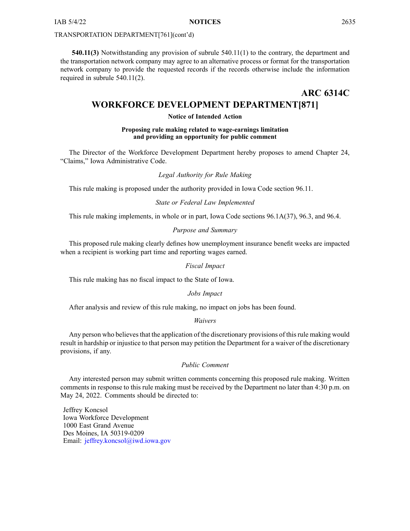<span id="page-20-0"></span>**540.11(3)** Notwithstanding any provision of subrule 540.11(1) to the contrary, the department and the transportation network company may agree to an alternative process or format for the transportation network company to provide the requested records if the records otherwise include the information required in subrule 540.11(2).

# **ARC 6314C WORKFORCE DEVELOPMENT DEPARTMENT[871]**

#### **Notice of Intended Action**

#### **Proposing rule making related to wage-earnings limitation and providing an opportunity for public comment**

The Director of the Workforce Development Department hereby proposes to amend Chapter 24, "Claims," Iowa Administrative Code.

#### *Legal Authority for Rule Making*

This rule making is proposed under the authority provided in Iowa Code section 96.11.

#### *State or Federal Law Implemented*

This rule making implements, in whole or in part, Iowa Code sections 96.1A(37), 96.3, and 96.4.

#### *Purpose and Summary*

This proposed rule making clearly defines how unemployment insurance benefit weeks are impacted when <sup>a</sup> recipient is working par<sup>t</sup> time and reporting wages earned.

#### *Fiscal Impact*

This rule making has no fiscal impact to the State of Iowa.

#### *Jobs Impact*

After analysis and review of this rule making, no impact on jobs has been found.

#### *Waivers*

Any person who believes that the application of the discretionary provisions of this rule making would result in hardship or injustice to that person may petition the Department for <sup>a</sup> waiver of the discretionary provisions, if any.

#### *Public Comment*

Any interested person may submit written comments concerning this proposed rule making. Written comments in response to this rule making must be received by the Department no later than 4:30 p.m. on May 24, 2022. Comments should be directed to:

Jeffrey Koncsol Iowa Workforce Development 1000 East Grand Avenue Des Moines, IA 50319-0209 Email: [jeffrey.koncsol@iwd.iowa.gov](mailto:jeffrey.koncsol@iwd.iowa.gov)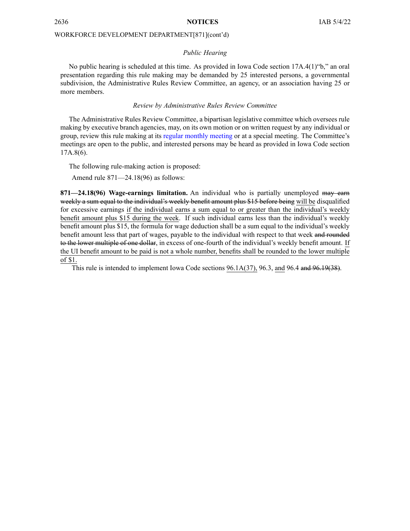#### WORKFORCE DEVELOPMENT DEPARTMENT[871](cont'd)

#### *Public Hearing*

No public hearing is scheduled at this time. As provided in Iowa Code section 17A.4(1)"b," an oral presentation regarding this rule making may be demanded by 25 interested persons, <sup>a</sup> governmental subdivision, the Administrative Rules Review Committee, an agency, or an association having 25 or more members.

#### *Review by Administrative Rules Review Committee*

The Administrative Rules Review Committee, <sup>a</sup> bipartisan legislative committee which oversees rule making by executive branch agencies, may, on its own motion or on written reques<sup>t</sup> by any individual or group, review this rule making at its regular [monthly](https://www.legis.iowa.gov/committees/meetings/meetingsListComm?groupID=705&ga=89) meeting or at <sup>a</sup> special meeting. The Committee's meetings are open to the public, and interested persons may be heard as provided in Iowa Code section 17A.8(6).

The following rule-making action is proposed:

Amend rule 871—24.18(96) as follows:

**871—24.18(96) Wage-earnings limitation.** An individual who is partially unemployed may earn weekly <sup>a</sup> sum equal to the individual's weekly benefit amount plus \$15 before being will be disqualified for excessive earnings if the individual earns <sup>a</sup> sum equal to or greater than the individual's weekly benefit amount plus \$15 during the week. If such individual earns less than the individual's weekly benefit amount plus \$15, the formula for wage deduction shall be <sup>a</sup> sum equal to the individual's weekly benefit amount less that par<sup>t</sup> of wages, payable to the individual with respec<sup>t</sup> to that week and rounded to the lower multiple of one dollar, in excess of one-fourth of the individual's weekly benefit amount. If the UI benefit amount to be paid is not <sup>a</sup> whole number, benefits shall be rounded to the lower multiple of \$1.

This rule is intended to implement Iowa Code sections [96.1A\(37\)](https://www.legis.iowa.gov/docs/ico/section/96.1A.pdf), [96.3](https://www.legis.iowa.gov/docs/ico/section/96.3.pdf), and [96.4](https://www.legis.iowa.gov/docs/ico/section/96.4.pdf) and [96.19\(38\)](https://www.legis.iowa.gov/docs/ico/section/96.19.pdf).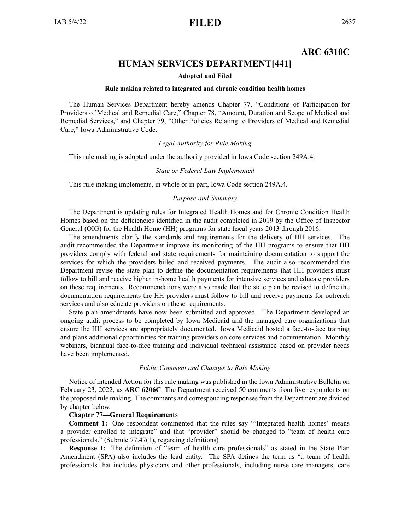# **ARC 6310C**

# **HUMAN SERVICES DEPARTMENT[441]**

#### **Adopted and Filed**

#### **Rule making related to integrated and chronic condition health homes**

<span id="page-22-0"></span>The Human Services Department hereby amends Chapter 77, "Conditions of Participation for Providers of Medical and Remedial Care," Chapter 78, "Amount, Duration and Scope of Medical and Remedial Services," and Chapter 79, "Other Policies Relating to Providers of Medical and Remedial Care," Iowa Administrative Code.

#### *Legal Authority for Rule Making*

This rule making is adopted under the authority provided in Iowa Code section 249A.4.

#### *State or Federal Law Implemented*

This rule making implements, in whole or in part, Iowa Code section 249A.4.

#### *Purpose and Summary*

The Department is updating rules for Integrated Health Homes and for Chronic Condition Health Homes based on the deficiencies identified in the audit completed in 2019 by the Office of Inspector General (OIG) for the Health Home (HH) programs for state fiscal years 2013 through 2016.

The amendments clarify the standards and requirements for the delivery of HH services. The audit recommended the Department improve its monitoring of the HH programs to ensure that HH providers comply with federal and state requirements for maintaining documentation to suppor<sup>t</sup> the services for which the providers billed and received payments. The audit also recommended the Department revise the state plan to define the documentation requirements that HH providers must follow to bill and receive higher in-home health payments for intensive services and educate providers on these requirements. Recommendations were also made that the state plan be revised to define the documentation requirements the HH providers must follow to bill and receive payments for outreach services and also educate providers on these requirements.

State plan amendments have now been submitted and approved. The Department developed an ongoing audit process to be completed by Iowa Medicaid and the managed care organizations that ensure the HH services are appropriately documented. Iowa Medicaid hosted <sup>a</sup> face-to-face training and plans additional opportunities for training providers on core services and documentation. Monthly webinars, biannual face-to-face training and individual technical assistance based on provider needs have been implemented.

#### *Public Comment and Changes to Rule Making*

Notice of Intended Action for this rule making was published in the Iowa Administrative Bulletin on February 23, 2022, as **ARC 6206C**. The Department received 50 comments from five respondents on the proposed rule making. The comments and corresponding responses from the Department are divided by chapter below.

#### **Chapter 77—General Requirements**

**Comment 1:** One respondent commented that the rules say "'Integrated health homes' means <sup>a</sup> provider enrolled to integrate" and that "provider" should be changed to "team of health care professionals." (Subrule 77.47(1), regarding definitions)

**Response 1:** The definition of "team of health care professionals" as stated in the State Plan Amendment (SPA) also includes the lead entity. The SPA defines the term as "a team of health professionals that includes physicians and other professionals, including nurse care managers, care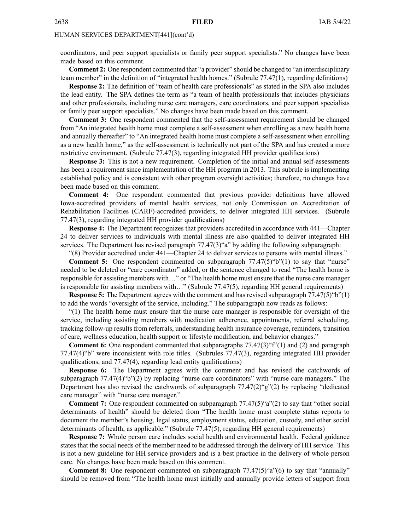coordinators, and peer suppor<sup>t</sup> specialists or family peer suppor<sup>t</sup> specialists." No changes have been made based on this comment.

**Comment 2:** One respondent commented that "a provider" should be changed to "an interdisciplinary team member" in the definition of "integrated health homes." (Subrule 77.47(1), regarding definitions)

**Response 2:** The definition of "team of health care professionals" as stated in the SPA also includes the lead entity. The SPA defines the term as "a team of health professionals that includes physicians and other professionals, including nurse care managers, care coordinators, and peer suppor<sup>t</sup> specialists or family peer suppor<sup>t</sup> specialists." No changes have been made based on this comment.

**Comment 3:** One respondent commented that the self-assessment requirement should be changed from "An integrated health home must complete <sup>a</sup> self-assessment when enrolling as <sup>a</sup> new health home and annually thereafter" to "An integrated health home must complete <sup>a</sup> self-assessment when enrolling as <sup>a</sup> new health home," as the self-assessment is technically not par<sup>t</sup> of the SPA and has created <sup>a</sup> more restrictive environment. (Subrule 77.47(3), regarding integrated HH provider qualifications)

**Response 3:** This is not <sup>a</sup> new requirement. Completion of the initial and annual self-assessments has been <sup>a</sup> requirement since implementation of the HH program in 2013. This subrule is implementing established policy and is consistent with other program oversight activities; therefore, no changes have been made based on this comment.

**Comment 4:** One respondent commented that previous provider definitions have allowed Iowa-accredited providers of mental health services, not only Commission on Accreditation of Rehabilitation Facilities (CARF)-accredited providers, to deliver integrated HH services. (Subrule 77.47(3), regarding integrated HH provider qualifications)

**Response 4:** The Department recognizes that providers accredited in accordance with 441—Chapter 24 to deliver services to individuals with mental illness are also qualified to deliver integrated HH services. The Department has revised paragraph 77.47(3)"a" by adding the following subparagraph:

"(8) Provider accredited under 441—Chapter 24 to deliver services to persons with mental illness." **Comment 5:** One respondent commented on subparagraph  $77.47(5)$ "b"(1) to say that "nurse" needed to be deleted or "care coordinator" added, or the sentence changed to read "The health home is responsible for assisting members with…" or "The health home must ensure that the nurse care manager is responsible for assisting members with…" (Subrule 77.47(5), regarding HH general requirements)

**Response 5:** The Department agrees with the comment and has revised subparagraph 77.47(5)"b"(1) to add the words "oversight of the service, including." The subparagraph now reads as follows:

"(1) The health home must ensure that the nurse care manager is responsible for oversight of the service, including assisting members with medication adherence, appointments, referral scheduling, tracking follow-up results from referrals, understanding health insurance coverage, reminders, transition of care, wellness education, health suppor<sup>t</sup> or lifestyle modification, and behavior changes."

**Comment 6:** One respondent commented that subparagraphs  $77.47(3)$ "f"(1) and (2) and paragraph 77.47(4)"b" were inconsistent with role titles. (Subrules 77.47(3), regarding integrated HH provider qualifications, and 77.47(4), regarding lead entity qualifications)

**Response 6:** The Department agrees with the comment and has revised the catchwords of subparagraph 77.47(4)"b"(2) by replacing "nurse care coordinators" with "nurse care managers." The Department has also revised the catchwords of subparagraph  $77.47(2)$ "g" $(2)$  by replacing "dedicated" care manager" with "nurse care manager."

**Comment** 7: One respondent commented on subparagraph 77.47(5)"a"(2) to say that "other social determinants of health" should be deleted from "The health home must complete status reports to document the member's housing, legal status, employment status, education, custody, and other social determinants of health, as applicable." (Subrule 77.47(5), regarding HH general requirements)

**Response 7:** Whole person care includes social health and environmental health. Federal guidance states that the social needs of the member need to be addressed through the delivery of HH service. This is not <sup>a</sup> new guideline for HH service providers and is <sup>a</sup> best practice in the delivery of whole person care. No changes have been made based on this comment.

**Comment 8:** One respondent commented on subparagraph  $77.47(5)$ "a"(6) to say that "annually" should be removed from "The health home must initially and annually provide letters of suppor<sup>t</sup> from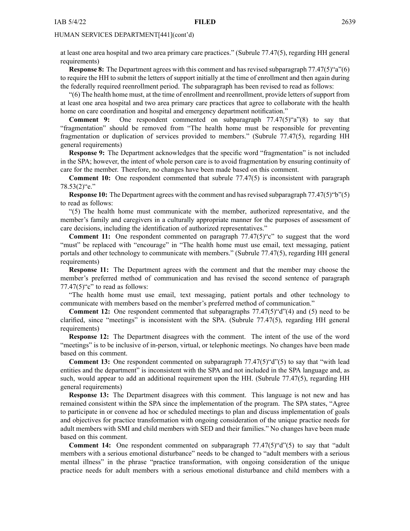at least one area hospital and two area primary care practices." (Subrule 77.47(5), regarding HH general requirements)

**Response 8:** The Department agrees with this comment and has revised subparagraph 77.47(5)"a"(6) to require the HH to submit the letters of suppor<sup>t</sup> initially at the time of enrollment and then again during the federally required reenrollment period. The subparagraph has been revised to read as follows:

"(6) The health home must, at the time of enrollment and reenrollment, provide letters ofsupport from at least one area hospital and two area primary care practices that agree to collaborate with the health home on care coordination and hospital and emergency department notification."

**Comment 9:** One respondent commented on subparagraph 77.47(5)"a"(8) to say that "fragmentation" should be removed from "The health home must be responsible for preventing fragmentation or duplication of services provided to members." (Subrule 77.47(5), regarding HH general requirements)

**Response 9:** The Department acknowledges that the specific word "fragmentation" is not included in the SPA; however, the intent of whole person care is to avoid fragmentation by ensuring continuity of care for the member. Therefore, no changes have been made based on this comment.

**Comment 10:** One respondent commented that subrule 77.47(5) is inconsistent with paragraph 78.53(2)"e."

**Response 10:** The Department agrees with the comment and hasrevised subparagraph 77.47(5)"b"(5) to read as follows:

"(5) The health home must communicate with the member, authorized representative, and the member's family and caregivers in <sup>a</sup> culturally appropriate manner for the purposes of assessment of care decisions, including the identification of authorized representatives."

**Comment 11:** One respondent commented on paragraph 77.47(5)"c" to sugges<sup>t</sup> that the word "must" be replaced with "encourage" in "The health home must use email, text messaging, patient portals and other technology to communicate with members." (Subrule 77.47(5), regarding HH general requirements)

**Response 11:** The Department agrees with the comment and that the member may choose the member's preferred method of communication and has revised the second sentence of paragraph  $77.47(5)$ "c" to read as follows:

"The health home must use email, text messaging, patient portals and other technology to communicate with members based on the member's preferred method of communication."

**Comment 12:** One respondent commented that subparagraphs 77.47(5)"d"(4) and (5) need to be clarified, since "meetings" is inconsistent with the SPA. (Subrule 77.47(5), regarding HH general requirements)

**Response 12:** The Department disagrees with the comment. The intent of the use of the word "meetings" is to be inclusive of in-person, virtual, or telephonic meetings. No changes have been made based on this comment.

**Comment 13:** One respondent commented on subparagraph 77.47(5)"d"(5) to say that "with lead entities and the department" is inconsistent with the SPA and not included in the SPA language and, as such, would appear to add an additional requirement upon the HH. (Subrule 77.47(5), regarding HH general requirements)

**Response 13:** The Department disagrees with this comment. This language is not new and has remained consistent within the SPA since the implementation of the program. The SPA states, "Agree to participate in or convene ad hoc or scheduled meetings to plan and discuss implementation of goals and objectives for practice transformation with ongoing consideration of the unique practice needs for adult members with SMI and child members with SED and their families." No changes have been made based on this comment.

**Comment 14:** One respondent commented on subparagraph 77.47(5)"d"(5) to say that "adult members with <sup>a</sup> serious emotional disturbance" needs to be changed to "adult members with <sup>a</sup> serious mental illness" in the phrase "practice transformation, with ongoing consideration of the unique practice needs for adult members with <sup>a</sup> serious emotional disturbance and child members with <sup>a</sup>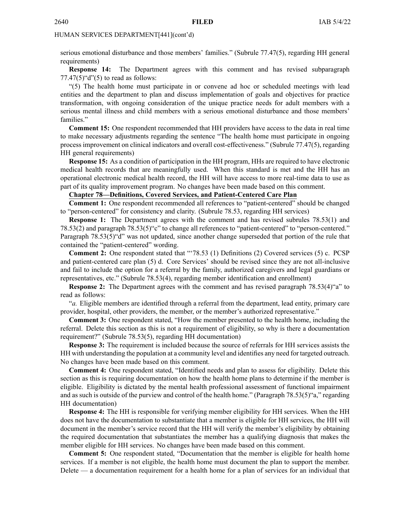serious emotional disturbance and those members' families." (Subrule 77.47(5), regarding HH general requirements)

**Response 14:** The Department agrees with this comment and has revised subparagraph  $77.47(5)$ "d" $(5)$  to read as follows:

"(5) The health home must participate in or convene ad hoc or scheduled meetings with lead entities and the department to plan and discuss implementation of goals and objectives for practice transformation, with ongoing consideration of the unique practice needs for adult members with <sup>a</sup> serious mental illness and child members with <sup>a</sup> serious emotional disturbance and those members' families"

**Comment 15:** One respondent recommended that HH providers have access to the data in real time to make necessary adjustments regarding the sentence "The health home must participate in ongoing process improvement on clinical indicators and overall cost-effectiveness." (Subrule 77.47(5), regarding HH general requirements)

**Response 15:** As <sup>a</sup> condition of participation in the HH program, HHs are required to have electronic medical health records that are meaningfully used. When this standard is met and the HH has an operational electronic medical health record, the HH will have access to more real-time data to use as par<sup>t</sup> of its quality improvement program. No changes have been made based on this comment.

#### **Chapter 78—Definitions, Covered Services, and Patient-Centered Care Plan**

**Comment 1:** One respondent recommended all references to "patient-centered" should be changed to "person-centered" for consistency and clarity. (Subrule 78.53, regarding HH services)

**Response 1:** The Department agrees with the comment and has revised subrules 78.53(1) and 78.53(2) and paragraph 78.53(5)"c" to change all references to "patient-centered" to "person-centered." Paragraph 78.53(5)"d" was not updated, since another change superseded that portion of the rule that contained the "patient-centered" wording.

**Comment 2:** One respondent stated that "'78.53 (1) Definitions (2) Covered services (5) c. PCSP and patient-centered care plan (5) d. Core Services' should be revised since they are not all-inclusive and fail to include the option for <sup>a</sup> referral by the family, authorized caregivers and legal guardians or representatives, etc." (Subrule 78.53(4), regarding member identification and enrollment)

**Response 2:** The Department agrees with the comment and has revised paragraph 78.53(4)"a" to read as follows:

"*a.* Eligible members are identified through <sup>a</sup> referral from the department, lead entity, primary care provider, hospital, other providers, the member, or the member's authorized representative."

**Comment 3:** One respondent stated, "How the member presented to the health home, including the referral. Delete this section as this is not <sup>a</sup> requirement of eligibility, so why is there <sup>a</sup> documentation requirement?" (Subrule 78.53(5), regarding HH documentation)

**Response 3:** The requirement is included because the source of referrals for HH services assists the HH with understanding the population at <sup>a</sup> community level and identifies any need for targeted outreach. No changes have been made based on this comment.

**Comment 4:** One respondent stated, "Identified needs and plan to assess for eligibility. Delete this section as this is requiring documentation on how the health home plans to determine if the member is eligible. Eligibility is dictated by the mental health professional assessment of functional impairment and as such is outside of the purview and control of the health home." (Paragraph 78.53(5)"a," regarding HH documentation)

**Response 4:** The HH is responsible for verifying member eligibility for HH services. When the HH does not have the documentation to substantiate that <sup>a</sup> member is eligible for HH services, the HH will document in the member's service record that the HH will verify the member's eligibility by obtaining the required documentation that substantiates the member has <sup>a</sup> qualifying diagnosis that makes the member eligible for HH services. No changes have been made based on this comment.

**Comment 5:** One respondent stated, "Documentation that the member is eligible for health home services. If <sup>a</sup> member is not eligible, the health home must document the plan to suppor<sup>t</sup> the member. Delete — <sup>a</sup> documentation requirement for <sup>a</sup> health home for <sup>a</sup> plan of services for an individual that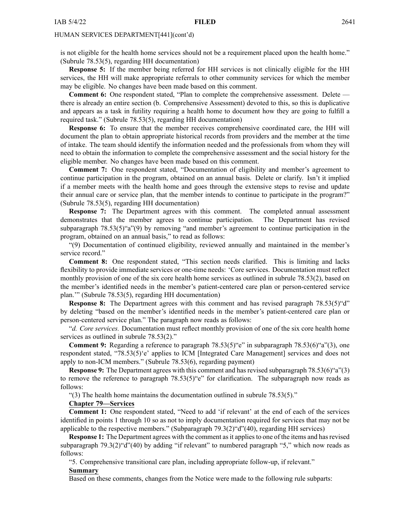is not eligible for the health home services should not be <sup>a</sup> requirement placed upon the health home." (Subrule 78.53(5), regarding HH documentation)

**Response 5:** If the member being referred for HH services is not clinically eligible for the HH services, the HH will make appropriate referrals to other community services for which the member may be eligible. No changes have been made based on this comment.

**Comment 6:** One respondent stated, "Plan to complete the comprehensive assessment. Delete there is already an entire section (b. Comprehensive Assessment) devoted to this, so this is duplicative and appears as <sup>a</sup> task in futility requiring <sup>a</sup> health home to document how they are going to fulfill <sup>a</sup> required task." (Subrule 78.53(5), regarding HH documentation)

**Response 6:** To ensure that the member receives comprehensive coordinated care, the HH will document the plan to obtain appropriate historical records from providers and the member at the time of intake. The team should identify the information needed and the professionals from whom they will need to obtain the information to complete the comprehensive assessment and the social history for the eligible member. No changes have been made based on this comment.

**Comment 7:** One respondent stated, "Documentation of eligibility and member's agreemen<sup>t</sup> to continue participation in the program, obtained on an annual basis. Delete or clarify. Isn't it implied if <sup>a</sup> member meets with the health home and goes through the extensive steps to revise and update their annual care or service plan, that the member intends to continue to participate in the program?" (Subrule 78.53(5), regarding HH documentation)

**Response 7:** The Department agrees with this comment. The completed annual assessment demonstrates that the member agrees to continue participation. The Department has revised subparagraph 78.53(5)"a"(9) by removing "and member's agreemen<sup>t</sup> to continue participation in the program, obtained on an annual basis," to read as follows:

"(9) Documentation of continued eligibility, reviewed annually and maintained in the member's service record."

**Comment 8:** One respondent stated, "This section needs clarified. This is limiting and lacks flexibility to provide immediate services or one-time needs: 'Core services. Documentation must reflect monthly provision of one of the six core health home services as outlined in subrule 78.53(2), based on the member's identified needs in the member's patient-centered care plan or person-centered service plan.'" (Subrule 78.53(5), regarding HH documentation)

**Response 8:** The Department agrees with this comment and has revised paragraph 78.53(5) "d" by deleting "based on the member's identified needs in the member's patient-centered care plan or person-centered service plan." The paragraph now reads as follows:

"*d. Core services.* Documentation must reflect monthly provision of one of the six core health home services as outlined in subrule 78.53(2)."

**Comment 9:** Regarding a reference to paragraph  $78.53(5)$ "e" in subparagraph  $78.53(6)$ "a"(3), one respondent stated, "78.53(5)'e' applies to ICM [Integrated Care Management] services and does not apply to non-ICM members." (Subrule 78.53(6), regarding payment)

**Response 9:** The Department agrees with this comment and has revised subparagraph 78.53(6)"a"(3) to remove the reference to paragraph 78.53(5)"e" for clarification. The subparagraph now reads as follows:

"(3) The health home maintains the documentation outlined in subrule 78.53(5)."

#### **Chapter 79—Services**

**Comment 1:** One respondent stated, "Need to add 'if relevant' at the end of each of the services identified in points 1 through 10 so as not to imply documentation required for services that may not be applicable to the respective members." (Subparagraph 79.3(2)"d"(40), regarding HH services)

**Response 1:** The Department agrees with the comment as it applies to one of the items and has revised subparagraph 79.3(2)"d"(40) by adding "if relevant" to numbered paragraph "5," which now reads as follows:

"5. Comprehensive transitional care plan, including appropriate follow-up, if relevant."

#### **Summary**

Based on these comments, changes from the Notice were made to the following rule subparts: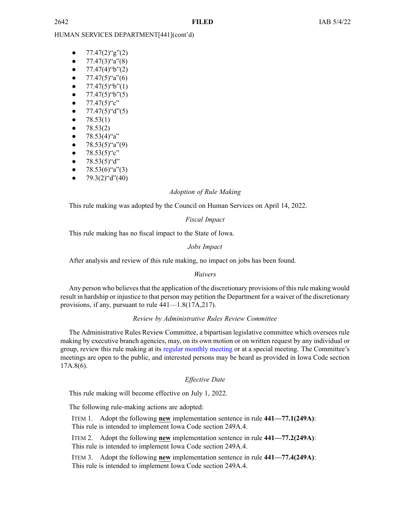- ● $77.47(2)$ "g"(2)
- ●77.47(3)"a"(8)
- ● $77.47(4)$ "b" $(2)$
- ● $77.47(5)$ "a" $(6)$
- ● $77.47(5)$ "b" $(1)$
- ● $77.47(5)$ "b" $(5)$
- ●77.47(5)"c"
- ●77.47(5)"d"(5)
- ●78.53(1)
- ●78.53(2)
- ●78.53(4)"a"
- ●78.53(5)"a"(9)
- ●78.53(5)"c"
- ●78.53(5)"d"
- ●78.53(6)"a"(3)
- ●79.3(2)"d"(40)

#### *Adoption of Rule Making*

This rule making was adopted by the Council on Human Services on April 14, 2022.

#### *Fiscal Impact*

This rule making has no fiscal impact to the State of Iowa.

#### *Jobs Impact*

After analysis and review of this rule making, no impact on jobs has been found.

#### *Waivers*

Any person who believes that the application of the discretionary provisions of this rule making would result in hardship or injustice to that person may petition the Department for <sup>a</sup> waiver of the discretionary provisions, if any, pursuan<sup>t</sup> to rule 441—1.8(17A,217).

#### *Review by Administrative Rules Review Committee*

The Administrative Rules Review Committee, <sup>a</sup> bipartisan legislative committee which oversees rule making by executive branch agencies, may, on its own motion or on written reques<sup>t</sup> by any individual or group, review this rule making at its regular [monthly](https://www.legis.iowa.gov/committees/meetings/meetingsListComm?groupID=705&ga=89) meeting or at <sup>a</sup> special meeting. The Committee's meetings are open to the public, and interested persons may be heard as provided in Iowa Code section 17A.8(6).

### *Effective Date*

This rule making will become effective on July 1, 2022.

The following rule-making actions are adopted:

ITEM 1. Adopt the following **new** implementation sentence in rule **441—77.1(249A)**: This rule is intended to implement Iowa Code section [249A.4](https://www.legis.iowa.gov/docs/ico/section/249A.4.pdf).

ITEM 2. Adopt the following **new** implementation sentence in rule **441—77.2(249A)**: This rule is intended to implement Iowa Code section [249A.4](https://www.legis.iowa.gov/docs/ico/section/249A.4.pdf).

ITEM 3. Adopt the following **new** implementation sentence in rule **441—77.4(249A)**: This rule is intended to implement Iowa Code section [249A.4](https://www.legis.iowa.gov/docs/ico/section/249A.4.pdf).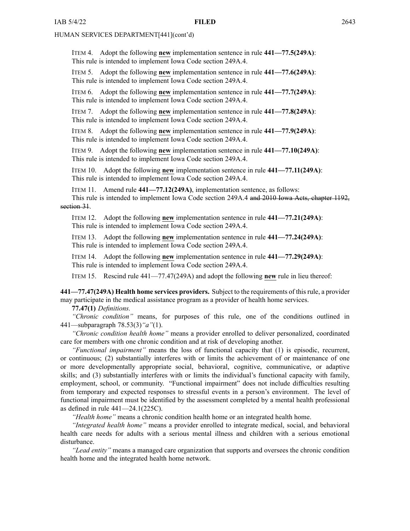ITEM 4. Adopt the following **new** implementation sentence in rule **441—77.5(249A)**: This rule is intended to implement Iowa Code section [249A.4](https://www.legis.iowa.gov/docs/ico/section/249A.4.pdf).

ITEM 5. Adopt the following **new** implementation sentence in rule **441—77.6(249A)**: This rule is intended to implement Iowa Code section [249A.4](https://www.legis.iowa.gov/docs/ico/section/249A.4.pdf).

ITEM 6. Adopt the following **new** implementation sentence in rule **441—77.7(249A)**: This rule is intended to implement Iowa Code section [249A.4](https://www.legis.iowa.gov/docs/ico/section/249A.4.pdf).

ITEM 7. Adopt the following **new** implementation sentence in rule **441—77.8(249A)**: This rule is intended to implement Iowa Code section [249A.4](https://www.legis.iowa.gov/docs/ico/section/249A.4.pdf).

ITEM 8. Adopt the following **new** implementation sentence in rule **441—77.9(249A)**: This rule is intended to implement Iowa Code section [249A.4](https://www.legis.iowa.gov/docs/ico/section/249A.4.pdf).

ITEM 9. Adopt the following **new** implementation sentence in rule **441—77.10(249A)**: This rule is intended to implement Iowa Code section [249A.4](https://www.legis.iowa.gov/docs/ico/section/249A.4.pdf).

ITEM 10. Adopt the following **new** implementation sentence in rule **441—77.11(249A)**: This rule is intended to implement Iowa Code section [249A.4](https://www.legis.iowa.gov/docs/ico/section/249A.4.pdf).

ITEM 11. Amend rule **441—77.12(249A)**, implementation sentence, as follows: This rule is intended to implement Iowa Code section [249A.4](https://www.legis.iowa.gov/docs/ico/section/249A.4.pdf) and 2010 Iowa Acts, chapter 1192, section 31.

ITEM 12. Adopt the following **new** implementation sentence in rule **441—77.21(249A)**: This rule is intended to implement Iowa Code section [249A.4](https://www.legis.iowa.gov/docs/ico/section/249A.4.pdf).

ITEM 13. Adopt the following **new** implementation sentence in rule **441—77.24(249A)**: This rule is intended to implement Iowa Code section [249A.4](https://www.legis.iowa.gov/docs/ico/section/249A.4.pdf).

ITEM 14. Adopt the following **new** implementation sentence in rule **441—77.29(249A)**: This rule is intended to implement Iowa Code section [249A.4](https://www.legis.iowa.gov/docs/ico/section/249A.4.pdf).

ITEM 15. Rescind rule 441—77.47(249A) and adopt the following **new** rule in lieu thereof:

**441—77.47(249A) Health home services providers.** Subject to the requirements of thisrule, <sup>a</sup> provider may participate in the medical assistance program as <sup>a</sup> provider of health home services.

**77.47(1)** *Definitions.*

*"Chronic condition"* means, for purposes of this rule, one of the conditions outlined in 441—subparagraph 78.53(3)*"a"*(1).

*"Chronic condition health home"* means <sup>a</sup> provider enrolled to deliver personalized, coordinated care for members with one chronic condition and at risk of developing another.

*"Functional impairment"* means the loss of functional capacity that (1) is episodic, recurrent, or continuous; (2) substantially interferes with or limits the achievement of or maintenance of one or more developmentally appropriate social, behavioral, cognitive, communicative, or adaptive skills; and (3) substantially interferes with or limits the individual's functional capacity with family, employment, school, or community. "Functional impairment" does not include difficulties resulting from temporary and expected responses to stressful events in <sup>a</sup> person's environment. The level of functional impairment must be identified by the assessment completed by <sup>a</sup> mental health professional as defined in rule 441—24.1(225C).

*"Health home"* means <sup>a</sup> chronic condition health home or an integrated health home.

*"Integrated health home"* means <sup>a</sup> provider enrolled to integrate medical, social, and behavioral health care needs for adults with <sup>a</sup> serious mental illness and children with <sup>a</sup> serious emotional disturbance.

*"Lead entity"* means <sup>a</sup> managed care organization that supports and oversees the chronic condition health home and the integrated health home network.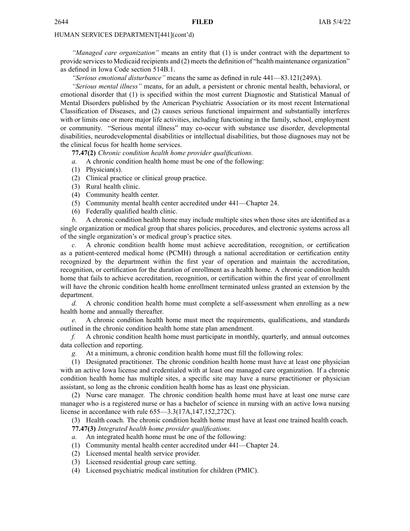*"Managed care organization"* means an entity that (1) is under contract with the department to provide services to Medicaid recipients and (2) meets the definition of "health maintenance organization" as defined in Iowa Code section [514B.1](https://www.legis.iowa.gov/docs/ico/section/514B.1.pdf).

*"Serious emotional disturbance"* means the same as defined in rule 441—83.121(249A).

*"Serious mental illness"* means, for an adult, <sup>a</sup> persistent or chronic mental health, behavioral, or emotional disorder that (1) is specified within the most current Diagnostic and Statistical Manual of Mental Disorders published by the American Psychiatric Association or its most recent International Classification of Diseases, and (2) causes serious functional impairment and substantially interferes with or limits one or more major life activities, including functioning in the family, school, employment or community. "Serious mental illness" may co-occur with substance use disorder, developmental disabilities, neurodevelopmental disabilities or intellectual disabilities, but those diagnoses may not be the clinical focus for health home services.

**77.47(2)** *Chronic condition health home provider qualifications.*

*a.* A chronic condition health home must be one of the following:

- (1) Physician(s).
- (2) Clinical practice or clinical group practice.
- (3) Rural health clinic.
- (4) Community health center.
- (5) Community mental health center accredited under 441—Chapter 24.
- (6) Federally qualified health clinic.

*b.* A chronic condition health home may include multiple sites when those sites are identified as <sup>a</sup> single organization or medical group that shares policies, procedures, and electronic systems across all of the single organization's or medical group's practice sites.

*c.* A chronic condition health home must achieve accreditation, recognition, or certification as <sup>a</sup> patient-centered medical home (PCMH) through <sup>a</sup> national accreditation or certification entity recognized by the department within the first year of operation and maintain the accreditation, recognition, or certification for the duration of enrollment as <sup>a</sup> health home. A chronic condition health home that fails to achieve accreditation, recognition, or certification within the first year of enrollment will have the chronic condition health home enrollment terminated unless granted an extension by the department.

*d.* A chronic condition health home must complete <sup>a</sup> self-assessment when enrolling as <sup>a</sup> new health home and annually thereafter.

*e.* A chronic condition health home must meet the requirements, qualifications, and standards outlined in the chronic condition health home state plan amendment.

*f.* A chronic condition health home must participate in monthly, quarterly, and annual outcomes data collection and reporting.

*g.* At <sup>a</sup> minimum, <sup>a</sup> chronic condition health home must fill the following roles:

(1) Designated practitioner. The chronic condition health home must have at least one physician with an active Iowa license and credentialed with at least one managed care organization. If <sup>a</sup> chronic condition health home has multiple sites, <sup>a</sup> specific site may have <sup>a</sup> nurse practitioner or physician assistant, so long as the chronic condition health home has as least one physician.

(2) Nurse care manager. The chronic condition health home must have at least one nurse care manager who is <sup>a</sup> registered nurse or has <sup>a</sup> bachelor of science in nursing with an active Iowa nursing license in accordance with rule 655—3.3(17A,147,152,272C).

(3) Health coach. The chronic condition health home must have at least one trained health coach.

**77.47(3)** *Integrated health home provider qualifications.*

- *a.* An integrated health home must be one of the following:
- (1) Community mental health center accredited under 441—Chapter 24.
- (2) Licensed mental health service provider.
- (3) Licensed residential group care setting.
- (4) Licensed psychiatric medical institution for children (PMIC).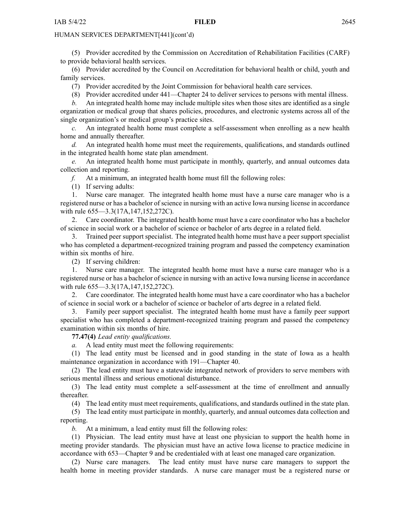(5) Provider accredited by the Commission on Accreditation of Rehabilitation Facilities (CARF) to provide behavioral health services.

(6) Provider accredited by the Council on Accreditation for behavioral health or child, youth and family services.

(7) Provider accredited by the Joint Commission for behavioral health care services.

(8) Provider accredited under 441—Chapter 24 to deliver services to persons with mental illness.

*b.* An integrated health home may include multiple sites when those sites are identified as <sup>a</sup> single organization or medical group that shares policies, procedures, and electronic systems across all of the single organization's or medical group's practice sites.

*c.* An integrated health home must complete <sup>a</sup> self-assessment when enrolling as <sup>a</sup> new health home and annually thereafter.

*d.* An integrated health home must meet the requirements, qualifications, and standards outlined in the integrated health home state plan amendment.

*e.* An integrated health home must participate in monthly, quarterly, and annual outcomes data collection and reporting.

*f.* At <sup>a</sup> minimum, an integrated health home must fill the following roles:

(1) If serving adults:

1. Nurse care manager. The integrated health home must have <sup>a</sup> nurse care manager who is <sup>a</sup> registered nurse or has <sup>a</sup> bachelor of science in nursing with an active Iowa nursing license in accordance with rule  $655 - 3.3(17A, 147, 152, 272C)$ .

2. Care coordinator. The integrated health home must have <sup>a</sup> care coordinator who has <sup>a</sup> bachelor of science in social work or <sup>a</sup> bachelor of science or bachelor of arts degree in <sup>a</sup> related field.

3. Trained peer suppor<sup>t</sup> specialist. The integrated health home must have <sup>a</sup> peer suppor<sup>t</sup> specialist who has completed <sup>a</sup> department-recognized training program and passed the competency examination within six months of hire.

(2) If serving children:

1. Nurse care manager. The integrated health home must have <sup>a</sup> nurse care manager who is <sup>a</sup> registered nurse or has <sup>a</sup> bachelor of science in nursing with an active Iowa nursing license in accordance with rule  $655 - 3.3(17A, 147, 152, 272C)$ .

2. Care coordinator. The integrated health home must have <sup>a</sup> care coordinator who has <sup>a</sup> bachelor of science in social work or <sup>a</sup> bachelor of science or bachelor of arts degree in <sup>a</sup> related field.

3. Family peer suppor<sup>t</sup> specialist. The integrated health home must have <sup>a</sup> family peer suppor<sup>t</sup> specialist who has completed <sup>a</sup> department-recognized training program and passed the competency examination within six months of hire.

**77.47(4)** *Lead entity qualifications.*

*a.* A lead entity must meet the following requirements:

(1) The lead entity must be licensed and in good standing in the state of Iowa as <sup>a</sup> health maintenance organization in accordance with 191—Chapter 40.

(2) The lead entity must have <sup>a</sup> statewide integrated network of providers to serve members with serious mental illness and serious emotional disturbance.

(3) The lead entity must complete <sup>a</sup> self-assessment at the time of enrollment and annually thereafter.

(4) The lead entity must meet requirements, qualifications, and standards outlined in the state plan.

(5) The lead entity must participate in monthly, quarterly, and annual outcomes data collection and reporting.

*b.* At <sup>a</sup> minimum, <sup>a</sup> lead entity must fill the following roles:

(1) Physician. The lead entity must have at least one physician to suppor<sup>t</sup> the health home in meeting provider standards. The physician must have an active Iowa license to practice medicine in accordance with 653—Chapter 9 and be credentialed with at least one managed care organization.

(2) Nurse care managers. The lead entity must have nurse care managers to suppor<sup>t</sup> the health home in meeting provider standards. A nurse care manager must be <sup>a</sup> registered nurse or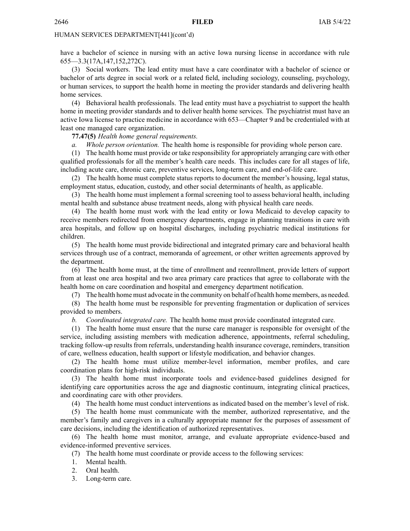have <sup>a</sup> bachelor of science in nursing with an active Iowa nursing license in accordance with rule 655—3.3(17A,147,152,272C).

(3) Social workers. The lead entity must have <sup>a</sup> care coordinator with <sup>a</sup> bachelor of science or bachelor of arts degree in social work or <sup>a</sup> related field, including sociology, counseling, psychology, or human services, to suppor<sup>t</sup> the health home in meeting the provider standards and delivering health home services.

(4) Behavioral health professionals. The lead entity must have <sup>a</sup> psychiatrist to suppor<sup>t</sup> the health home in meeting provider standards and to deliver health home services. The psychiatrist must have an active Iowa license to practice medicine in accordance with 653—Chapter 9 and be credentialed with at least one managed care organization.

**77.47(5)** *Health home general requirements.*

*a. Whole person orientation.* The health home is responsible for providing whole person care.

(1) The health home must provide or take responsibility for appropriately arranging care with other qualified professionals for all the member's health care needs. This includes care for all stages of life, including acute care, chronic care, preventive services, long-term care, and end-of-life care.

(2) The health home must complete status reports to document the member's housing, legal status, employment status, education, custody, and other social determinants of health, as applicable.

(3) The health home must implement <sup>a</sup> formal screening tool to assess behavioral health, including mental health and substance abuse treatment needs, along with physical health care needs.

(4) The health home must work with the lead entity or Iowa Medicaid to develop capacity to receive members redirected from emergency departments, engage in planning transitions in care with area hospitals, and follow up on hospital discharges, including psychiatric medical institutions for children.

(5) The health home must provide bidirectional and integrated primary care and behavioral health services through use of <sup>a</sup> contract, memoranda of agreement, or other written agreements approved by the department.

(6) The health home must, at the time of enrollment and reenrollment, provide letters of suppor<sup>t</sup> from at least one area hospital and two area primary care practices that agree to collaborate with the health home on care coordination and hospital and emergency department notification.

(7) The health home must advocate in the community on behalf of health home members, as needed.

(8) The health home must be responsible for preventing fragmentation or duplication of services provided to members.

*b. Coordinated integrated care.* The health home must provide coordinated integrated care.

(1) The health home must ensure that the nurse care manager is responsible for oversight of the service, including assisting members with medication adherence, appointments, referral scheduling, tracking follow-up results from referrals, understanding health insurance coverage, reminders, transition of care, wellness education, health suppor<sup>t</sup> or lifestyle modification, and behavior changes.

(2) The health home must utilize member-level information, member profiles, and care coordination plans for high-risk individuals.

(3) The health home must incorporate tools and evidence-based guidelines designed for identifying care opportunities across the age and diagnostic continuum, integrating clinical practices, and coordinating care with other providers.

(4) The health home must conduct interventions as indicated based on the member's level of risk.

(5) The health home must communicate with the member, authorized representative, and the member's family and caregivers in <sup>a</sup> culturally appropriate manner for the purposes of assessment of care decisions, including the identification of authorized representatives.

(6) The health home must monitor, arrange, and evaluate appropriate evidence-based and evidence-informed preventive services.

(7) The health home must coordinate or provide access to the following services:

1. Mental health.

- 2. Oral health.
- 3. Long-term care.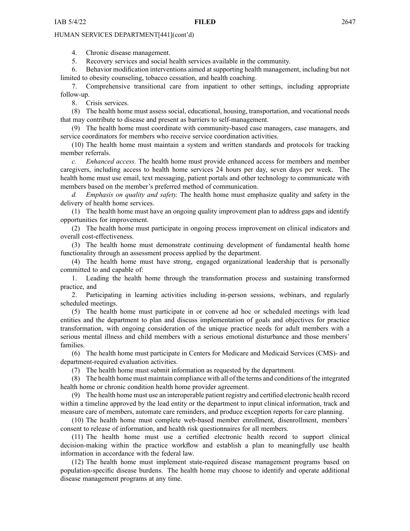4. Chronic disease management.

5. Recovery services and social health services available in the community.

6. Behavior modification interventions aimed at supporting health management, including but not limited to obesity counseling, tobacco cessation, and health coaching.

7. Comprehensive transitional care from inpatient to other settings, including appropriate follow-up.

8. Crisis services.

(8) The health home must assess social, educational, housing, transportation, and vocational needs that may contribute to disease and presen<sup>t</sup> as barriers to self-management.

(9) The health home must coordinate with community-based case managers, case managers, and service coordinators for members who receive service coordination activities.

(10) The health home must maintain <sup>a</sup> system and written standards and protocols for tracking member referrals.

*c. Enhanced access.* The health home must provide enhanced access for members and member caregivers, including access to health home services 24 hours per day, seven days per week. The health home must use email, text messaging, patient portals and other technology to communicate with members based on the member's preferred method of communication.

*d. Emphasis on quality and safety.* The health home must emphasize quality and safety in the delivery of health home services.

(1) The health home must have an ongoing quality improvement plan to address gaps and identify opportunities for improvement.

(2) The health home must participate in ongoing process improvement on clinical indicators and overall cost-effectiveness.

(3) The health home must demonstrate continuing development of fundamental health home functionality through an assessment process applied by the department.

(4) The health home must have strong, engaged organizational leadership that is personally committed to and capable of:

1. Leading the health home through the transformation process and sustaining transformed practice, and

2. Participating in learning activities including in-person sessions, webinars, and regularly scheduled meetings.

(5) The health home must participate in or convene ad hoc or scheduled meetings with lead entities and the department to plan and discuss implementation of goals and objectives for practice transformation, with ongoing consideration of the unique practice needs for adult members with <sup>a</sup> serious mental illness and child members with <sup>a</sup> serious emotional disturbance and those members' families.

(6) The health home must participate in Centers for Medicare and Medicaid Services (CMS)- and department-required evaluation activities.

(7) The health home must submit information as requested by the department.

(8) The health home must maintain compliance with all of the terms and conditions of the integrated health home or chronic condition health home provider agreement.

(9) The health home must use an interoperable patient registry and certified electronic health record within <sup>a</sup> timeline approved by the lead entity or the department to input clinical information, track and measure care of members, automate care reminders, and produce exception reports for care planning.

(10) The health home must complete web-based member enrollment, disenrollment, members' consent to release of information, and health risk questionnaires for all members.

(11) The health home must use <sup>a</sup> certified electronic health record to suppor<sup>t</sup> clinical decision-making within the practice workflow and establish <sup>a</sup> plan to meaningfully use health information in accordance with the federal law.

(12) The health home must implement state-required disease managemen<sup>t</sup> programs based on population-specific disease burdens. The health home may choose to identify and operate additional disease managemen<sup>t</sup> programs at any time.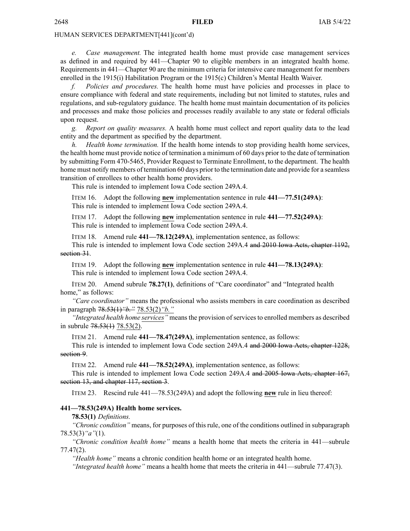*e. Case management.* The integrated health home must provide case managemen<sup>t</sup> services as defined in and required by 441—Chapter 90 to eligible members in an integrated health home. Requirements in 441—Chapter 90 are the minimum criteria for intensive care managemen<sup>t</sup> for members enrolled in the 1915(i) Habilitation Program or the 1915(c) Children's Mental Health Waiver.

*f. Policies and procedures.* The health home must have policies and processes in place to ensure compliance with federal and state requirements, including but not limited to statutes, rules and regulations, and sub-regulatory guidance. The health home must maintain documentation of its policies and processes and make those policies and processes readily available to any state or federal officials upon request.

*g. Report on quality measures.* A health home must collect and repor<sup>t</sup> quality data to the lead entity and the department as specified by the department.

*h. Health home termination.* If the health home intends to stop providing health home services, the health home must provide notice of termination <sup>a</sup> minimum of 60 days prior to the date of termination by submitting Form 470-5465, Provider Request to Terminate Enrollment, to the department. The health home must notify members of termination 60 days prior to the termination date and provide for <sup>a</sup> seamless transition of enrollees to other health home providers.

This rule is intended to implement Iowa Code section [249A.4](https://www.legis.iowa.gov/docs/ico/section/249A.4.pdf).

ITEM 16. Adopt the following **new** implementation sentence in rule **441—77.51(249A)**: This rule is intended to implement Iowa Code section [249A.4](https://www.legis.iowa.gov/docs/ico/section/249A.4.pdf).

ITEM 17. Adopt the following **new** implementation sentence in rule **441—77.52(249A)**: This rule is intended to implement Iowa Code section [249A.4](https://www.legis.iowa.gov/docs/ico/section/249A.4.pdf).

ITEM 18. Amend rule **441—78.12(249A)**, implementation sentence, as follows:

This rule is intended to implement Iowa Code section [249A.4](https://www.legis.iowa.gov/docs/ico/section/249A.4.pdf) and 2010 Iowa Acts, chapter 1192, section 31.

ITEM 19. Adopt the following **new** implementation sentence in rule **441—78.13(249A)**: This rule is intended to implement Iowa Code section [249A.4](https://www.legis.iowa.gov/docs/ico/section/249A.4.pdf).

ITEM 20. Amend subrule **78.27(1)**, definitions of "Care coordinator" and "Integrated health home," as follows:

*"Care coordinator"* means the professional who assists members in care coordination as described in paragraph 78.53(1)*"b."* 78.53(2)*"b."*

*"Integrated health home services"* means the provision of services to enrolled members as described in subrule  $78.53(1)$   $78.53(2)$ .

ITEM 21. Amend rule **441—78.47(249A)**, implementation sentence, as follows:

This rule is intended to implement Iowa Code section [249A.4](https://www.legis.iowa.gov/docs/ico/section/249A.4.pdf) and 2000 Iowa Acts, chapter 1228, section 9.

ITEM 22. Amend rule **441—78.52(249A)**, implementation sentence, as follows:

This rule is intended to implement Iowa Code section [249A.4](https://www.legis.iowa.gov/docs/ico/section/249A.4.pdf) and 2005 Iowa Acts, chapter 167, section 13, and chapter 117, section 3.

ITEM 23. Rescind rule 441—78.53(249A) and adopt the following **new** rule in lieu thereof:

#### **441—78.53(249A) Health home services.**

**78.53(1)** *Definitions.*

*"Chronic condition"* means, for purposes of this rule, one of the conditions outlined in subparagraph 78.53(3)*"a"*(1).

*"Chronic condition health home"* means <sup>a</sup> health home that meets the criteria in 441—subrule 77.47(2).

*"Health home"* means <sup>a</sup> chronic condition health home or an integrated health home.

*"Integrated health home"* means <sup>a</sup> health home that meets the criteria in 441—subrule 77.47(3).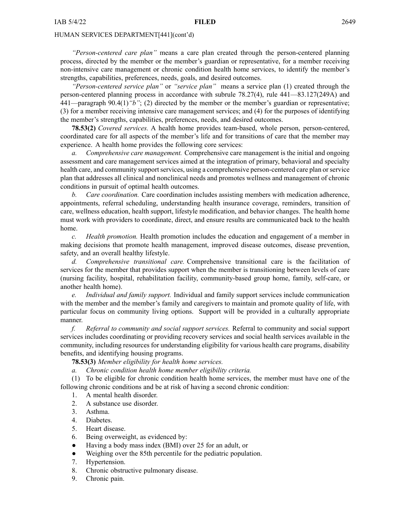*"Person-centered care plan"* means <sup>a</sup> care plan created through the person-centered planning process, directed by the member or the member's guardian or representative, for <sup>a</sup> member receiving non-intensive care managemen<sup>t</sup> or chronic condition health home services, to identify the member's strengths, capabilities, preferences, needs, goals, and desired outcomes.

*"Person-centered service plan"* or *"service plan"* means <sup>a</sup> service plan (1) created through the person-centered planning process in accordance with subrule 78.27(4), rule 441—83.127(249A) and 441—paragraph 90.4(1)*"b"*; (2) directed by the member or the member's guardian or representative; (3) for <sup>a</sup> member receiving intensive care managemen<sup>t</sup> services; and (4) for the purposes of identifying the member's strengths, capabilities, preferences, needs, and desired outcomes.

**78.53(2)** *Covered services.* A health home provides team-based, whole person, person-centered, coordinated care for all aspects of the member's life and for transitions of care that the member may experience. A health home provides the following core services:

*a. Comprehensive care management.* Comprehensive care managemen<sup>t</sup> is the initial and ongoing assessment and care managemen<sup>t</sup> services aimed at the integration of primary, behavioral and specialty health care, and community support services, using a comprehensive person-centered care plan or service plan that addresses all clinical and nonclinical needs and promotes wellness and managemen<sup>t</sup> of chronic conditions in pursuit of optimal health outcomes.

*b. Care coordination.* Care coordination includes assisting members with medication adherence, appointments, referral scheduling, understanding health insurance coverage, reminders, transition of care, wellness education, health support, lifestyle modification, and behavior changes. The health home must work with providers to coordinate, direct, and ensure results are communicated back to the health home.

*c. Health promotion.* Health promotion includes the education and engagemen<sup>t</sup> of <sup>a</sup> member in making decisions that promote health management, improved disease outcomes, disease prevention, safety, and an overall healthy lifestyle.

*d. Comprehensive transitional care.* Comprehensive transitional care is the facilitation of services for the member that provides suppor<sup>t</sup> when the member is transitioning between levels of care (nursing facility, hospital, rehabilitation facility, community-based group home, family, self-care, or another health home).

*e. Individual and family support.* Individual and family suppor<sup>t</sup> services include communication with the member and the member's family and caregivers to maintain and promote quality of life, with particular focus on community living options. Support will be provided in <sup>a</sup> culturally appropriate manner.

*f. Referral to community and social suppor<sup>t</sup> services.* Referral to community and social suppor<sup>t</sup> services includes coordinating or providing recovery services and social health services available in the community, including resources for understanding eligibility for various health care programs, disability benefits, and identifying housing programs.

**78.53(3)** *Member eligibility for health home services.*

*a. Chronic condition health home member eligibility criteria.*

(1) To be eligible for chronic condition health home services, the member must have one of the following chronic conditions and be at risk of having <sup>a</sup> second chronic condition:

1. A mental health disorder.

- 2. A substance use disorder.
- 3. Asthma.
- 4. Diabetes.
- 5. Heart disease.
- 6. Being overweight, as evidenced by:
- $\bullet$ Having <sup>a</sup> body mass index (BMI) over 25 for an adult, or
- ●Weighing over the 85th percentile for the pediatric population.
- 7. Hypertension.
- 8. Chronic obstructive pulmonary disease.
- 9. Chronic pain.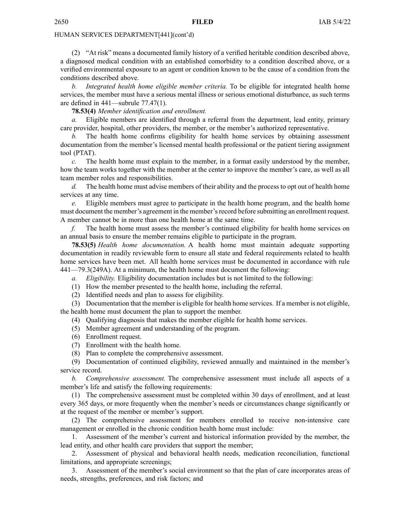(2) "At risk" means <sup>a</sup> documented family history of <sup>a</sup> verified heritable condition described above, <sup>a</sup> diagnosed medical condition with an established comorbidity to <sup>a</sup> condition described above, or <sup>a</sup> verified environmental exposure to an agen<sup>t</sup> or condition known to be the cause of <sup>a</sup> condition from the conditions described above.

*b. Integrated health home eligible member criteria.* To be eligible for integrated health home services, the member must have <sup>a</sup> serious mental illness or serious emotional disturbance, as such terms are defined in 441—subrule 77.47(1).

#### **78.53(4)** *Member identification and enrollment.*

*a.* Eligible members are identified through <sup>a</sup> referral from the department, lead entity, primary care provider, hospital, other providers, the member, or the member's authorized representative.

The health home confirms eligibility for health home services by obtaining assessment documentation from the member's licensed mental health professional or the patient tiering assignment tool (PTAT).

*c.* The health home must explain to the member, in <sup>a</sup> format easily understood by the member, how the team works together with the member at the center to improve the member's care, as well as all team member roles and responsibilities.

*d.* The health home must advise members of their ability and the process to op<sup>t</sup> out of health home services at any time.

*e.* Eligible members must agree to participate in the health home program, and the health home must document the member's agreemen<sup>t</sup> in the member'srecord before submitting an enrollment request. A member cannot be in more than one health home at the same time.

*f.* The health home must assess the member's continued eligibility for health home services on an annual basis to ensure the member remains eligible to participate in the program.

**78.53(5)** *Health home documentation.* A health home must maintain adequate supporting documentation in readily reviewable form to ensure all state and federal requirements related to health home services have been met. All health home services must be documented in accordance with rule 441—79.3(249A). At <sup>a</sup> minimum, the health home must document the following:

*a. Eligibility.* Eligibility documentation includes but is not limited to the following:

- (1) How the member presented to the health home, including the referral.
- (2) Identified needs and plan to assess for eligibility.

(3) Documentation that the member is eligible for health home services. If <sup>a</sup> member is not eligible, the health home must document the plan to suppor<sup>t</sup> the member.

- (4) Qualifying diagnosis that makes the member eligible for health home services.
- (5) Member agreemen<sup>t</sup> and understanding of the program.
- (6) Enrollment request.
- (7) Enrollment with the health home.
- (8) Plan to complete the comprehensive assessment.

(9) Documentation of continued eligibility, reviewed annually and maintained in the member's service record.

*b. Comprehensive assessment.* The comprehensive assessment must include all aspects of <sup>a</sup> member's life and satisfy the following requirements:

(1) The comprehensive assessment must be completed within 30 days of enrollment, and at least every 365 days, or more frequently when the member's needs or circumstances change significantly or at the reques<sup>t</sup> of the member or member's support.

(2) The comprehensive assessment for members enrolled to receive non-intensive care managemen<sup>t</sup> or enrolled in the chronic condition health home must include:

1. Assessment of the member's current and historical information provided by the member, the lead entity, and other health care providers that suppor<sup>t</sup> the member;

2. Assessment of physical and behavioral health needs, medication reconciliation, functional limitations, and appropriate screenings;

3. Assessment of the member's social environment so that the plan of care incorporates areas of needs, strengths, preferences, and risk factors; and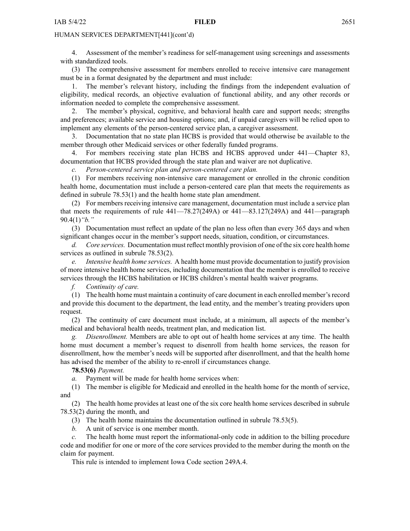4. Assessment of the member's readiness for self-management using screenings and assessments with standardized tools.

(3) The comprehensive assessment for members enrolled to receive intensive care managemen<sup>t</sup> must be in <sup>a</sup> format designated by the department and must include:

1. The member's relevant history, including the findings from the independent evaluation of eligibility, medical records, an objective evaluation of functional ability, and any other records or information needed to complete the comprehensive assessment.

2. The member's physical, cognitive, and behavioral health care and suppor<sup>t</sup> needs; strengths and preferences; available service and housing options; and, if unpaid caregivers will be relied upon to implement any elements of the person-centered service plan, <sup>a</sup> caregiver assessment.

3. Documentation that no state plan HCBS is provided that would otherwise be available to the member through other Medicaid services or other federally funded programs.

4. For members receiving state plan HCBS and HCBS approved under 441—Chapter 83, documentation that HCBS provided through the state plan and waiver are not duplicative.

*c. Person-centered service plan and person-centered care plan.*

(1) For members receiving non-intensive care managemen<sup>t</sup> or enrolled in the chronic condition health home, documentation must include <sup>a</sup> person-centered care plan that meets the requirements as defined in subrule 78.53(1) and the health home state plan amendment.

(2) For members receiving intensive care management, documentation must include <sup>a</sup> service plan that meets the requirements of rule  $441-78.27(249)$  or  $441-83.127(249)$  and  $441$ -paragraph 90.4(1)*"b."*

(3) Documentation must reflect an update of the plan no less often than every 365 days and when significant changes occur in the member's suppor<sup>t</sup> needs, situation, condition, or circumstances.

*d. Core services.* Documentation must reflect monthly provision of one of the six core health home services as outlined in subrule 78.53(2).

*e. Intensive health home services.* A health home must provide documentation to justify provision of more intensive health home services, including documentation that the member is enrolled to receive services through the HCBS habilitation or HCBS children's mental health waiver programs.

*f. Continuity of care.*

(1) The health home must maintain <sup>a</sup> continuity of care document in each enrolled member'srecord and provide this document to the department, the lead entity, and the member's treating providers upon request.

(2) The continuity of care document must include, at <sup>a</sup> minimum, all aspects of the member's medical and behavioral health needs, treatment plan, and medication list.

*g. Disenrollment.* Members are able to op<sup>t</sup> out of health home services at any time. The health home must document <sup>a</sup> member's reques<sup>t</sup> to disenroll from health home services, the reason for disenrollment, how the member's needs will be supported after disenrollment, and that the health home has advised the member of the ability to re-enroll if circumstances change.

**78.53(6)** *Payment.*

*a.* Payment will be made for health home services when:

(1) The member is eligible for Medicaid and enrolled in the health home for the month of service, and

(2) The health home provides at least one of the six core health home services described in subrule 78.53(2) during the month, and

(3) The health home maintains the documentation outlined in subrule 78.53(5).

*b.* A unit of service is one member month.

The health home must report the informational-only code in addition to the billing procedure code and modifier for one or more of the core services provided to the member during the month on the claim for payment.

This rule is intended to implement Iowa Code section [249A.4](https://www.legis.iowa.gov/docs/ico/section/249A.4.pdf).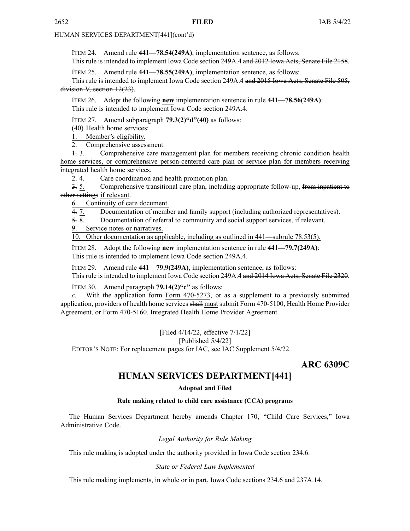<span id="page-37-0"></span>ITEM 24. Amend rule **441—78.54(249A)**, implementation sentence, as follows: This rule is intended to implement Iowa Code section [249A.4](https://www.legis.iowa.gov/docs/ico/section/249A.4.pdf) and 2012 Iowa Acts, Senate File 2158.

ITEM 25. Amend rule **441—78.55(249A)**, implementation sentence, as follows:

This rule is intended to implement Iowa Code section [249A.4](https://www.legis.iowa.gov/docs/ico/section/249A.4.pdf) and 2015 Iowa Acts, Senate File 505, division V, section 12(23).

ITEM 26. Adopt the following **new** implementation sentence in rule **441—78.56(249A)**: This rule is intended to implement Iowa Code section [249A.4](https://www.legis.iowa.gov/docs/ico/section/249A.4.pdf).

ITEM 27. Amend subparagraph **79.3(2)"d"(40)** as follows:

(40) Health home services:

1. Member's eligibility.

2. Comprehensive assessment.

1. 3. Comprehensive care managemen<sup>t</sup> plan for members receiving chronic condition health home services, or comprehensive person-centered care plan or service plan for members receiving integrated health home services.

2. 4. Care coordination and health promotion plan.

3. 5. Comprehensive transitional care plan, including appropriate follow-up, from inpatient to other settings if relevant.

6. Continuity of care document.

4. 7. Documentation of member and family suppor<sup>t</sup> (including authorized representatives).

5. 8. Documentation of referral to community and social suppor<sup>t</sup> services, if relevant.

Service notes or narratives.

10. Other documentation as applicable, including as outlined in 441—subrule 78.53(5).

ITEM 28. Adopt the following **new** implementation sentence in rule **441—79.7(249A)**: This rule is intended to implement Iowa Code section [249A.4](https://www.legis.iowa.gov/docs/ico/section/249A.4.pdf).

ITEM 29. Amend rule **441—79.9(249A)**, implementation sentence, as follows:

This rule is intended to implement Iowa Code section [249A.4](https://www.legis.iowa.gov/docs/ico/section/249A.4.pdf) and 2014 Iowa Acts, Senate File 2320.

ITEM 30. Amend paragraph **79.14(2)"c"** as follows:

With the application form Form 470-5273, or as a supplement to a previously submitted application, providers of health home services shall must submit Form 470-5100, Health Home Provider Agreement, or Form 470-5160, Integrated Health Home Provider Agreement.

[Filed 4/14/22, effective 7/1/22]

[Published 5/4/22]

EDITOR'<sup>S</sup> NOTE: For replacement pages for IAC, see IAC Supplement 5/4/22.

**ARC 6309C**

# **HUMAN SERVICES DEPARTMENT[441]**

#### **Adopted and Filed**

#### **Rule making related to child care assistance (CCA) programs**

The Human Services Department hereby amends Chapter 170, "Child Care Services," Iowa Administrative Code.

#### *Legal Authority for Rule Making*

This rule making is adopted under the authority provided in Iowa Code section 234.6.

#### *State or Federal Law Implemented*

This rule making implements, in whole or in part, Iowa Code sections 234.6 and 237A.14.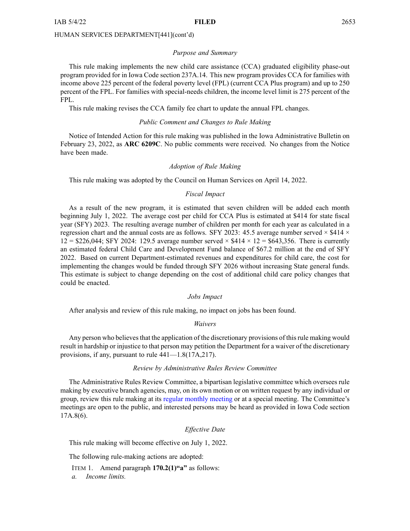#### *Purpose and Summary*

This rule making implements the new child care assistance (CCA) graduated eligibility phase-out program provided for in Iowa Code section 237A.14. This new program provides CCA for families with income above 225 percen<sup>t</sup> of the federal poverty level (FPL) (current CCA Plus program) and up to 250 percen<sup>t</sup> of the FPL. For families with special-needs children, the income level limit is 275 percen<sup>t</sup> of the FPL.

This rule making revises the CCA family fee chart to update the annual FPL changes.

#### *Public Comment and Changes to Rule Making*

Notice of Intended Action for this rule making was published in the Iowa Administrative Bulletin on February 23, 2022, as **ARC 6209C**. No public comments were received. No changes from the Notice have been made.

#### *Adoption of Rule Making*

This rule making was adopted by the Council on Human Services on April 14, 2022.

#### *Fiscal Impact*

As <sup>a</sup> result of the new program, it is estimated that seven children will be added each month beginning July 1, 2022. The average cost per child for CCA Plus is estimated at \$414 for state fiscal year (SFY) 2023. The resulting average number of children per month for each year as calculated in <sup>a</sup> regression chart and the annual costs are as follows. SFY 2023: 45.5 average number served  $\times$  \$414  $\times$  $12 = $226,044$ ; SFY 2024: 129.5 average number served  $\times $414 \times 12 = $643,356$ . There is currently an estimated federal Child Care and Development Fund balance of \$67.2 million at the end of SFY 2022. Based on current Department-estimated revenues and expenditures for child care, the cost for implementing the changes would be funded through SFY 2026 without increasing State general funds. This estimate is subject to change depending on the cost of additional child care policy changes that could be enacted.

#### *Jobs Impact*

After analysis and review of this rule making, no impact on jobs has been found.

#### *Waivers*

Any person who believes that the application of the discretionary provisions of this rule making would result in hardship or injustice to that person may petition the Department for <sup>a</sup> waiver of the discretionary provisions, if any, pursuan<sup>t</sup> to rule 441—1.8(17A,217).

#### *Review by Administrative Rules Review Committee*

The Administrative Rules Review Committee, <sup>a</sup> bipartisan legislative committee which oversees rule making by executive branch agencies, may, on its own motion or on written reques<sup>t</sup> by any individual or group, review this rule making at its regular [monthly](https://www.legis.iowa.gov/committees/meetings/meetingsListComm?groupID=705&ga=89) meeting or at <sup>a</sup> special meeting. The Committee's meetings are open to the public, and interested persons may be heard as provided in Iowa Code section 17A.8(6).

#### *Effective Date*

This rule making will become effective on July 1, 2022.

The following rule-making actions are adopted:

ITEM 1. Amend paragraph **170.2(1)"a"** as follows:

*a. Income limits.*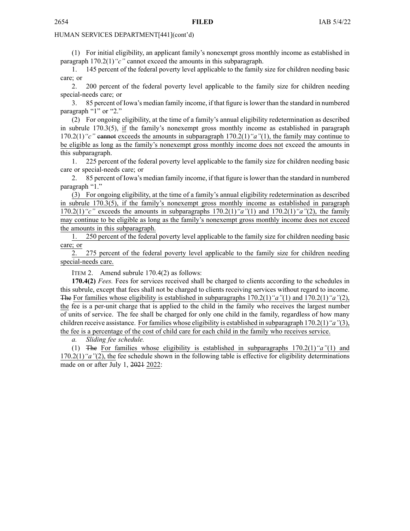(1) For initial eligibility, an applicant family's nonexemp<sup>t</sup> gross monthly income as established in paragraph 170.2(1)*"c"* cannot exceed the amounts in this subparagraph.

1. 145 percen<sup>t</sup> of the federal poverty level applicable to the family size for children needing basic care; or

2. 200 percen<sup>t</sup> of the federal poverty level applicable to the family size for children needing special-needs care; or

3. 85 percen<sup>t</sup> of Iowa's median family income, if that figure islower than the standard in numbered paragraph "1" or "2."

(2) For ongoing eligibility, at the time of <sup>a</sup> family's annual eligibility redetermination as described in subrule 170.3(5), if the family's nonexemp<sup>t</sup> gross monthly income as established in paragraph 170.2(1)*"c"* cannot exceeds the amounts in subparagraph 170.2(1)*"a"*(1), the family may continue to be eligible as long as the family's nonexemp<sup>t</sup> gross monthly income does not exceed the amounts in this subparagraph.

1. 225 percen<sup>t</sup> of the federal poverty level applicable to the family size for children needing basic care or special-needs care; or

2. 85 percen<sup>t</sup> of Iowa's median family income, if that figure islower than the standard in numbered paragraph "1."

(3) For ongoing eligibility, at the time of <sup>a</sup> family's annual eligibility redetermination as described in subrule 170.3(5), if the family's nonexemp<sup>t</sup> gross monthly income as established in paragraph 170.2(1)*"c"* exceeds the amounts in subparagraphs 170.2(1)*"a"*(1) and 170.2(1)*"a"*(2), the family may continue to be eligible as long as the family's nonexemp<sup>t</sup> gross monthly income does not exceed the amounts in this subparagraph.

1. 250 percen<sup>t</sup> of the federal poverty level applicable to the family size for children needing basic care; or

2. 275 percen<sup>t</sup> of the federal poverty level applicable to the family size for children needing special-needs care.

ITEM 2. Amend subrule 170.4(2) as follows:

**170.4(2)** *Fees.* Fees for services received shall be charged to clients according to the schedules in this subrule, excep<sup>t</sup> that fees shall not be charged to clients receiving services without regard to income. The For families whose eligibility is established in subparagraphs 170.2(1)*"a"*(1) and 170.2(1)*"a"*(2), the fee is <sup>a</sup> per-unit charge that is applied to the child in the family who receives the largest number of units of service. The fee shall be charged for only one child in the family, regardless of how many children receive assistance. For families whose eligibility is established in subparagraph 170.2(1)*"a"*(3), the fee is <sup>a</sup> percentage of the cost of child care for each child in the family who receives service.

*a. Sliding fee schedule.*

(1) The For families whose eligibility is established in subparagraphs 170.2(1)*"a"*(1) and 170.2(1)*"a"*(2), the fee schedule shown in the following table is effective for eligibility determinations made on or after July 1, 2021 2022: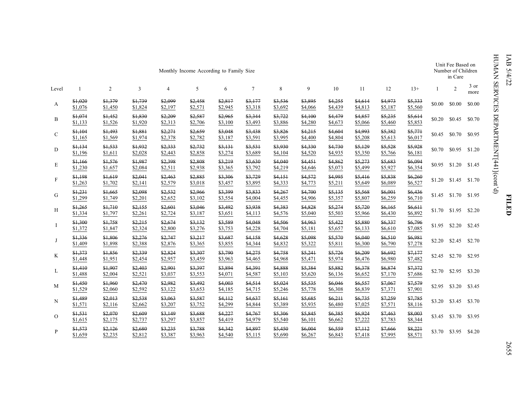| Monthly Income According to Family Size |                    |                    |                    |                    |                    |                    |                    |                    |                    |                    |                    | Unit Fee Based on<br>Number of Children<br>in Care |                    |              |                |              |
|-----------------------------------------|--------------------|--------------------|--------------------|--------------------|--------------------|--------------------|--------------------|--------------------|--------------------|--------------------|--------------------|----------------------------------------------------|--------------------|--------------|----------------|--------------|
| Level                                   | $\mathbf{1}$       | $\overline{2}$     | 3                  | 4                  | 5                  | 6                  | $\overline{7}$     | 8                  | 9                  | 10                 | 11                 | 12                                                 | $13+$              | $\mathbf{1}$ | $\overline{2}$ | 3 or<br>more |
| A                                       | \$1,020<br>\$1,076 | \$1,379<br>\$1,450 | \$1,739<br>\$1,824 | \$2,099<br>\$2,197 | \$2,458<br>\$2,571 | \$2,817<br>\$2,945 | \$3,177<br>\$3,318 | \$3,536<br>\$3,692 | \$3,895<br>\$4,066 | \$4,255<br>\$4,439 | \$4,614<br>\$4,813 | \$4,973<br>\$5,187                                 | \$5,333<br>\$5,560 | \$0.00       | \$0.00         | \$0.00       |
| B                                       | \$1,074<br>\$1,133 | \$1,452<br>\$1,526 | \$1,830<br>\$1,920 | \$2,209<br>\$2,313 | \$2,587<br>\$2,706 | \$2,965<br>\$3,100 | \$3,344<br>\$3,493 | \$3,722<br>\$3,886 | \$4,100<br>\$4,280 | \$4,479<br>\$4,673 | \$4,857<br>\$5,066 | \$5,235<br>\$5,460                                 | \$5,614<br>\$5,853 | \$0.20       | \$0.45         | \$0.70       |
| $\mathbf{C}$                            | \$1,104<br>\$1,165 | \$1,493<br>\$1,569 | \$1,881<br>\$1,974 | \$2,271<br>\$2,378 | \$2,659<br>\$2,782 | \$3,048<br>\$3,187 | \$3,438<br>\$3,591 | \$3,826<br>\$3,995 | \$4,215<br>\$4,400 | \$4,604<br>\$4,804 | \$4,993<br>\$5,208 | \$5,382<br>\$5,613                                 | \$5,771<br>\$6,017 | \$0.45       | \$0.70         | \$0.95       |
| D                                       | \$1,134<br>\$1,196 | \$1,533<br>\$1,611 | \$1,932<br>\$2,028 | \$2,333<br>\$2,443 | \$2,732<br>\$2,858 | \$3,131<br>\$3,274 | \$3,531<br>\$3,689 | \$3,930<br>\$4,104 | \$4,330<br>\$4,520 | \$4,730<br>\$4,935 | \$5,129<br>\$5,350 | \$5,528<br>\$5,766                                 | \$5,928<br>\$6,181 | \$0.70       | \$0.95         | \$1.20       |
| E                                       | \$1,166<br>\$1,230 | \$1,576<br>\$1,657 | \$1,987<br>\$2,084 | \$2,398<br>\$2,511 | \$2,808<br>\$2,938 | \$3,219<br>\$3,365 | \$3,630<br>\$3,792 | \$4,040<br>\$4,219 | \$4,451<br>\$4,646 | \$4,862<br>\$5,073 | \$5,273<br>\$5,499 | \$5,683<br>\$5,927                                 | \$6,094<br>\$6,354 | \$0.95       | \$1.20         | \$1.45       |
| $\mathbf F$                             | \$1,198<br>\$1,263 | \$1,619<br>\$1,702 | \$2,041<br>\$2,141 | \$2,463<br>\$2,579 | \$2,885<br>\$3,018 | \$3,306<br>\$3,457 | \$3,729<br>\$3,895 | \$4,151<br>\$4,333 | \$4,572<br>\$4,773 | \$4,995<br>\$5,211 | \$5,416<br>\$5,649 | \$5,838<br>\$6,089                                 | \$6,260<br>\$6,527 | \$1.20       | \$1.45         | \$1.70       |
| G                                       | \$1,231<br>\$1,299 | \$1,665<br>\$1,749 | \$2,098<br>\$2,201 | \$2,532<br>\$2,652 | \$2,966<br>\$3,102 | \$3,399<br>\$3,554 | \$3,833<br>\$4,004 | \$4,267<br>\$4,455 | \$4,700<br>\$4,906 | \$5,135<br>\$5,357 | \$5,568<br>\$5,807 | \$6,001<br>\$6,259                                 | \$6,436<br>\$6,710 | \$1.45       | \$1.70         | \$1.95       |
| H                                       | \$1,265<br>\$1,334 | \$1,710<br>\$1,797 | \$2,155<br>\$2,261 | \$2,601<br>\$2,724 | \$3,046<br>\$3,187 | \$3,492<br>\$3,651 | \$3,938<br>\$4,113 | \$4,383<br>\$4,576 | \$4,828<br>\$5,040 | \$5,274<br>\$5,503 | \$5,720<br>\$5,966 | \$6,165<br>\$6,430                                 | \$6,611<br>\$6,892 | \$1.70       | \$1.95         | \$2.20       |
| Ι                                       | \$1,300<br>\$1,372 | \$1,758<br>\$1,847 | \$2,215<br>\$2,324 | \$2,674<br>\$2,800 | \$3,132<br>\$3,276 | \$3,589<br>\$3,753 | \$4,048<br>\$4,228 | \$4,506<br>\$4,704 | \$4,963<br>\$5,181 | \$5,422<br>\$5,657 | \$5,880<br>\$6,133 | \$6,337<br>\$6,610                                 | \$6,796<br>\$7,085 | \$1.95       | \$2.20         | \$2.45       |
| J                                       | \$1,336<br>\$1,409 | \$1,806<br>\$1,898 | \$2,276<br>\$2,388 | \$2,747<br>\$2,876 | \$3,217<br>\$3,365 | \$3,687<br>\$3,855 | \$4,158<br>\$4,344 | \$4,628<br>\$4,832 | \$5,098<br>\$5,322 | \$5,570<br>\$5,811 | \$6,040<br>\$6,300 | \$6,510<br>\$6,790                                 | \$6,981<br>\$7,278 | \$2.20       | \$2.45         | \$2.70       |
| K                                       | \$1,373<br>\$1,448 | \$1,856<br>\$1,951 | \$2,339<br>\$2,454 | \$2,824<br>\$2,957 | \$3,307<br>\$3,459 | \$3,790<br>\$3,963 | \$4,275<br>\$4,465 | \$4,758<br>\$4,968 | \$5,241<br>\$5,471 | \$5,726<br>\$5,974 | \$6,209<br>\$6,476 | \$6,692<br>\$6,980                                 | \$7,177<br>\$7,482 | \$2.45       | \$2.70         | \$2.95       |
| L                                       | \$1,410<br>\$1,488 | \$1,907<br>\$2,004 | \$2,403<br>\$2,521 | \$2,901<br>\$3,037 | \$3,397<br>\$3,553 | \$3,894<br>\$4,071 | \$4,391<br>\$4,587 | \$4,888<br>\$5,103 | \$5,384<br>\$5,620 | \$5,882<br>\$6,136 | \$6,378<br>\$6,652 | \$6,874<br>\$7,170                                 | \$7,372<br>\$7,686 | \$2.70       | \$2.95         | \$3.20       |
| M                                       | \$1,450<br>\$1,529 | \$1,960<br>\$2,060 | \$2,470<br>\$2,592 | \$2,982<br>\$3,122 | \$3,492<br>\$3,653 | \$4,003<br>\$4,185 | \$4,514<br>\$4,715 | \$5,024<br>\$5,246 | \$5,535<br>\$5,778 | \$6,046<br>\$6,308 | \$6,557<br>\$6,839 | \$7,067<br>\$7,371                                 | \$7,579<br>\$7,901 | \$2.95       | \$3.20         | \$3.45       |
| N                                       | \$1,489<br>\$1,571 | \$2,013<br>\$2,116 | \$2,538<br>\$2,662 | \$3,063<br>\$3,207 | \$3,587<br>\$3,752 | \$4,112<br>\$4,299 | \$4,637<br>\$4,844 | \$5,161<br>\$5,389 | \$5,685<br>\$5,935 | \$6,211<br>\$6,480 | \$6,735<br>\$7,025 | \$7,259<br>\$7,571                                 | \$7,785<br>\$8,116 | \$3.20       | \$3.45         | \$3.70       |
| $\overline{O}$                          | \$1,531<br>\$1,615 | \$2,070<br>\$2,175 | \$2,609<br>\$2,737 | \$3,149<br>\$3,297 | \$3,688<br>\$3,857 | \$4,227<br>\$4,419 | \$4,767<br>\$4,979 | \$5,306<br>\$5,540 | \$5,845<br>\$6,101 | \$6,385<br>\$6,662 | \$6,924<br>\$7,222 | \$7,463<br>\$7,783                                 | \$8,003<br>\$8,344 | \$3.45       | \$3.70         | \$3.95       |
| P                                       | \$1,573<br>\$1,659 | \$2,126<br>\$2,235 | \$2,680<br>\$2,812 | \$3,235<br>\$3,387 | \$3,788<br>\$3,963 | \$4,342<br>\$4,540 | \$4,897<br>\$5,115 | \$5,450<br>\$5,690 | \$6,004<br>\$6,267 | \$6,559<br>\$6,843 | \$7,112<br>\$7,418 | \$7,666<br>\$7,995                                 | \$8,221<br>\$8,571 | \$3.70       | \$3.95         | \$4.20       |

IAB 5/4/22 HUMAN SERVICES DEPARTMENT[441](cont'd)

2655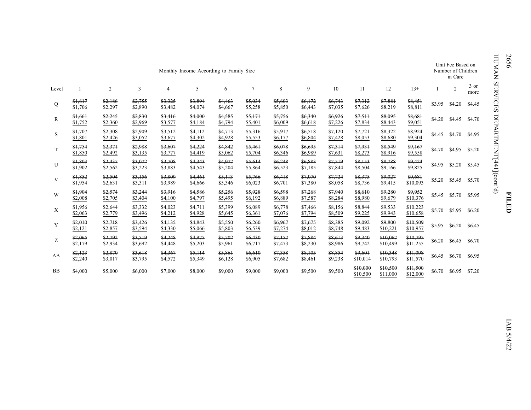|           | Monthly Income According to Family Size |                    |                    |                    |                    |                    |                    |                    |                    |                    |                      |                      | Unit Fee Based on<br>Number of Children<br>in Care |        |                |              |
|-----------|-----------------------------------------|--------------------|--------------------|--------------------|--------------------|--------------------|--------------------|--------------------|--------------------|--------------------|----------------------|----------------------|----------------------------------------------------|--------|----------------|--------------|
| Level     |                                         | 2                  | 3                  | 4                  | 5                  | 6                  | $\overline{7}$     | 8                  | 9                  | 10                 | 11                   | 12                   | $13+$                                              |        | $\overline{c}$ | 3 or<br>more |
| Q         | \$1,617<br>\$1,706                      | \$2,186<br>\$2,297 | \$2,755<br>\$2,890 | \$3,325<br>\$3,482 | \$3,894<br>\$4,074 | \$4,463<br>\$4,667 | \$5,034<br>\$5,258 | \$5,603<br>\$5,850 | \$6,172<br>\$6,443 | \$6,743<br>\$7,035 | \$7,312<br>\$7,626   | \$7,881<br>\$8,219   | \$8,451<br>\$8,811                                 | \$3.95 | \$4.20         | \$4.45       |
| R         | \$1,661<br>\$1,752                      | \$2,245<br>\$2,360 | \$2,830<br>\$2,969 | \$3,416<br>\$3,577 | \$4,000<br>\$4,184 | \$4,585<br>\$4,794 | \$5,171<br>\$5,401 | \$5,756<br>\$6,009 | \$6,340<br>\$6,618 | \$6,926<br>\$7,226 | \$7,511<br>\$7,834   | \$8,095<br>\$8,443   | \$8,681<br>\$9,051                                 | \$4.20 | \$4.45         | \$4.70       |
| S         | \$1,707<br>\$1,801                      | \$2,308<br>\$2,426 | \$2,909<br>\$3,052 | \$3,512<br>\$3,677 | \$4.112<br>\$4,302 | \$4,713<br>\$4,928 | \$5,316<br>\$5,553 | \$5,917<br>\$6,177 | \$6,518<br>\$6,804 | \$7,120<br>\$7,428 | \$7,721<br>\$8,053   | \$8,322<br>\$8,680   | \$8,924<br>\$9,304                                 | \$4.45 | \$4.70         | \$4.95       |
| T         | \$1,754<br>\$1,850                      | \$2,371<br>\$2,492 | \$2,988<br>\$3,135 | \$3,607<br>\$3,777 | \$4,224<br>\$4,419 | \$4,842<br>\$5,062 | \$5,461<br>\$5,704 | \$6,078<br>\$6,346 | \$6,695<br>\$6,989 | \$7,314<br>\$7,631 | \$7,931<br>\$8,273   | \$8,549<br>\$8,916   | \$9,167<br>\$9,558                                 | \$4.70 | \$4.95         | \$5.20       |
| U         | \$1,803<br>\$1,902                      | \$2,437<br>\$2,562 | \$3,072<br>\$3,223 | \$3,708<br>\$3,883 | \$4,343<br>\$4,543 | \$4,977<br>\$5,204 | \$5,614<br>\$5,864 | \$6,248<br>\$6,523 | \$6,883<br>\$7,185 | \$7,519<br>\$7,844 | \$8,153<br>\$8,504   | \$8,788<br>\$9,166   | \$9,424<br>\$9,825                                 | \$4.95 | \$5.20         | \$5.45       |
| V         | \$1,852<br>\$1,954                      | \$2,504<br>\$2,631 | \$3,156<br>\$3,311 | \$3,809<br>\$3,989 | \$4,461<br>\$4,666 | \$5,113<br>\$5,346 | \$5,766<br>\$6,023 | \$6,418<br>\$6,701 | \$7,070<br>\$7,380 | \$7,724<br>\$8,058 | \$8,375<br>\$8,736   | \$9,027<br>\$9,415   | \$9,681<br>\$10,093                                | \$5.20 | \$5.45         | \$5.70       |
| W         | \$1,904<br>\$2,008                      | \$2,574<br>\$2,705 | \$3,244<br>\$3,404 | \$3,916<br>\$4,100 | \$4,586<br>\$4,797 | \$5,256<br>\$5,495 | \$5,928<br>\$6,192 | \$6,598<br>\$6,889 | \$7,268<br>\$7,587 | \$7,940<br>\$8,284 | \$8,610<br>\$8,980   | \$9,280<br>\$9,679   | \$9,952<br>\$10,376                                | \$5.45 | \$5.70 \$5.95  |              |
| X         | \$1,956<br>\$2,063                      | \$2,644<br>\$2,779 | \$3,332<br>\$3,496 | \$4,023<br>\$4,212 | \$4,711<br>\$4,928 | \$5,399<br>\$5,645 | \$6,089<br>\$6,361 | \$6,778<br>\$7,076 | \$7,466<br>\$7,794 | \$8,156<br>\$8,509 | \$8,844<br>\$9,225   | \$9,533<br>\$9,943   | \$10,223<br>\$10,658                               | \$5.70 | \$5.95         | \$6.20       |
| Y         | \$2,010<br>\$2,121                      | \$2,718<br>\$2,857 | \$3,426<br>\$3,594 | \$4,135<br>\$4,330 | \$4,843<br>\$5,066 | \$5,550<br>\$5,803 | \$6,260<br>\$6,539 | \$6,967<br>\$7,274 | \$7,675<br>\$8,012 | \$8,385<br>\$8,748 | \$9,092<br>\$9,483   | \$9,800<br>\$10,221  | \$10,509<br>\$10,957                               | \$5.95 | \$6.20         | \$6.45       |
| Ζ         | \$2,065<br>\$2,179                      | \$2,792<br>\$2,934 | \$3,519<br>\$3,692 | \$4,248<br>\$4,448 | \$4,975<br>\$5,203 | \$5,702<br>\$5,961 | \$6,430<br>\$6,717 | \$7,157<br>\$7,473 | \$7,884<br>\$8,230 | \$8,613<br>\$8,986 | \$9,340<br>\$9,742   | \$10,067<br>\$10,499 | \$10,795<br>\$11,255                               | \$6.20 | \$6.45         | \$6.70       |
| AA        | \$2,123<br>\$2,240                      | \$2,870<br>\$3,017 | \$3,618<br>\$3,795 | \$4,367<br>\$4,572 | \$5,114<br>\$5,349 | \$5,861<br>\$6,128 | \$6,610<br>\$6,905 | \$7,358<br>\$7,682 | \$8,105<br>\$8,461 | \$8,854<br>\$9,238 | \$9,601<br>\$10,014  | \$10,348<br>\$10,793 | \$11,098<br>\$11,570                               | \$6.45 | \$6.70         | \$6.95       |
| <b>BB</b> | \$4,000                                 | \$5,000            | \$6,000            | \$7,000            | \$8,000            | \$9,000            | \$9,000            | \$9,000            | \$9,500            | \$9,500            | \$10,000<br>\$10,500 | \$10,500<br>\$11,000 | \$11,500<br>\$12,000                               | \$6.70 | \$6.95         | \$7.20       |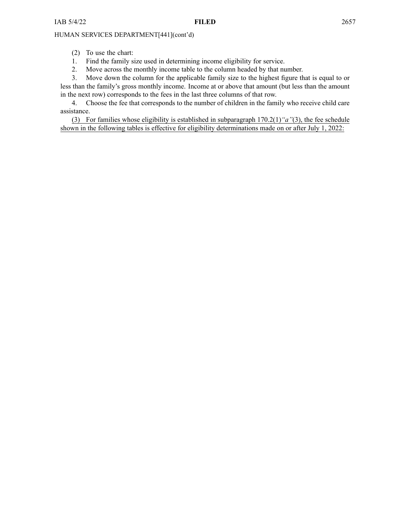(2) To use the chart:

- 1. Find the family size used in determining income eligibility for service.
- 2. Move across the monthly income table to the column headed by that number.

3. Move down the column for the applicable family size to the highest figure that is equal to or less than the family's gross monthly income. Income at or above that amount (but less than the amount in the next row) corresponds to the fees in the last three columns of that row.

4. Choose the fee that corresponds to the number of children in the family who receive child care assistance.

(3) For families whose eligibility is established in subparagraph 170.2(1)*"a"*(3), the fee schedule shown in the following tables is effective for eligibility determinations made on or after July 1, 2022: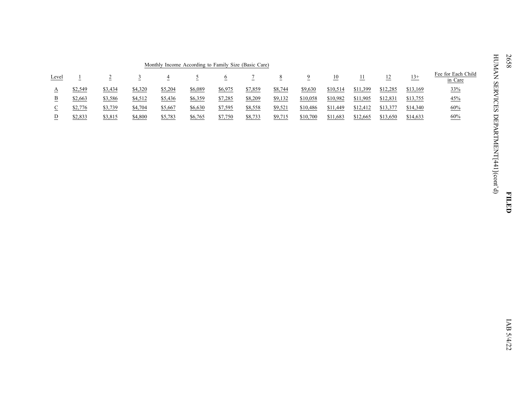| Monthly Income According to Family Size (Basic Care) |         |         |         |         |         |                |         |         |          |                 |          |                |              |                                      |
|------------------------------------------------------|---------|---------|---------|---------|---------|----------------|---------|---------|----------|-----------------|----------|----------------|--------------|--------------------------------------|
| Level                                                |         |         |         | 4       |         | $\overline{o}$ |         | $\circ$ |          | $\overline{10}$ | 11       | $\frac{12}{1}$ | $13+$<br>___ | Fee for Each Child<br>in Care        |
| л                                                    | \$2,549 | \$3,434 | \$4,320 | \$5,204 | \$6,089 | \$6,975        | \$7,859 | \$8,744 | \$9,630  | \$10,514        | \$11,399 | \$12,285       | \$13,169     | 33%                                  |
| в                                                    | \$2,663 | \$3,586 | \$4,512 | \$5,436 | \$6,359 | \$7,285        | \$8,209 | \$9,132 | \$10,058 | \$10,982        | \$11,905 | \$12,831       | \$13,755     | 45%<br>the control of the control of |
| ◡<br>$\overline{\phantom{a}}$                        | \$2,776 | \$3,739 | \$4,704 | \$5,667 | \$6,630 | \$7,595        | \$8,558 | \$9,521 | \$10,486 | \$11,449        | \$12,412 | \$13,377       | \$14,340     | 60%<br>____                          |
|                                                      | \$2,833 | \$3,815 | \$4,800 | \$5,783 | \$6,765 | \$7,750        | \$8,733 | \$9,715 | \$10,700 | \$11,683        | \$12,665 | \$13,650       | \$14,633     | 60%<br>the control of the control of |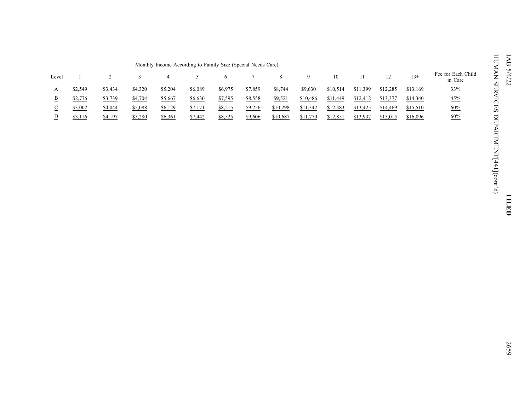|       | Monthly Income According to Family Size (Special Needs Care) |         |         |         |         |              |         |          |          |                  |          |                 |               |                               |
|-------|--------------------------------------------------------------|---------|---------|---------|---------|--------------|---------|----------|----------|------------------|----------|-----------------|---------------|-------------------------------|
| Level |                                                              |         |         |         |         | $\mathbf{v}$ |         | 8        |          | $\underline{10}$ | 11       | $\overline{12}$ | $13+$<br>---- | Fee for Each Child<br>in Care |
|       | \$2,549                                                      | \$3,434 | \$4,320 | \$5,204 | \$6,089 | \$6,975      | \$7,859 | \$8,744  | \$9,630  | \$10,514         | \$11,399 | \$12,285        | \$13,169      | 33%<br>___                    |
|       | \$2,776                                                      | \$3,739 | \$4,704 | \$5,667 | \$6,630 | \$7,595      | \$8,558 | \$9,521  | \$10,486 | \$11,449         | \$12,412 | \$13,377        | \$14,340      | 45%                           |
| ◡     | \$3,002                                                      | \$4,044 | \$5,088 | \$6,129 | \$7,171 | \$8,215      | \$9,256 | \$10,298 | \$11,342 | \$12,383         | \$13,425 | \$14,469        | \$15,510      | 60%<br>____                   |
|       | \$3,116                                                      | \$4,197 | \$5,280 | \$6,361 | \$7,442 | \$8,525      | \$9,606 | \$10,687 | \$11,770 | \$12,851         | \$13,932 | \$15,015        | \$16,096      | 60%                           |

**FILED**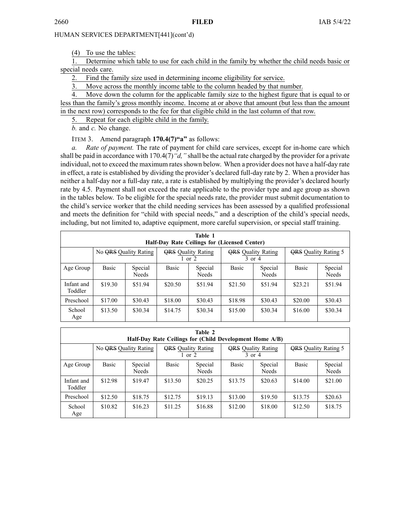(4) To use the tables:

1. Determine which table to use for each child in the family by whether the child needs basic or special needs care.

2. Find the family size used in determining income eligibility for service.

3. Move across the monthly income table to the column headed by that number.

4. Move down the column for the applicable family size to the highest figure that is equal to or less than the family's gross monthly income. Income at or above that amount (but less than the amount in the next row) corresponds to the fee for that eligible child in the last column of that row.

5. Repeat for each eligible child in the family.

*b.* and *c.* No change.

ITEM 3. Amend paragraph **170.4(7)"a"** as follows:

*a. Rate of payment.* The rate of paymen<sup>t</sup> for child care services, excep<sup>t</sup> for in-home care which shall be paid in accordance with 170.4(7)*"d,"* shall be the actual rate charged by the provider for <sup>a</sup> private individual, not to exceed the maximum rates shown below. When a provider does not have a half-day rate in effect, <sup>a</sup> rate is established by dividing the provider's declared full-day rate by 2. When <sup>a</sup> provider has neither <sup>a</sup> half-day nor <sup>a</sup> full-day rate, <sup>a</sup> rate is established by multiplying the provider's declared hourly rate by 4.5. Payment shall not exceed the rate applicable to the provider type and age group as shown in the tables below. To be eligible for the special needs rate, the provider must submit documentation to the child's service worker that the child needing services has been assessed by <sup>a</sup> qualified professional and meets the definition for "child with special needs," and <sup>a</sup> description of the child's special needs, including, but not limited to, adaptive equipment, more careful supervision, or special staff training.

|                       | Table 1<br>Half-Day Rate Ceilings for (Licensed Center) |                         |         |                                         |                                         |                             |         |                  |  |
|-----------------------|---------------------------------------------------------|-------------------------|---------|-----------------------------------------|-----------------------------------------|-----------------------------|---------|------------------|--|
|                       | No QRS Quality Rating                                   |                         |         | <b>QRS</b> Quality Rating<br>$1$ or $2$ | <b>QRS</b> Quality Rating<br>$3$ or $4$ | <b>QRS</b> Quality Rating 5 |         |                  |  |
| Age Group             | Basic                                                   | Special<br><b>Needs</b> | Basic   | Special<br>Needs                        | <b>Basic</b>                            | Special<br><b>Needs</b>     | Basic   | Special<br>Needs |  |
| Infant and<br>Toddler | \$19.30                                                 | \$51.94                 | \$20.50 | \$51.94                                 | \$21.50                                 | \$51.94                     | \$23.21 | \$51.94          |  |
| Preschool             | \$17.00                                                 | \$30.43                 | \$18.00 | \$30.43                                 | \$18.98                                 | \$30.43                     | \$20.00 | \$30.43          |  |
| School<br>Age         | \$13.50                                                 | \$30.34                 | \$14.75 | \$30.34                                 | \$15.00                                 | \$30.34                     | \$16.00 | \$30.34          |  |

|                       | Table 2<br>Half-Day Rate Ceilings for (Child Development Home A/B) |                         |                                         |                         |         |                           |                             |                         |  |
|-----------------------|--------------------------------------------------------------------|-------------------------|-----------------------------------------|-------------------------|---------|---------------------------|-----------------------------|-------------------------|--|
|                       | No QRS Quality Rating                                              |                         | <b>QRS</b> Quality Rating<br>$1$ or $2$ |                         | 3 or 4  | <b>QRS</b> Quality Rating | <b>QRS</b> Quality Rating 5 |                         |  |
| Age Group             | Basic                                                              | Special<br><b>Needs</b> | <b>Basic</b>                            | Special<br><b>Needs</b> | Basic   | Special<br><b>Needs</b>   | Basic                       | Special<br><b>Needs</b> |  |
| Infant and<br>Toddler | \$12.98                                                            | \$19.47                 | \$13.50                                 | \$20.25                 | \$13.75 | \$20.63                   | \$14.00                     | \$21.00                 |  |
| Preschool             | \$12.50                                                            | \$18.75                 | \$12.75                                 | \$19.13                 | \$13.00 | \$19.50                   | \$13.75                     | \$20.63                 |  |
| School<br>Age         | \$10.82                                                            | \$16.23                 | \$11.25                                 | \$16.88                 | \$12.00 | \$18.00                   | \$12.50                     | \$18.75                 |  |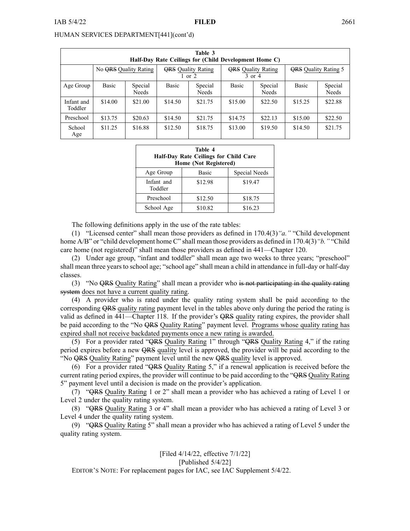| Table 3<br>Half-Day Rate Ceilings for (Child Development Home C) |                       |                         |              |                                         |              |                           |                             |                  |
|------------------------------------------------------------------|-----------------------|-------------------------|--------------|-----------------------------------------|--------------|---------------------------|-----------------------------|------------------|
|                                                                  | No QRS Quality Rating |                         |              | <b>ORS</b> Ouality Rating<br>$1$ or $2$ | $3$ or $4$   | <b>ORS</b> Quality Rating | <b>ORS</b> Ouality Rating 5 |                  |
| Age Group                                                        | Basic                 | Special<br><b>Needs</b> | <b>Basic</b> | Special<br><b>Needs</b>                 | <b>Basic</b> | Special<br><b>Needs</b>   | <b>Basic</b>                | Special<br>Needs |
| Infant and<br>Toddler                                            | \$14.00               | \$21.00                 | \$14.50      | \$21.75                                 | \$15.00      | \$22.50                   | \$15.25                     | \$22.88          |
| Preschool                                                        | \$13.75               | \$20.63                 | \$14.50      | \$21.75                                 | \$14.75      | \$22.13                   | \$15.00                     | \$22.50          |
| School<br>Age                                                    | \$11.25               | \$16.88                 | \$12.50      | \$18.75                                 | \$13.00      | \$19.50                   | \$14.50                     | \$21.75          |

| Table 4<br><b>Half-Day Rate Ceilings for Child Care</b><br>Home (Not Registered) |         |               |  |  |  |  |  |  |
|----------------------------------------------------------------------------------|---------|---------------|--|--|--|--|--|--|
| Age Group                                                                        | Basic   | Special Needs |  |  |  |  |  |  |
| Infant and<br>Toddler                                                            | \$12.98 | \$19.47       |  |  |  |  |  |  |
| Preschool                                                                        | \$12.50 | \$18.75       |  |  |  |  |  |  |
| School Age                                                                       | \$10.82 | \$16.23       |  |  |  |  |  |  |

The following definitions apply in the use of the rate tables:

(1) "Licensed center" shall mean those providers as defined in 170.4(3)*"a."* "Child development home A/B" or "child development home C" shall mean those providers as defined in 170.4(3)*"b."* "Child care home (not registered)" shall mean those providers as defined in 441—Chapter 120.

(2) Under age group, "infant and toddler" shall mean age two weeks to three years; "preschool" shall mean three years to school age; "school age" shall mean <sup>a</sup> child in attendance in full-day or half-day classes.

(3) "No QRS Quality Rating" shall mean <sup>a</sup> provider who is not participating in the quality rating system does not have a current quality rating.

(4) A provider who is rated under the quality rating system shall be paid according to the corresponding QRS quality rating paymen<sup>t</sup> level in the tables above only during the period the rating is valid as defined in 441—Chapter 118. If the provider's QRS quality rating expires, the provider shall be paid according to the "No QRS Quality Rating" paymen<sup>t</sup> level. Programs whose quality rating has expired shall not receive backdated payments once <sup>a</sup> new rating is awarded.

(5) For <sup>a</sup> provider rated "QRS Quality Rating 1" through "QRS Quality Rating 4," if the rating period expires before <sup>a</sup> new QRS quality level is approved, the provider will be paid according to the "No QRS Quality Rating" paymen<sup>t</sup> level until the new QRS quality level is approved.

(6) For <sup>a</sup> provider rated "QRS Quality Rating 5," if <sup>a</sup> renewal application is received before the current rating period expires, the provider will continue to be paid according to the "QRS Quality Rating 5" paymen<sup>t</sup> level until <sup>a</sup> decision is made on the provider's application.

(7) "QRS Quality Rating 1 or 2" shall mean <sup>a</sup> provider who has achieved <sup>a</sup> rating of Level 1 or Level 2 under the quality rating system.

(8) "QRS Quality Rating 3 or 4" shall mean <sup>a</sup> provider who has achieved <sup>a</sup> rating of Level 3 or Level 4 under the quality rating system.

(9) "QRS Quality Rating 5" shall mean <sup>a</sup> provider who has achieved <sup>a</sup> rating of Level 5 under the quality rating system.

# [Filed 4/14/22, effective 7/1/22] [Published 5/4/22]

EDITOR'<sup>S</sup> NOTE: For replacement pages for IAC, see IAC Supplement 5/4/22.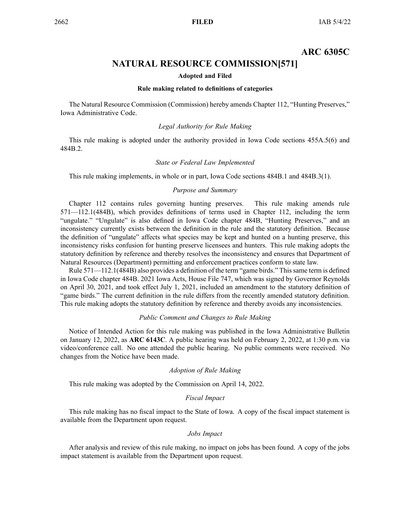# **ARC 6305C**

# **NATURAL RESOURCE COMMISSION[571]**

#### **Adopted and Filed**

#### **Rule making related to definitions of categories**

<span id="page-47-0"></span>The Natural Resource Commission (Commission) hereby amends Chapter 112, "Hunting Preserves," Iowa Administrative Code.

#### *Legal Authority for Rule Making*

This rule making is adopted under the authority provided in Iowa Code sections 455A.5(6) and 484B.2.

#### *State or Federal Law Implemented*

This rule making implements, in whole or in part, Iowa Code sections 484B.1 and 484B.3(1).

#### *Purpose and Summary*

Chapter 112 contains rules governing hunting preserves. This rule making amends rule 571—112.1(484B), which provides definitions of terms used in Chapter 112, including the term "ungulate." "Ungulate" is also defined in Iowa Code chapter 484B, "Hunting Preserves," and an inconsistency currently exists between the definition in the rule and the statutory definition. Because the definition of "ungulate" affects what species may be kept and hunted on <sup>a</sup> hunting preserve, this inconsistency risks confusion for hunting preserve licensees and hunters. This rule making adopts the statutory definition by reference and thereby resolves the inconsistency and ensures that Department of Natural Resources (Department) permitting and enforcement practices conform to state law.

Rule 571—112.1(484B) also provides <sup>a</sup> definition of the term "game birds." Thissame term is defined in Iowa Code chapter 484B. 2021 Iowa Acts, House File 747, which was signed by Governor Reynolds on April 30, 2021, and took effect July 1, 2021, included an amendment to the statutory definition of "game birds." The current definition in the rule differs from the recently amended statutory definition. This rule making adopts the statutory definition by reference and thereby avoids any inconsistencies.

#### *Public Comment and Changes to Rule Making*

Notice of Intended Action for this rule making was published in the Iowa Administrative Bulletin on January 12, 2022, as **ARC 6143C**. A public hearing was held on February 2, 2022, at 1:30 p.m. via video/conference call. No one attended the public hearing. No public comments were received. No changes from the Notice have been made.

#### *Adoption of Rule Making*

This rule making was adopted by the Commission on April 14, 2022.

### *Fiscal Impact*

This rule making has no fiscal impact to the State of Iowa. A copy of the fiscal impact statement is available from the Department upon request.

#### *Jobs Impact*

After analysis and review of this rule making, no impact on jobs has been found. A copy of the jobs impact statement is available from the Department upon request.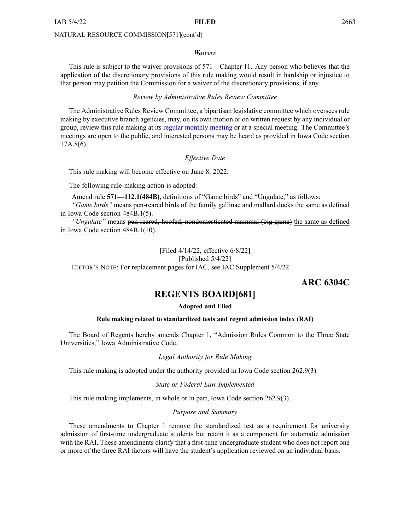#### <span id="page-48-0"></span>NATURAL RESOURCE COMMISSION[571](cont'd)

#### *Waivers*

This rule is subject to the waiver provisions of 571—Chapter 11. Any person who believes that the application of the discretionary provisions of this rule making would result in hardship or injustice to that person may petition the Commission for <sup>a</sup> waiver of the discretionary provisions, if any.

#### *Review by Administrative Rules Review Committee*

The Administrative Rules Review Committee, <sup>a</sup> bipartisan legislative committee which oversees rule making by executive branch agencies, may, on its own motion or on written reques<sup>t</sup> by any individual or group, review this rule making at its regular [monthly](https://www.legis.iowa.gov/committees/meetings/meetingsListComm?groupID=705&ga=89) meeting or at <sup>a</sup> special meeting. The Committee's meetings are open to the public, and interested persons may be heard as provided in Iowa Code section 17A.8(6).

#### *Effective Date*

This rule making will become effective on June 8, 2022.

The following rule-making action is adopted:

Amend rule **571—112.1(484B)**, definitions of "Game birds" and "Ungulate," as follows:

*"Game birds"* means pen-reared birds of the family gallinae and mallard ducks the same as defined in Iowa Code section [484B.1\(5\)](https://www.legis.iowa.gov/docs/ico/section/484B.1.pdf).

*"Ungulate"* means pen-reared, hoofed, nondomesticated mammal (big game) the same as defined in Iowa Code section [484B.1\(10\)](https://www.legis.iowa.gov/docs/ico/section/484B.1.pdf).

[Filed 4/14/22, effective 6/8/22]

[Published 5/4/22]

EDITOR'<sup>S</sup> NOTE: For replacement pages for IAC, see IAC Supplement 5/4/22.

### **ARC 6304C**

### **REGENTS BOARD[681]**

#### **Adopted and Filed**

#### **Rule making related to standardized tests and regent admission index (RAI)**

The Board of Regents hereby amends Chapter 1, "Admission Rules Common to the Three State Universities," Iowa Administrative Code.

*Legal Authority for Rule Making*

This rule making is adopted under the authority provided in Iowa Code section 262.9(3).

*State or Federal Law Implemented*

This rule making implements, in whole or in part, Iowa Code section 262.9(3).

#### *Purpose and Summary*

These amendments to Chapter 1 remove the standardized test as <sup>a</sup> requirement for university admission of first-time undergraduate students but retain it as <sup>a</sup> componen<sup>t</sup> for automatic admission with the RAI. These amendments clarify that a first-time undergraduate student who does not report one or more of the three RAI factors will have the student's application reviewed on an individual basis.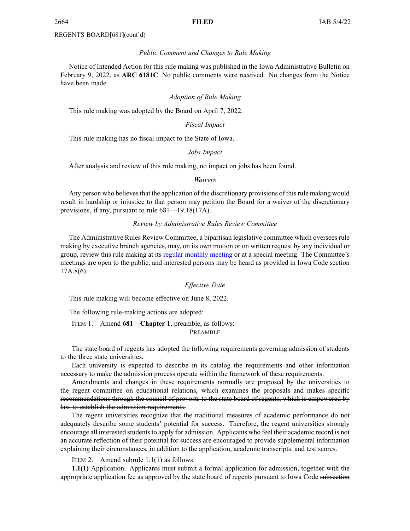#### REGENTS BOARD[681](cont'd)

#### *Public Comment and Changes to Rule Making*

Notice of Intended Action for this rule making was published in the Iowa Administrative Bulletin on February 9, 2022, as **ARC 6181C**. No public comments were received. No changes from the Notice have been made.

#### *Adoption of Rule Making*

This rule making was adopted by the Board on April 7, 2022.

#### *Fiscal Impact*

This rule making has no fiscal impact to the State of Iowa.

#### *Jobs Impact*

After analysis and review of this rule making, no impact on jobs has been found.

*Waivers*

Any person who believes that the application of the discretionary provisions of this rule making would result in hardship or injustice to that person may petition the Board for <sup>a</sup> waiver of the discretionary provisions, if any, pursuan<sup>t</sup> to rule 681—19.18(17A).

#### *Review by Administrative Rules Review Committee*

The Administrative Rules Review Committee, <sup>a</sup> bipartisan legislative committee which oversees rule making by executive branch agencies, may, on its own motion or on written reques<sup>t</sup> by any individual or group, review this rule making at its regular [monthly](https://www.legis.iowa.gov/committees/meetings/meetingsListComm?groupID=705&ga=89) meeting or at <sup>a</sup> special meeting. The Committee's meetings are open to the public, and interested persons may be heard as provided in Iowa Code section 17A.8(6).

#### *Effective Date*

This rule making will become effective on June 8, 2022.

The following rule-making actions are adopted:

ITEM 1. Amend **681—Chapter 1**, preamble, as follows:

PREAMBLE

The state board of regents has adopted the following requirements governing admission of students to the three state universities.

Each university is expected to describe in its catalog the requirements and other information necessary to make the admission process operate within the framework of these requirements.

Amendments and changes in these requirements normally are proposed by the universities to the regen<sup>t</sup> committee on educational relations, which examines the proposals and makes specific recommendations through the council of provosts to the state board of regents, which is empowered by law to establish the admission requirements.

The regen<sup>t</sup> universities recognize that the traditional measures of academic performance do not adequately describe some students' potential for success. Therefore, the regen<sup>t</sup> universities strongly encourage all interested students to apply for admission. Applicants who feel their academic record is not an accurate reflection of their potential for success are encouraged to provide supplemental information explaining their circumstances, in addition to the application, academic transcripts, and test scores.

ITEM 2. Amend subrule 1.1(1) as follows:

**1.1(1)** Application. Applicants must submit <sup>a</sup> formal application for admission, together with the appropriate application fee as approved by the state board of regents pursuan<sup>t</sup> to Iowa Code subsection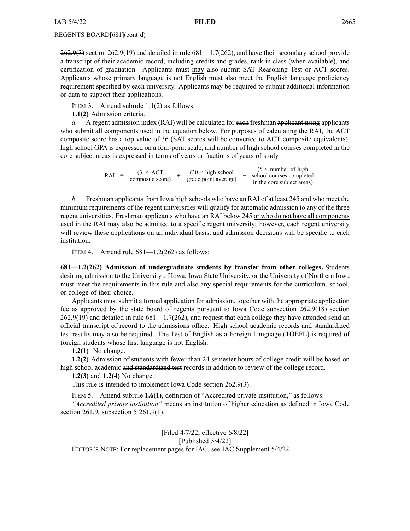#### REGENTS BOARD[681](cont'd)

 $262.9(3)$  section 262.9(19) and detailed in rule 681—1.7(262), and have their secondary school provide <sup>a</sup> transcript of their academic record, including credits and grades, rank in class (when available), and certification of graduation. Applicants must may also submit SAT Reasoning Test or ACT scores. Applicants whose primary language is not English must also meet the English language proficiency requirement specified by each university. Applicants may be required to submit additional information or data to suppor<sup>t</sup> their applications.

ITEM 3. Amend subrule 1.1(2) as follows:

**1.1(2)** Admission criteria.

*a.* A regent admission index (RAI) will be calculated for each freshman applicant using applicants who submit all components used in the equation below. For purposes of calculating the RAI, the ACT composite score has <sup>a</sup> top value of 36 (SAT scores will be converted to ACT composite equivalents), high school GPA is expressed on <sup>a</sup> four-point scale, and number of high school courses completed in the core subject areas is expressed in terms of years or fractions of years of study.

| RAI<br>$=$ | $(3 \times ACT)$<br>composite score) |  | $(30 \times$ high school<br>grade point average) |  | $(5 \times$ number of high<br>school courses completed<br>in the core subject areas) |
|------------|--------------------------------------|--|--------------------------------------------------|--|--------------------------------------------------------------------------------------|
|------------|--------------------------------------|--|--------------------------------------------------|--|--------------------------------------------------------------------------------------|

*b.* Freshman applicants from Iowa high schools who have an RAI of at least 245 and who meet the minimum requirements of the regen<sup>t</sup> universities will qualify for automatic admission to any of the three regen<sup>t</sup> universities. Freshman applicants who have an RAI below 245 or who do not have all components used in the RAI may also be admitted to <sup>a</sup> specific regen<sup>t</sup> university; however, each regen<sup>t</sup> university will review these applications on an individual basis, and admission decisions will be specific to each institution.

ITEM 4. Amend rule  $681 - 1.2(262)$  as follows:

**681—1.2(262) Admission of undergraduate students by transfer from other colleges.** Students desiring admission to the University of Iowa, Iowa State University, or the University of Northern Iowa must meet the requirements in this rule and also any special requirements for the curriculum, school, or college of their choice.

Applicants must submit <sup>a</sup> formal application for admission, together with the appropriate application fee as approved by the state board of regents pursuan<sup>t</sup> to Iowa Code subsection [262.9\(18\)](https://www.legis.iowa.gov/docs/ico/section/262.9.pdf) section [262.9\(19\)](https://www.legis.iowa.gov/docs/ico/section/262.9.pdf) and detailed in rule 681—1.7(262), and reques<sup>t</sup> that each college they have attended send an official transcript of record to the admissions office. High school academic records and standardized test results may also be required. The Test of English as <sup>a</sup> Foreign Language (TOEFL) is required of foreign students whose first language is not English.

**1.2(1)** No change.

**1.2(2)** Admission of students with fewer than 24 semester hours of college credit will be based on high school academic and standardized test records in addition to review of the college record.

**1.2(3)** and **1.2(4)** No change.

This rule is intended to implement Iowa Code section [262.9\(3\)](https://www.legis.iowa.gov/docs/ico/section/262.9.pdf).

ITEM 5. Amend subrule **1.6(1)**, definition of "Accredited private institution," as follows:

*"Accredited private institution"* means an institution of higher education as defined in Iowa Code section 261.9, [subsection](https://www.legis.iowa.gov/docs/ico/section/261.9.pdf) 5 [261.9\(1\)](https://www.legis.iowa.gov/docs/ico/section/261.9.pdf).

[Filed 4/7/22, effective 6/8/22] [Published 5/4/22] EDITOR'<sup>S</sup> NOTE: For replacement pages for IAC, see IAC Supplement 5/4/22.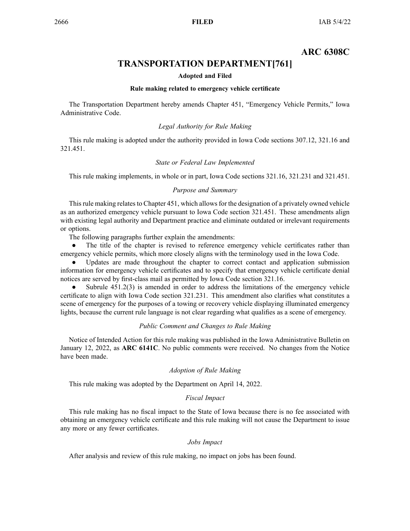# **ARC 6308C**

# **TRANSPORTATION DEPARTMENT[761]**

#### **Adopted and Filed**

#### **Rule making related to emergency vehicle certificate**

<span id="page-51-0"></span>The Transportation Department hereby amends Chapter 451, "Emergency Vehicle Permits," Iowa Administrative Code.

#### *Legal Authority for Rule Making*

This rule making is adopted under the authority provided in Iowa Code sections 307.12, 321.16 and 321.451.

#### *State or Federal Law Implemented*

This rule making implements, in whole or in part, Iowa Code sections 321.16, 321.231 and 321.451.

#### *Purpose and Summary*

This rule making relates to Chapter 451, which allows for the designation of a privately owned vehicle as an authorized emergency vehicle pursuan<sup>t</sup> to Iowa Code section 321.451. These amendments align with existing legal authority and Department practice and eliminate outdated or irrelevant requirements or options.

The following paragraphs further explain the amendments:

 $\bullet$  The title of the chapter is revised to reference emergency vehicle certificates rather than emergency vehicle permits, which more closely aligns with the terminology used in the Iowa Code.

● Updates are made throughout the chapter to correct contact and application submission information for emergency vehicle certificates and to specify that emergency vehicle certificate denial notices are served by first-class mail as permitted by Iowa Code section 321.16.

 $\bullet$  Subrule 451.2(3) is amended in order to address the limitations of the emergency vehicle certificate to align with Iowa Code section 321.231. This amendment also clarifies what constitutes <sup>a</sup> scene of emergency for the purposes of <sup>a</sup> towing or recovery vehicle displaying illuminated emergency lights, because the current rule language is not clear regarding what qualifies as <sup>a</sup> scene of emergency.

#### *Public Comment and Changes to Rule Making*

Notice of Intended Action for this rule making was published in the Iowa Administrative Bulletin on January 12, 2022, as **ARC 6141C**. No public comments were received. No changes from the Notice have been made.

#### *Adoption of Rule Making*

This rule making was adopted by the Department on April 14, 2022.

#### *Fiscal Impact*

This rule making has no fiscal impact to the State of Iowa because there is no fee associated with obtaining an emergency vehicle certificate and this rule making will not cause the Department to issue any more or any fewer certificates.

#### *Jobs Impact*

After analysis and review of this rule making, no impact on jobs has been found.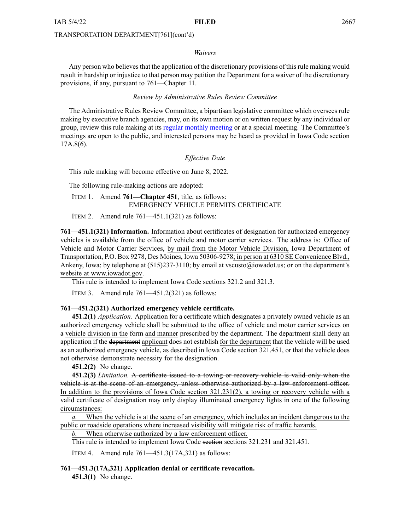#### *Waivers*

Any person who believes that the application of the discretionary provisions of this rule making would result in hardship or injustice to that person may petition the Department for <sup>a</sup> waiver of the discretionary provisions, if any, pursuan<sup>t</sup> to 761—Chapter 11.

#### *Review by Administrative Rules Review Committee*

The Administrative Rules Review Committee, <sup>a</sup> bipartisan legislative committee which oversees rule making by executive branch agencies, may, on its own motion or on written reques<sup>t</sup> by any individual or group, review this rule making at its regular [monthly](https://www.legis.iowa.gov/committees/meetings/meetingsListComm?groupID=705&ga=89) meeting or at <sup>a</sup> special meeting. The Committee's meetings are open to the public, and interested persons may be heard as provided in Iowa Code section 17A.8(6).

#### *Effective Date*

This rule making will become effective on June 8, 2022.

The following rule-making actions are adopted:

ITEM 1. Amend **761—Chapter 451**, title, as follows: EMERGENCY VEHICLE PERMITS CERTIFICATE

ITEM 2. Amend rule  $761-451.1(321)$  as follows:

**761—451.1(321) Information.** Information about certificates of designation for authorized emergency vehicles is available from the office of vehicle and motor carrier services. The address is: Office of Vehicle and Motor Carrier Services, by mail from the Motor Vehicle Division, Iowa Department of Transportation, P.O. Box 9278, Des Moines, Iowa 50306-9278; in person at 6310 SE Convenience Blvd., Ankeny, Iowa; by telephone at (515)237-3110; by email at [vscusto@iowadot.us](mailto:vscusto@iowadot.us); or on the department's website at [www.iowadot.gov](http://www.iowadot.gov).

This rule is intended to implement Iowa Code sections [321.2](https://www.legis.iowa.gov/docs/ico/section/321.2.pdf) and [321.3](https://www.legis.iowa.gov/docs/ico/section/321.3.pdf).

ITEM 3. Amend rule 761—451.2(321) as follows:

#### **761—451.2(321) Authorized emergency vehicle certificate.**

**451.2(1)** *Application.* Application for <sup>a</sup> certificate which designates <sup>a</sup> privately owned vehicle as an authorized emergency vehicle shall be submitted to the office of vehicle and motor carrier services on <sup>a</sup> vehicle division in the form and manner prescribed by the department. The department shall deny an application if the department applicant does not establish for the department that the vehicle will be used as an authorized emergency vehicle, as described in Iowa Code section [321.451](https://www.legis.iowa.gov/docs/ico/section/2016/321.451.pdf), or that the vehicle does not otherwise demonstrate necessity for the designation.

**451.2(2)** No change.

**451.2(3)** *Limitation.* A certificate issued to <sup>a</sup> towing or recovery vehicle is valid only when the vehicle is at the scene of an emergency, unless otherwise authorized by <sup>a</sup> law enforcement officer. In addition to the provisions of Iowa Code section [321.231\(2\)](https://www.legis.iowa.gov/docs/ico/section/321.231.pdf), <sup>a</sup> towing or recovery vehicle with <sup>a</sup> valid certificate of designation may only display illuminated emergency lights in one of the following circumstances:

When the vehicle is at the scene of an emergency, which includes an incident dangerous to the public or roadside operations where increased visibility will mitigate risk of traffic hazards.

When otherwise authorized by a law enforcement officer.

This rule is intended to implement Iowa Code section sections [321.231](https://www.legis.iowa.gov/docs/ico/section/321.231.pdf) and [321.451](https://www.legis.iowa.gov/docs/ico/section/321.451.pdf).

ITEM 4. Amend rule 761—451.3(17A,321) as follows:

#### **761—451.3(17A,321) Application denial or certificate revocation.**

**451.3(1)** No change.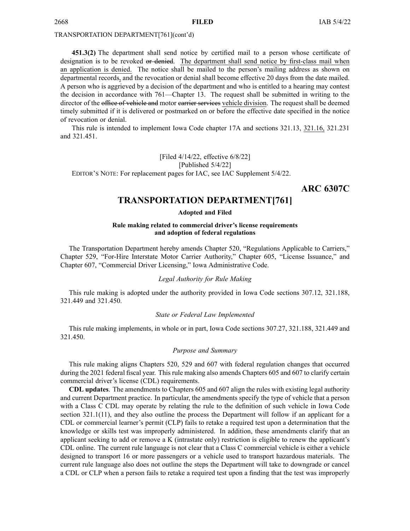<span id="page-53-0"></span>**451.3(2)** The department shall send notice by certified mail to <sup>a</sup> person whose certificate of designation is to be revoked or denied. The department shall send notice by first-class mail when an application is denied. The notice shall be mailed to the person's mailing address as shown on departmental records, and the revocation or denial shall become effective 20 days from the date mailed. A person who is aggrieved by <sup>a</sup> decision of the department and who is entitled to <sup>a</sup> hearing may contest the decision in accordance with 761—Chapter 13. The reques<sup>t</sup> shall be submitted in writing to the director of the office of vehicle and motor carrier services vehicle division. The request shall be deemed timely submitted if it is delivered or postmarked on or before the effective date specified in the notice of revocation or denial.

This rule is intended to implement Iowa Code chapter [17A](https://www.legis.iowa.gov/docs/ico/chapter/2016/17A.pdf) and sections [321.13](https://www.legis.iowa.gov/docs/ico/section/2016/321.13.pdf), [321.16](https://www.legis.iowa.gov/docs/ico/section/321.16.pdf), [321.231](https://www.legis.iowa.gov/docs/ico/section/2016/321.231.pdf) and [321.451](https://www.legis.iowa.gov/docs/ico/section/2016/321.451.pdf).

[Filed 4/14/22, effective 6/8/22] [Published 5/4/22] EDITOR'<sup>S</sup> NOTE: For replacement pages for IAC, see IAC Supplement 5/4/22.

**ARC 6307C**

# **TRANSPORTATION DEPARTMENT[761]**

#### **Adopted and Filed**

#### **Rule making related to commercial driver's license requirements and adoption of federal regulations**

The Transportation Department hereby amends Chapter 520, "Regulations Applicable to Carriers," Chapter 529, "For-Hire Interstate Motor Carrier Authority," Chapter 605, "License Issuance," and Chapter 607, "Commercial Driver Licensing," Iowa Administrative Code.

#### *Legal Authority for Rule Making*

This rule making is adopted under the authority provided in Iowa Code sections 307.12, 321.188, 321.449 and 321.450.

#### *State or Federal Law Implemented*

This rule making implements, in whole or in part, Iowa Code sections 307.27, 321.188, 321.449 and 321.450.

#### *Purpose and Summary*

This rule making aligns Chapters 520, 529 and 607 with federal regulation changes that occurred during the 2021 federal fiscal year. This rule making also amends Chapters 605 and 607 to clarify certain commercial driver's license (CDL) requirements.

**CDL updates**. The amendments to Chapters 605 and 607 align the rules with existing legal authority and current Department practice. In particular, the amendments specify the type of vehicle that <sup>a</sup> person with <sup>a</sup> Class C CDL may operate by relating the rule to the definition of such vehicle in Iowa Code section 321.1(11), and they also outline the process the Department will follow if an applicant for <sup>a</sup> CDL or commercial learner's permit (CLP) fails to retake <sup>a</sup> required test upon <sup>a</sup> determination that the knowledge or skills test was improperly administered. In addition, these amendments clarify that an applicant seeking to add or remove <sup>a</sup> K (intrastate only) restriction is eligible to renew the applicant's CDL online. The current rule language is not clear that <sup>a</sup> Class C commercial vehicle is either <sup>a</sup> vehicle designed to transport 16 or more passengers or <sup>a</sup> vehicle used to transport hazardous materials. The current rule language also does not outline the steps the Department will take to downgrade or cancel <sup>a</sup> CDL or CLP when <sup>a</sup> person fails to retake <sup>a</sup> required test upon <sup>a</sup> finding that the test was improperly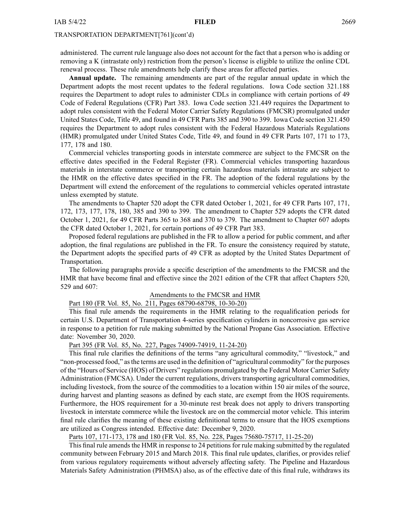administered. The current rule language also does not account for the fact that <sup>a</sup> person who is adding or removing <sup>a</sup> K (intrastate only) restriction from the person's license is eligible to utilize the online CDL renewal process. These rule amendments help clarify these areas for affected parties.

**Annual update.** The remaining amendments are par<sup>t</sup> of the regular annual update in which the Department adopts the most recent updates to the federal regulations. Iowa Code section 321.188 requires the Department to adopt rules to administer CDLs in compliance with certain portions of 49 Code of Federal Regulations (CFR) Part 383. Iowa Code section 321.449 requires the Department to adopt rules consistent with the Federal Motor Carrier Safety Regulations (FMCSR) promulgated under United States Code, Title 49, and found in 49 CFR Parts 385 and 390 to 399. Iowa Code section 321.450 requires the Department to adopt rules consistent with the Federal Hazardous Materials Regulations (HMR) promulgated under United States Code, Title 49, and found in 49 CFR Parts 107, 171 to 173, 177, 178 and 180.

Commercial vehicles transporting goods in interstate commerce are subject to the FMCSR on the effective dates specified in the Federal Register (FR). Commercial vehicles transporting hazardous materials in interstate commerce or transporting certain hazardous materials intrastate are subject to the HMR on the effective dates specified in the FR. The adoption of the federal regulations by the Department will extend the enforcement of the regulations to commercial vehicles operated intrastate unless exempted by statute.

The amendments to Chapter 520 adopt the CFR dated October 1, 2021, for 49 CFR Parts 107, 171, 172, 173, 177, 178, 180, 385 and 390 to 399. The amendment to Chapter 529 adopts the CFR dated October 1, 2021, for 49 CFR Parts 365 to 368 and 370 to 379. The amendment to Chapter 607 adopts the CFR dated October 1, 2021, for certain portions of 49 CFR Part 383.

Proposed federal regulations are published in the FR to allow <sup>a</sup> period for public comment, and after adoption, the final regulations are published in the FR. To ensure the consistency required by statute, the Department adopts the specified parts of 49 CFR as adopted by the United States Department of Transportation.

The following paragraphs provide <sup>a</sup> specific description of the amendments to the FMCSR and the HMR that have become final and effective since the 2021 edition of the CFR that affect Chapters 520, 529 and 607:

#### Amendments to the FMCSR and HMR

### Part 180 (FR Vol. 85, No. 211, Pages 68790-68798, 10-30-20)

This final rule amends the requirements in the HMR relating to the requalification periods for certain U.S. Department of Transportation 4-series specification cylinders in noncorrosive gas service in response to <sup>a</sup> petition for rule making submitted by the National Propane Gas Association. Effective date: November 30, 2020.

Part 395 (FR Vol. 85, No. 227, Pages 74909-74919, 11-24-20)

This final rule clarifies the definitions of the terms "any agricultural commodity," "livestock," and "non-processed food," asthe terms are used in the definition of "agricultural commodity" for the purposes of the "Hours of Service (HOS) of Drivers" regulations promulgated by the Federal Motor Carrier Safety Administration (FMCSA). Under the current regulations, drivers transporting agricultural commodities, including livestock, from the source of the commodities to <sup>a</sup> location within 150 air miles of the source, during harvest and planting seasons as defined by each state, are exemp<sup>t</sup> from the HOS requirements. Furthermore, the HOS requirement for <sup>a</sup> 30-minute rest break does not apply to drivers transporting livestock in interstate commerce while the livestock are on the commercial motor vehicle. This interim final rule clarifies the meaning of these existing definitional terms to ensure that the HOS exemptions are utilized as Congress intended. Effective date: December 9, 2020.

Parts 107, 171-173, 178 and 180 (FR Vol. 85, No. 228, Pages 75680-75717, 11-25-20)

This final rule amends the HMR in response to 24 petitions for rule making submitted by the regulated community between February 2015 and March 2018. This final rule updates, clarifies, or provides relief from various regulatory requirements without adversely affecting safety. The Pipeline and Hazardous Materials Safety Administration (PHMSA) also, as of the effective date of this final rule, withdraws its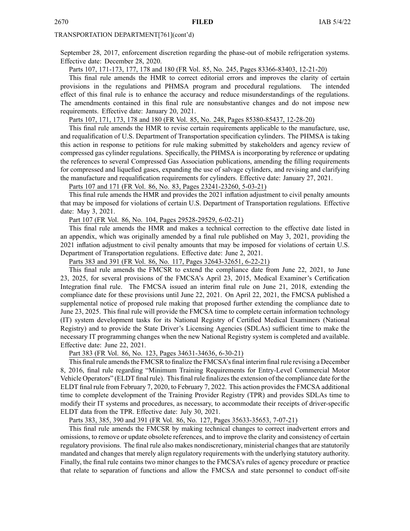September 28, 2017, enforcement discretion regarding the phase-out of mobile refrigeration systems. Effective date: December 28, 2020.

Parts 107, 171-173, 177, 178 and 180 (FR Vol. 85, No. 245, Pages 83366-83403, 12-21-20)

This final rule amends the HMR to correct editorial errors and improves the clarity of certain provisions in the regulations and PHMSA program and procedural regulations. The intended effect of this final rule is to enhance the accuracy and reduce misunderstandings of the regulations. The amendments contained in this final rule are nonsubstantive changes and do not impose new requirements. Effective date: January 20, 2021.

Parts 107, 171, 173, 178 and 180 (FR Vol. 85, No. 248, Pages 85380-85437, 12-28-20)

This final rule amends the HMR to revise certain requirements applicable to the manufacture, use, and requalification of U.S. Department of Transportation specification cylinders. The PHMSA is taking this action in response to petitions for rule making submitted by stakeholders and agency review of compressed gas cylinder regulations. Specifically, the PHMSA is incorporating by reference or updating the references to several Compressed Gas Association publications, amending the filling requirements for compressed and liquefied gases, expanding the use of salvage cylinders, and revising and clarifying the manufacture and requalification requirements for cylinders. Effective date: January 27, 2021.

Parts 107 and 171 (FR Vol. 86, No. 83, Pages 23241-23260, 5-03-21)

This final rule amends the HMR and provides the 2021 inflation adjustment to civil penalty amounts that may be imposed for violations of certain U.S. Department of Transportation regulations. Effective date: May 3, 2021.

Part 107 (FR Vol. 86, No. 104, Pages 29528-29529, 6-02-21)

This final rule amends the HMR and makes <sup>a</sup> technical correction to the effective date listed in an appendix, which was originally amended by <sup>a</sup> final rule published on May 3, 2021, providing the 2021 inflation adjustment to civil penalty amounts that may be imposed for violations of certain U.S. Department of Transportation regulations. Effective date: June 2, 2021.

Parts 383 and 391 (FR Vol. 86, No. 117, Pages 32643-32651, 6-22-21)

This final rule amends the FMCSR to extend the compliance date from June 22, 2021, to June 23, 2025, for several provisions of the FMCSA's April 23, 2015, Medical Examiner's Certification Integration final rule. The FMCSA issued an interim final rule on June 21, 2018, extending the compliance date for these provisions until June 22, 2021. On April 22, 2021, the FMCSA published <sup>a</sup> supplemental notice of proposed rule making that proposed further extending the compliance date to June 23, 2025. This final rule will provide the FMCSA time to complete certain information technology (IT) system development tasks for its National Registry of Certified Medical Examiners (National Registry) and to provide the State Driver's Licensing Agencies (SDLAs) sufficient time to make the necessary IT programming changes when the new National Registry system is completed and available. Effective date: June 22, 2021.

Part 383 (FR Vol. 86, No. 123, Pages 34631-34636, 6-30-21)

This final rule amends the FMCSR to finalize the FMCSA's final interim final rule revising a December 8, 2016, final rule regarding "Minimum Training Requirements for Entry-Level Commercial Motor Vehicle Operators" (ELDT final rule). This final rule finalizesthe extension of the compliance date for the ELDT final rule from February 7, 2020, to February 7, 2022. This action provides the FMCSA additional time to complete development of the Training Provider Registry (TPR) and provides SDLAs time to modify their IT systems and procedures, as necessary, to accommodate their receipts of driver-specific ELDT data from the TPR. Effective date: July 30, 2021.

Parts 383, 385, 390 and 391 (FR Vol. 86, No. 127, Pages 35633-35653, 7-07-21)

This final rule amends the FMCSR by making technical changes to correct inadvertent errors and omissions, to remove or update obsolete references, and to improve the clarity and consistency of certain regulatory provisions. The final rule also makes nondiscretionary, ministerial changes that are statutorily mandated and changes that merely align regulatory requirements with the underlying statutory authority. Finally, the final rule contains two minor changes to the FMCSA's rules of agency procedure or practice that relate to separation of functions and allow the FMCSA and state personnel to conduct off-site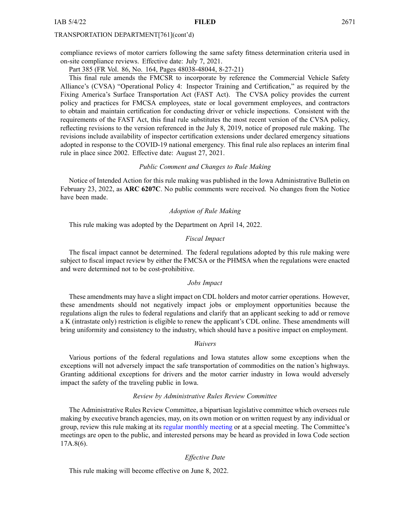compliance reviews of motor carriers following the same safety fitness determination criteria used in on-site compliance reviews. Effective date: July 7, 2021.

Part 385 (FR Vol. 86, No. 164, Pages 48038-48044, 8-27-21)

This final rule amends the FMCSR to incorporate by reference the Commercial Vehicle Safety Alliance's (CVSA) "Operational Policy 4: Inspector Training and Certification," as required by the Fixing America's Surface Transportation Act (FAST Act). The CVSA policy provides the current policy and practices for FMCSA employees, state or local governmen<sup>t</sup> employees, and contractors to obtain and maintain certification for conducting driver or vehicle inspections. Consistent with the requirements of the FAST Act, this final rule substitutes the most recent version of the CVSA policy, reflecting revisions to the version referenced in the July 8, 2019, notice of proposed rule making. The revisions include availability of inspector certification extensions under declared emergency situations adopted in response to the COVID-19 national emergency. This final rule also replaces an interim final rule in place since 2002. Effective date: August 27, 2021.

#### *Public Comment and Changes to Rule Making*

Notice of Intended Action for this rule making was published in the Iowa Administrative Bulletin on February 23, 2022, as **ARC 6207C**. No public comments were received. No changes from the Notice have been made.

#### *Adoption of Rule Making*

This rule making was adopted by the Department on April 14, 2022.

#### *Fiscal Impact*

The fiscal impact cannot be determined. The federal regulations adopted by this rule making were subject to fiscal impact review by either the FMCSA or the PHMSA when the regulations were enacted and were determined not to be cost-prohibitive.

#### *Jobs Impact*

These amendments may have <sup>a</sup> slight impact on CDL holders and motor carrier operations. However, these amendments should not negatively impact jobs or employment opportunities because the regulations align the rules to federal regulations and clarify that an applicant seeking to add or remove <sup>a</sup> K (intrastate only) restriction is eligible to renew the applicant's CDL online. These amendments will bring uniformity and consistency to the industry, which should have <sup>a</sup> positive impact on employment.

#### *Waivers*

Various portions of the federal regulations and Iowa statutes allow some exceptions when the exceptions will not adversely impact the safe transportation of commodities on the nation's highways. Granting additional exceptions for drivers and the motor carrier industry in Iowa would adversely impact the safety of the traveling public in Iowa.

#### *Review by Administrative Rules Review Committee*

The Administrative Rules Review Committee, <sup>a</sup> bipartisan legislative committee which oversees rule making by executive branch agencies, may, on its own motion or on written reques<sup>t</sup> by any individual or group, review this rule making at its regular [monthly](https://www.legis.iowa.gov/committees/meetings/meetingsListComm?groupID=705&ga=89) meeting or at <sup>a</sup> special meeting. The Committee's meetings are open to the public, and interested persons may be heard as provided in Iowa Code section 17A.8(6).

#### *Effective Date*

This rule making will become effective on June 8, 2022.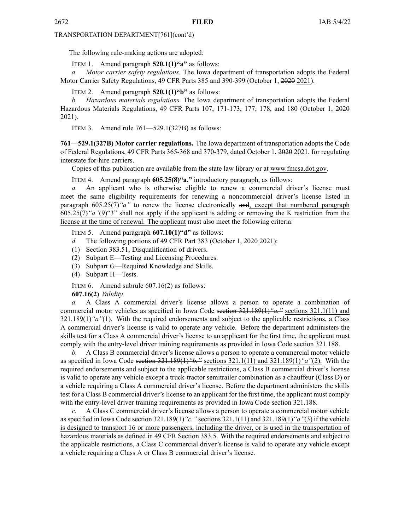The following rule-making actions are adopted:

ITEM 1. Amend paragraph **520.1(1)"a"** as follows:

*a. Motor carrier safety regulations.* The Iowa department of transportation adopts the Federal Motor Carrier Safety Regulations, 49 CFR Parts 385 and 390-399 (October 1, 2020 2021).

ITEM 2. Amend paragraph **520.1(1)"b"** as follows:

*b. Hazardous materials regulations.* The Iowa department of transportation adopts the Federal Hazardous Materials Regulations, 49 CFR Parts 107, 171-173, 177, 178, and 180 (October 1, 2020 2021).

ITEM 3. Amend rule 761—529.1(327B) as follows:

**761—529.1(327B) Motor carrier regulations.** The Iowa department of transportation adopts the Code of Federal Regulations, 49 CFR Parts 365-368 and 370-379, dated October 1, 2020 2021, for regulating interstate for-hire carriers.

Copies of this publication are available from the state law library or at [www.fmcsa.dot.gov](http://www.fmcsa.dot.gov).

ITEM 4. Amend paragraph **605.25(8)"a,"** introductory paragraph, as follows:

*a.* An applicant who is otherwise eligible to renew <sup>a</sup> commercial driver's license must meet the same eligibility requirements for renewing <sup>a</sup> noncommercial driver's license listed in paragraph 605.25(7)*"a"* to renew the license electronically and, excep<sup>t</sup> that numbered paragraph 605.25(7)*"a"*(9)"3" shall not apply if the applicant is adding or removing the K restriction from the license at the time of renewal. The applicant must also meet the following criteria:

ITEM 5. Amend paragraph **607.10(1)"d"** as follows:

- *d.* The following portions of 49 CFR Part 383 (October 1, 2020 2021):
- (1) Section 383.51, Disqualification of drivers.
- (2) Subpart E—Testing and Licensing Procedures.
- (3) Subpart G—Required Knowledge and Skills.
- (4) Subpart H—Tests.

ITEM 6. Amend subrule 607.16(2) as follows:

**607.16(2)** *Validity.*

*a.* A Class A commercial driver's license allows <sup>a</sup> person to operate <sup>a</sup> combination of commercial motor vehicles as specified in Iowa Code section [321.189\(1\)](https://www.legis.iowa.gov/docs/ico/section/321.189.pdf)*"a."* sections [321.1\(11\)](https://www.legis.iowa.gov/docs/ico/section/321.1.pdf) and [321.189\(1\)](https://www.legis.iowa.gov/docs/ico/section/321.189.pdf)*"a"*(1). With the required endorsements and subject to the applicable restrictions, <sup>a</sup> Class A commercial driver's license is valid to operate any vehicle. Before the department administers the skills test for <sup>a</sup> Class A commercial driver's license to an applicant for the first time, the applicant must comply with the entry-level driver training requirements as provided in Iowa Code section [321.188](https://www.legis.iowa.gov/docs/ico/section/321.188.pdf).

*b.* A Class B commercial driver's license allows <sup>a</sup> person to operate <sup>a</sup> commercial motor vehicle as specified in Iowa Code section [321.189\(1\)](https://www.legis.iowa.gov/docs/ico/section/321.189.pdf)*"b."* sections [321.1\(11\)](https://www.legis.iowa.gov/docs/ico/section/321.1.pdf) and [321.189\(1\)](https://www.legis.iowa.gov/docs/ico/section/321.189.pdf)*"a"*(2). With the required endorsements and subject to the applicable restrictions, <sup>a</sup> Class B commercial driver's license is valid to operate any vehicle excep<sup>t</sup> <sup>a</sup> truck-tractor semitrailer combination as <sup>a</sup> chauffeur (Class D) or <sup>a</sup> vehicle requiring <sup>a</sup> Class A commercial driver's license. Before the department administers the skills test for <sup>a</sup> Class B commercial driver's license to an applicant for the first time, the applicant must comply with the entry-level driver training requirements as provided in Iowa Code section [321.188](https://www.legis.iowa.gov/docs/ico/section/321.188.pdf).

*c.* A Class C commercial driver's license allows <sup>a</sup> person to operate <sup>a</sup> commercial motor vehicle asspecified in Iowa Code section [321.189\(1\)](https://www.legis.iowa.gov/docs/ico/section/321.189.pdf)*"c."* sections [321.1\(11\)](https://www.legis.iowa.gov/docs/ico/section/321.1.pdf) and [321.189\(1\)](https://www.legis.iowa.gov/docs/ico/section/321.189.pdf)*"a"*(3) if the vehicle is designed to transport 16 or more passengers, including the driver, or is used in the transportation of hazardous materials as defined in 49 CFR Section 383.5. With the required endorsements and subject to the applicable restrictions, <sup>a</sup> Class C commercial driver's license is valid to operate any vehicle excep<sup>t</sup> <sup>a</sup> vehicle requiring <sup>a</sup> Class A or Class B commercial driver's license.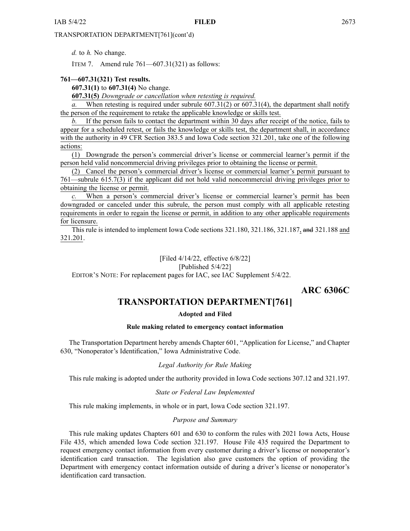<span id="page-58-0"></span>*d.* to *h.* No change.

ITEM 7. Amend rule 761—607.31(321) as follows:

#### **761—607.31(321) Test results.**

**607.31(1)** to **607.31(4)** No change.

**607.31(5)** *Downgrade or cancellation when retesting is required.*

*a.* When retesting is required under subrule 607.31(2) or 607.31(4), the department shall notify the person of the requirement to retake the applicable knowledge or skills test.

*b.* If the person fails to contact the department within 30 days after receipt of the notice, fails to appear for <sup>a</sup> scheduled retest, or fails the knowledge or skills test, the department shall, in accordance with the authority in 49 CFR Section 383.5 and Iowa Code section [321.201](https://www.legis.iowa.gov/docs/ico/section/321.201.pdf), take one of the following actions:

(1) Downgrade the person's commercial driver's license or commercial learner's permit if the person held valid noncommercial driving privileges prior to obtaining the license or permit.

(2) Cancel the person's commercial driver's license or commercial learner's permit pursuan<sup>t</sup> to 761—subrule 615.7(3) if the applicant did not hold valid noncommercial driving privileges prior to obtaining the license or permit.

When a person's commercial driver's license or commercial learner's permit has been downgraded or canceled under this subrule, the person must comply with all applicable retesting requirements in order to regain the license or permit, in addition to any other applicable requirements for licensure.

This rule is intended to implement Iowa Code sections [321.180](https://www.legis.iowa.gov/docs/ico/section/2017/321.180.pdf), [321.186](https://www.legis.iowa.gov/docs/ico/section/321.186.pdf), [321.187](https://www.legis.iowa.gov/docs/ico/section/321.187.pdf), and [321.188](https://www.legis.iowa.gov/docs/ico/section/321.188.pdf) and [321.201](https://www.legis.iowa.gov/docs/ico/section/321.201.pdf).

[Filed 4/14/22, effective 6/8/22]

#### [Published 5/4/22]

EDITOR'<sup>S</sup> NOTE: For replacement pages for IAC, see IAC Supplement 5/4/22.

**ARC 6306C**

# **TRANSPORTATION DEPARTMENT[761]**

#### **Adopted and Filed**

#### **Rule making related to emergency contact information**

The Transportation Department hereby amends Chapter 601, "Application for License," and Chapter 630, "Nonoperator's Identification," Iowa Administrative Code.

### *Legal Authority for Rule Making*

This rule making is adopted under the authority provided in Iowa Code sections 307.12 and 321.197.

#### *State or Federal Law Implemented*

This rule making implements, in whole or in part, Iowa Code section 321.197.

#### *Purpose and Summary*

This rule making updates Chapters 601 and 630 to conform the rules with 2021 Iowa Acts, House File 435, which amended Iowa Code section 321.197. House File 435 required the Department to reques<sup>t</sup> emergency contact information from every customer during <sup>a</sup> driver's license or nonoperator's identification card transaction. The legislation also gave customers the option of providing the Department with emergency contact information outside of during <sup>a</sup> driver's license or nonoperator's identification card transaction.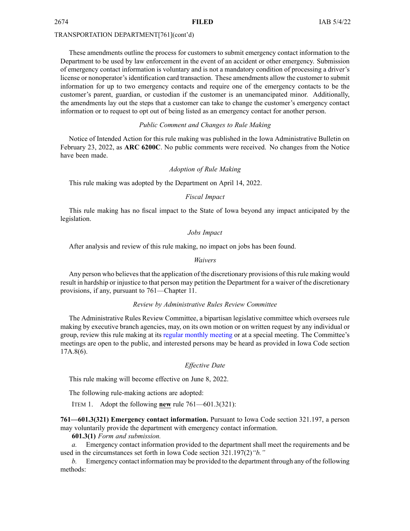These amendments outline the process for customers to submit emergency contact information to the Department to be used by law enforcement in the event of an accident or other emergency. Submission of emergency contact information is voluntary and is not <sup>a</sup> mandatory condition of processing <sup>a</sup> driver's license or nonoperator's identification card transaction. These amendments allow the customer to submit information for up to two emergency contacts and require one of the emergency contacts to be the customer's parent, guardian, or custodian if the customer is an unemancipated minor. Additionally, the amendments lay out the steps that <sup>a</sup> customer can take to change the customer's emergency contact information or to reques<sup>t</sup> to op<sup>t</sup> out of being listed as an emergency contact for another person.

#### *Public Comment and Changes to Rule Making*

Notice of Intended Action for this rule making was published in the Iowa Administrative Bulletin on February 23, 2022, as **ARC 6200C**. No public comments were received. No changes from the Notice have been made.

#### *Adoption of Rule Making*

This rule making was adopted by the Department on April 14, 2022.

#### *Fiscal Impact*

This rule making has no fiscal impact to the State of Iowa beyond any impact anticipated by the legislation.

#### *Jobs Impact*

After analysis and review of this rule making, no impact on jobs has been found.

#### *Waivers*

Any person who believes that the application of the discretionary provisions of this rule making would result in hardship or injustice to that person may petition the Department for <sup>a</sup> waiver of the discretionary provisions, if any, pursuan<sup>t</sup> to 761—Chapter 11.

#### *Review by Administrative Rules Review Committee*

The Administrative Rules Review Committee, <sup>a</sup> bipartisan legislative committee which oversees rule making by executive branch agencies, may, on its own motion or on written reques<sup>t</sup> by any individual or group, review this rule making at its regular [monthly](https://www.legis.iowa.gov/committees/meetings/meetingsListComm?groupID=705&ga=89) meeting or at <sup>a</sup> special meeting. The Committee's meetings are open to the public, and interested persons may be heard as provided in Iowa Code section 17A.8(6).

#### *Effective Date*

This rule making will become effective on June 8, 2022.

The following rule-making actions are adopted:

ITEM 1. Adopt the following **new** rule 761—601.3(321):

**761—601.3(321) Emergency contact information.** Pursuant to Iowa Code section [321.197](https://www.legis.iowa.gov/docs/ico/section/321.197.pdf), <sup>a</sup> person may voluntarily provide the department with emergency contact information.

#### **601.3(1)** *Form and submission.*

*a.* Emergency contact information provided to the department shall meet the requirements and be used in the circumstances set forth in Iowa Code section [321.197\(2\)](https://www.legis.iowa.gov/docs/ico/section/321.197.pdf)*"b."*

*b.* Emergency contact information may be provided to the department through any of the following methods: